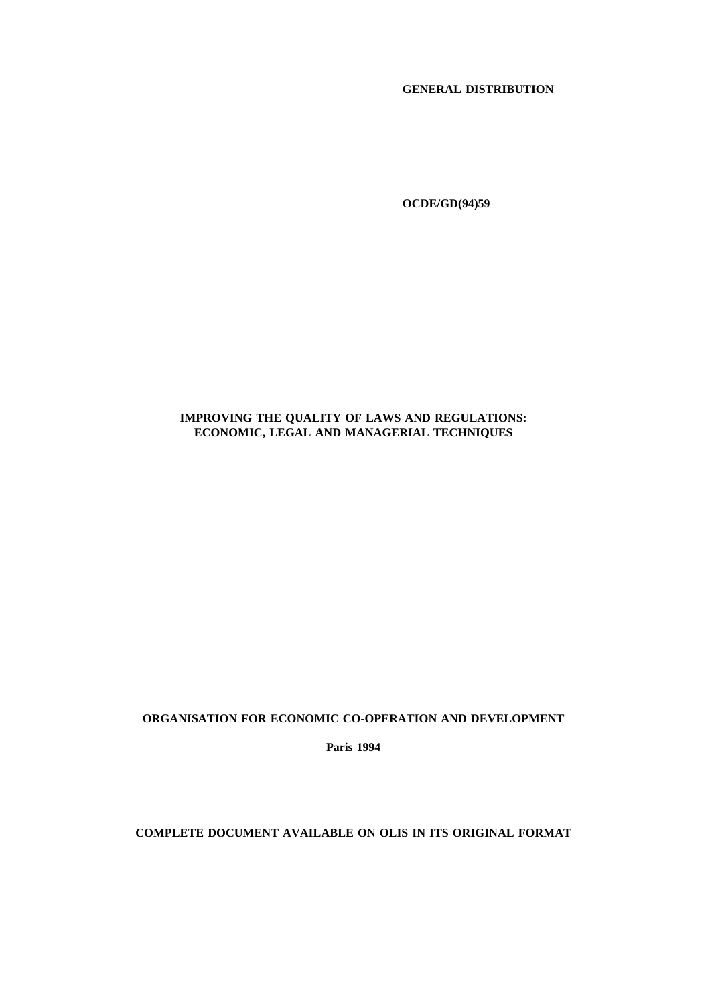### **GENERAL DISTRIBUTION**

**OCDE/GD(94)59**

### **IMPROVING THE QUALITY OF LAWS AND REGULATIONS: ECONOMIC, LEGAL AND MANAGERIAL TECHNIQUES**

#### **ORGANISATION FOR ECONOMIC CO-OPERATION AND DEVELOPMENT**

**Paris 1994**

### **COMPLETE DOCUMENT AVAILABLE ON OLIS IN ITS ORIGINAL FORMAT**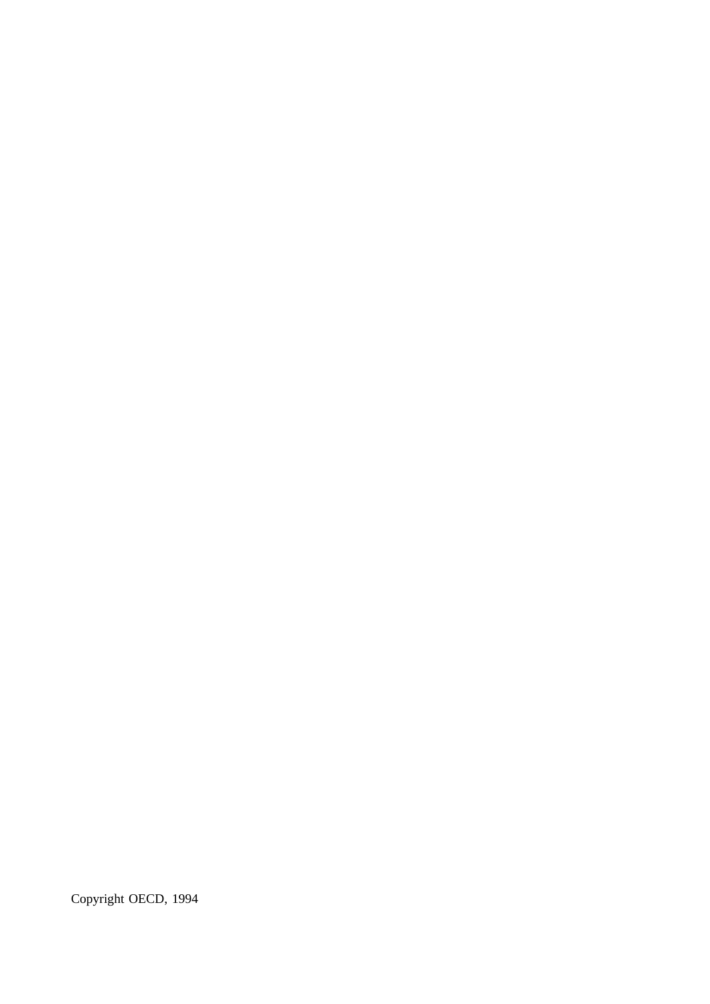Copyright OECD, 1994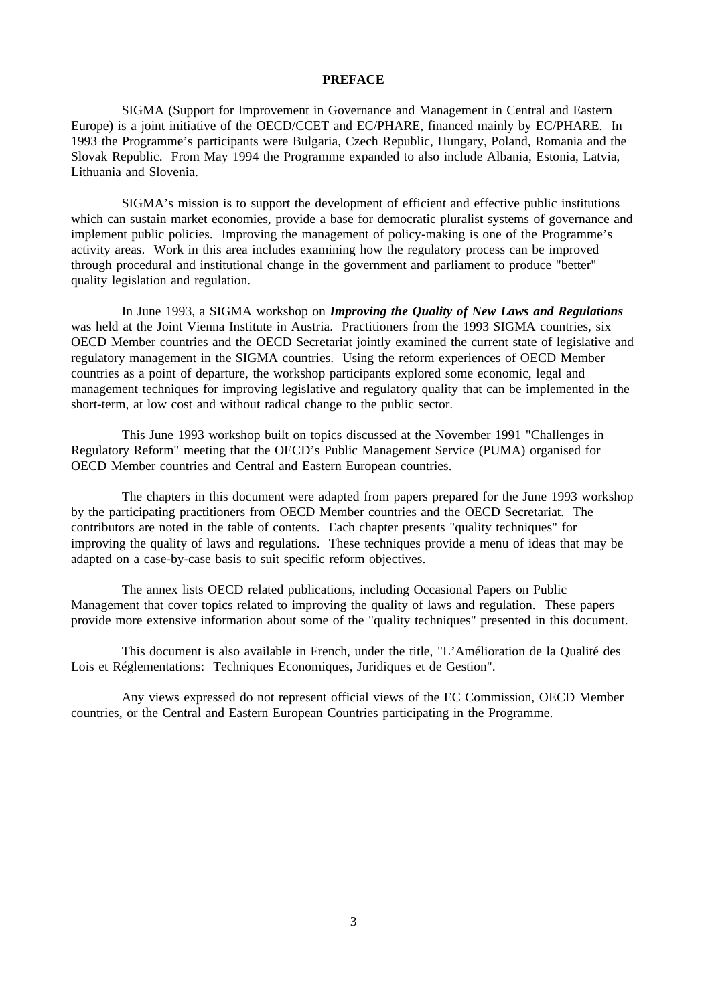#### **PREFACE**

SIGMA (Support for Improvement in Governance and Management in Central and Eastern Europe) is a joint initiative of the OECD/CCET and EC/PHARE, financed mainly by EC/PHARE. In 1993 the Programme's participants were Bulgaria, Czech Republic, Hungary, Poland, Romania and the Slovak Republic. From May 1994 the Programme expanded to also include Albania, Estonia, Latvia, Lithuania and Slovenia.

SIGMA's mission is to support the development of efficient and effective public institutions which can sustain market economies, provide a base for democratic pluralist systems of governance and implement public policies. Improving the management of policy-making is one of the Programme's activity areas. Work in this area includes examining how the regulatory process can be improved through procedural and institutional change in the government and parliament to produce "better" quality legislation and regulation.

In June 1993, a SIGMA workshop on *Improving the Quality of New Laws and Regulations* was held at the Joint Vienna Institute in Austria. Practitioners from the 1993 SIGMA countries, six OECD Member countries and the OECD Secretariat jointly examined the current state of legislative and regulatory management in the SIGMA countries. Using the reform experiences of OECD Member countries as a point of departure, the workshop participants explored some economic, legal and management techniques for improving legislative and regulatory quality that can be implemented in the short-term, at low cost and without radical change to the public sector.

This June 1993 workshop built on topics discussed at the November 1991 "Challenges in Regulatory Reform" meeting that the OECD's Public Management Service (PUMA) organised for OECD Member countries and Central and Eastern European countries.

The chapters in this document were adapted from papers prepared for the June 1993 workshop by the participating practitioners from OECD Member countries and the OECD Secretariat. The contributors are noted in the table of contents. Each chapter presents "quality techniques" for improving the quality of laws and regulations. These techniques provide a menu of ideas that may be adapted on a case-by-case basis to suit specific reform objectives.

The annex lists OECD related publications, including Occasional Papers on Public Management that cover topics related to improving the quality of laws and regulation. These papers provide more extensive information about some of the "quality techniques" presented in this document.

This document is also available in French, under the title, "L'Amélioration de la Qualité des Lois et Réglementations: Techniques Economiques, Juridiques et de Gestion".

Any views expressed do not represent official views of the EC Commission, OECD Member countries, or the Central and Eastern European Countries participating in the Programme.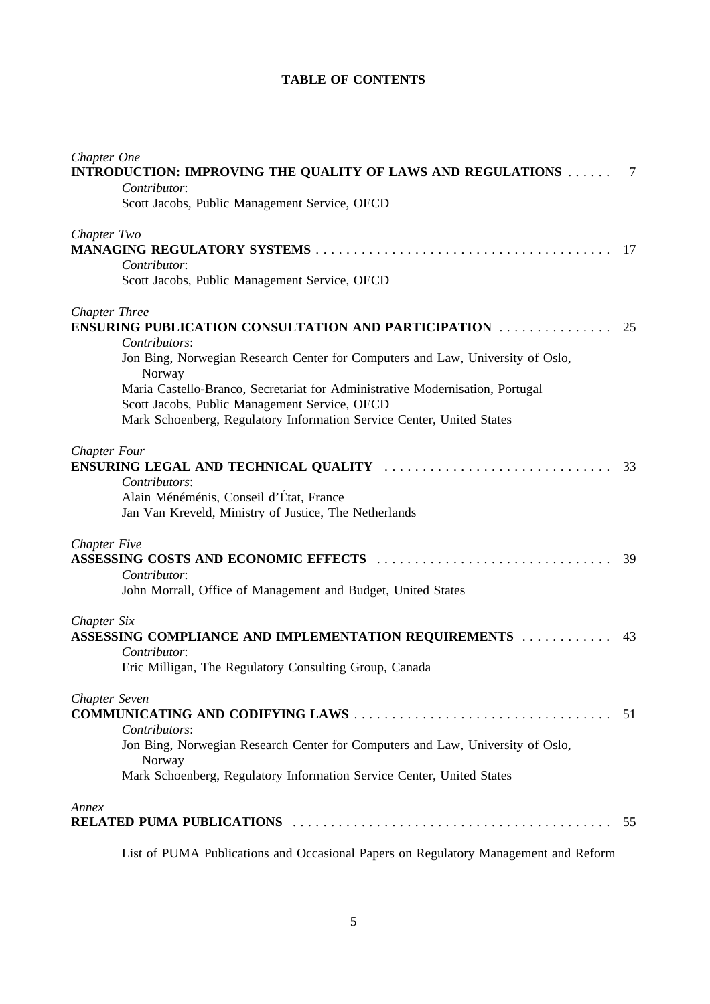## **TABLE OF CONTENTS**

| Chapter One                                                                                     |     |
|-------------------------------------------------------------------------------------------------|-----|
| INTRODUCTION: IMPROVING THE QUALITY OF LAWS AND REGULATIONS<br>Contributor:                     | -7  |
| Scott Jacobs, Public Management Service, OECD                                                   |     |
| Chapter Two                                                                                     |     |
|                                                                                                 | -17 |
| Contributor:                                                                                    |     |
| Scott Jacobs, Public Management Service, OECD                                                   |     |
| Chapter Three                                                                                   |     |
| ENSURING PUBLICATION CONSULTATION AND PARTICIPATION                                             | 25  |
| Contributors:                                                                                   |     |
| Jon Bing, Norwegian Research Center for Computers and Law, University of Oslo,<br>Norway        |     |
| Maria Castello-Branco, Secretariat for Administrative Modernisation, Portugal                   |     |
| Scott Jacobs, Public Management Service, OECD                                                   |     |
| Mark Schoenberg, Regulatory Information Service Center, United States                           |     |
| <b>Chapter Four</b>                                                                             |     |
| Contributors:                                                                                   | 33  |
| Alain Ménéménis, Conseil d'État, France                                                         |     |
| Jan Van Kreveld, Ministry of Justice, The Netherlands                                           |     |
| Chapter Five                                                                                    |     |
|                                                                                                 | 39  |
| Contributor:                                                                                    |     |
| John Morrall, Office of Management and Budget, United States                                    |     |
| Chapter Six                                                                                     |     |
| ASSESSING COMPLIANCE AND IMPLEMENTATION REQUIREMENTS                                            | 43  |
| Contributor:                                                                                    |     |
| Eric Milligan, The Regulatory Consulting Group, Canada                                          |     |
| Chapter Seven                                                                                   |     |
|                                                                                                 | 51  |
| Contributors:<br>Jon Bing, Norwegian Research Center for Computers and Law, University of Oslo, |     |
| Norway                                                                                          |     |
| Mark Schoenberg, Regulatory Information Service Center, United States                           |     |
| Annex                                                                                           |     |
|                                                                                                 | 55  |

List of PUMA Publications and Occasional Papers on Regulatory Management and Reform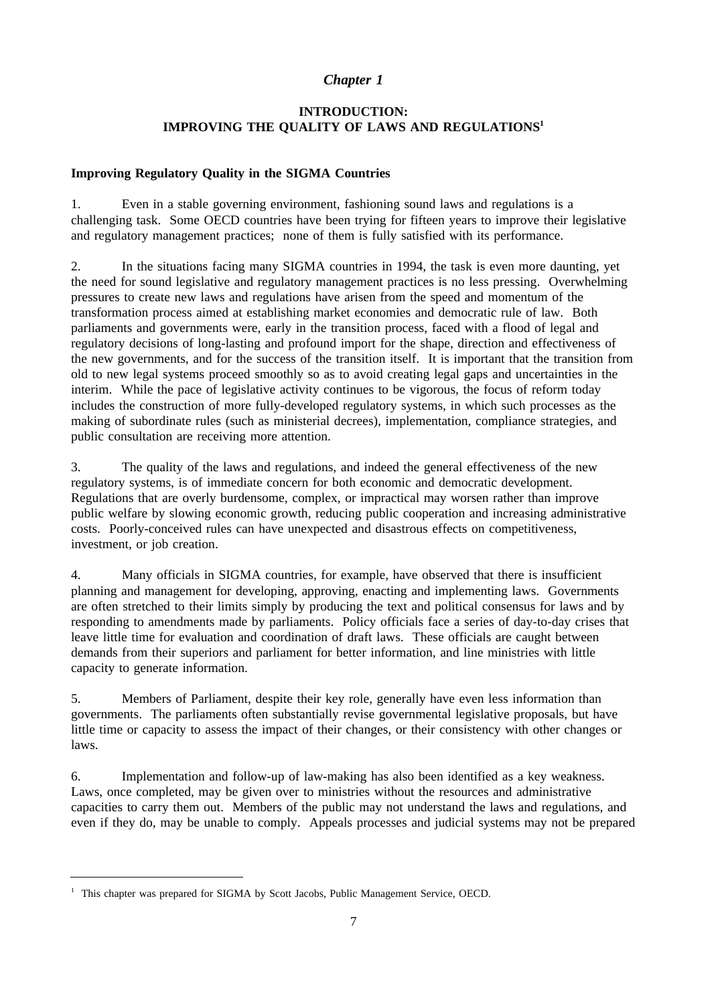## *Chapter 1*

## **INTRODUCTION: IMPROVING THE QUALITY OF LAWS AND REGULATIONS1**

### **Improving Regulatory Quality in the SIGMA Countries**

1. Even in a stable governing environment, fashioning sound laws and regulations is a challenging task. Some OECD countries have been trying for fifteen years to improve their legislative and regulatory management practices; none of them is fully satisfied with its performance.

2. In the situations facing many SIGMA countries in 1994, the task is even more daunting, yet the need for sound legislative and regulatory management practices is no less pressing. Overwhelming pressures to create new laws and regulations have arisen from the speed and momentum of the transformation process aimed at establishing market economies and democratic rule of law. Both parliaments and governments were, early in the transition process, faced with a flood of legal and regulatory decisions of long-lasting and profound import for the shape, direction and effectiveness of the new governments, and for the success of the transition itself. It is important that the transition from old to new legal systems proceed smoothly so as to avoid creating legal gaps and uncertainties in the interim. While the pace of legislative activity continues to be vigorous, the focus of reform today includes the construction of more fully-developed regulatory systems, in which such processes as the making of subordinate rules (such as ministerial decrees), implementation, compliance strategies, and public consultation are receiving more attention.

3. The quality of the laws and regulations, and indeed the general effectiveness of the new regulatory systems, is of immediate concern for both economic and democratic development. Regulations that are overly burdensome, complex, or impractical may worsen rather than improve public welfare by slowing economic growth, reducing public cooperation and increasing administrative costs. Poorly-conceived rules can have unexpected and disastrous effects on competitiveness, investment, or job creation.

4. Many officials in SIGMA countries, for example, have observed that there is insufficient planning and management for developing, approving, enacting and implementing laws. Governments are often stretched to their limits simply by producing the text and political consensus for laws and by responding to amendments made by parliaments. Policy officials face a series of day-to-day crises that leave little time for evaluation and coordination of draft laws. These officials are caught between demands from their superiors and parliament for better information, and line ministries with little capacity to generate information.

5. Members of Parliament, despite their key role, generally have even less information than governments. The parliaments often substantially revise governmental legislative proposals, but have little time or capacity to assess the impact of their changes, or their consistency with other changes or laws.

6. Implementation and follow-up of law-making has also been identified as a key weakness. Laws, once completed, may be given over to ministries without the resources and administrative capacities to carry them out. Members of the public may not understand the laws and regulations, and even if they do, may be unable to comply. Appeals processes and judicial systems may not be prepared

<sup>&</sup>lt;sup>1</sup> This chapter was prepared for SIGMA by Scott Jacobs, Public Management Service, OECD.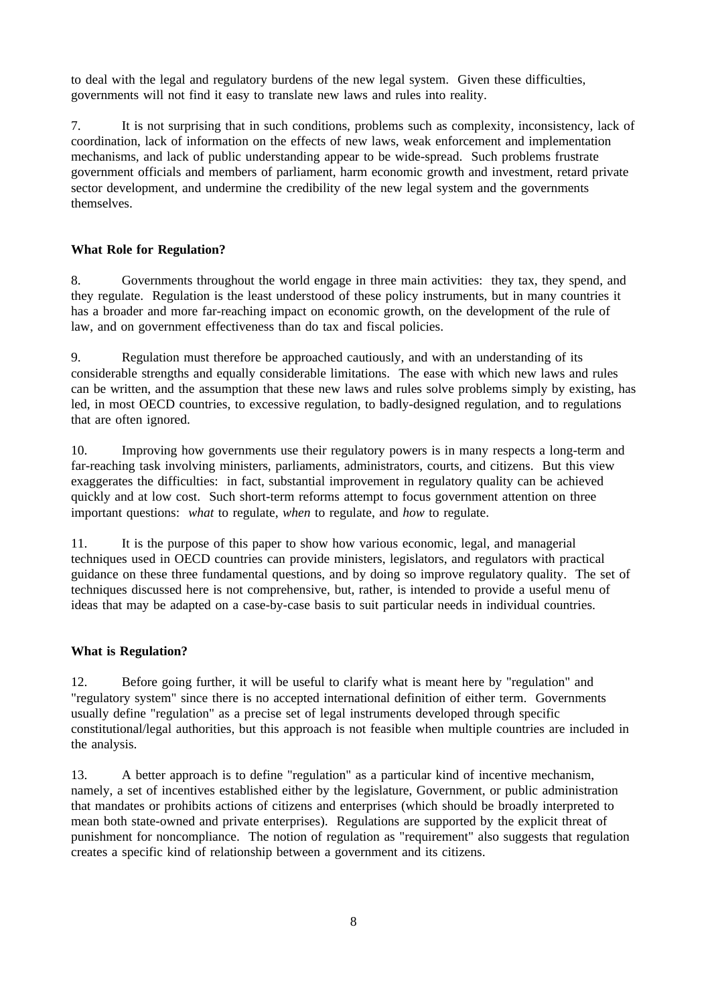to deal with the legal and regulatory burdens of the new legal system. Given these difficulties, governments will not find it easy to translate new laws and rules into reality.

7. It is not surprising that in such conditions, problems such as complexity, inconsistency, lack of coordination, lack of information on the effects of new laws, weak enforcement and implementation mechanisms, and lack of public understanding appear to be wide-spread. Such problems frustrate government officials and members of parliament, harm economic growth and investment, retard private sector development, and undermine the credibility of the new legal system and the governments themselves.

### **What Role for Regulation?**

8. Governments throughout the world engage in three main activities: they tax, they spend, and they regulate. Regulation is the least understood of these policy instruments, but in many countries it has a broader and more far-reaching impact on economic growth, on the development of the rule of law, and on government effectiveness than do tax and fiscal policies.

9. Regulation must therefore be approached cautiously, and with an understanding of its considerable strengths and equally considerable limitations. The ease with which new laws and rules can be written, and the assumption that these new laws and rules solve problems simply by existing, has led, in most OECD countries, to excessive regulation, to badly-designed regulation, and to regulations that are often ignored.

10. Improving how governments use their regulatory powers is in many respects a long-term and far-reaching task involving ministers, parliaments, administrators, courts, and citizens. But this view exaggerates the difficulties: in fact, substantial improvement in regulatory quality can be achieved quickly and at low cost. Such short-term reforms attempt to focus government attention on three important questions: *what* to regulate, *when* to regulate, and *how* to regulate.

11. It is the purpose of this paper to show how various economic, legal, and managerial techniques used in OECD countries can provide ministers, legislators, and regulators with practical guidance on these three fundamental questions, and by doing so improve regulatory quality. The set of techniques discussed here is not comprehensive, but, rather, is intended to provide a useful menu of ideas that may be adapted on a case-by-case basis to suit particular needs in individual countries.

#### **What is Regulation?**

12. Before going further, it will be useful to clarify what is meant here by "regulation" and "regulatory system" since there is no accepted international definition of either term. Governments usually define "regulation" as a precise set of legal instruments developed through specific constitutional/legal authorities, but this approach is not feasible when multiple countries are included in the analysis.

13. A better approach is to define "regulation" as a particular kind of incentive mechanism, namely, a set of incentives established either by the legislature, Government, or public administration that mandates or prohibits actions of citizens and enterprises (which should be broadly interpreted to mean both state-owned and private enterprises). Regulations are supported by the explicit threat of punishment for noncompliance. The notion of regulation as "requirement" also suggests that regulation creates a specific kind of relationship between a government and its citizens.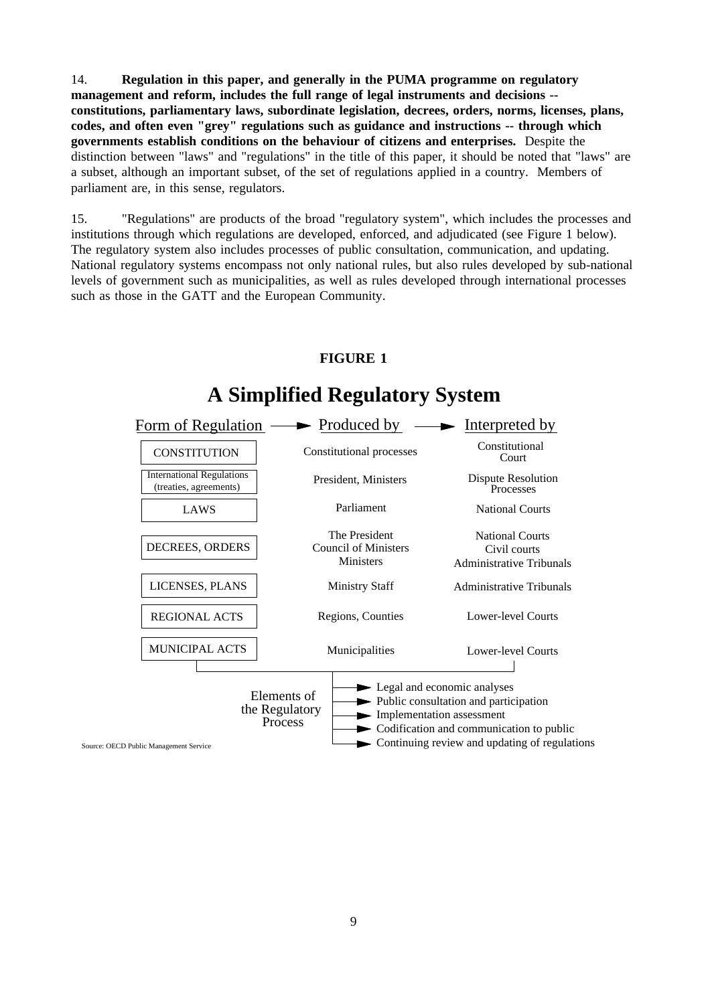14. **Regulation in this paper, and generally in the PUMA programme on regulatory management and reform, includes the full range of legal instruments and decisions - constitutions, parliamentary laws, subordinate legislation, decrees, orders, norms, licenses, plans, codes, and often even "grey" regulations such as guidance and instructions -- through which governments establish conditions on the behaviour of citizens and enterprises.** Despite the distinction between "laws" and "regulations" in the title of this paper, it should be noted that "laws" are a subset, although an important subset, of the set of regulations applied in a country. Members of parliament are, in this sense, regulators.

15. "Regulations" are products of the broad "regulatory system", which includes the processes and institutions through which regulations are developed, enforced, and adjudicated (see Figure 1 below). The regulatory system also includes processes of public consultation, communication, and updating. National regulatory systems encompass not only national rules, but also rules developed by sub-national levels of government such as municipalities, as well as rules developed through international processes such as those in the GATT and the European Community.

#### **CONSTITUTION A Simplified Regulatory System** LAWS Parliament Council of Ministers **Ministers** DECREES, ORDERS The President LICENSES, PLANS Ministry Staff Constitutional processes REGIONAL ACTS MUNICIPAL ACTS Regions, Counties Municipalities Constitutional Court Dispute Resolution National Courts Civil courts Administrative Tribunals Administrative Tribunals Lower-level Courts Lower-level Courts International Regulations (treaties, agreements) Public consultation and participation  $\rightarrow$  Codification and communication to public Continuing review and updating of regulations Form of Regulation  $\longrightarrow$  Produced by  $\longrightarrow$  Interpreted by President, Ministers National Courts Processes **Legal and economic analyses** Implementation assessment Elements of the Regulatory Process

## **FIGURE 1**

Source: OECD Public Management Service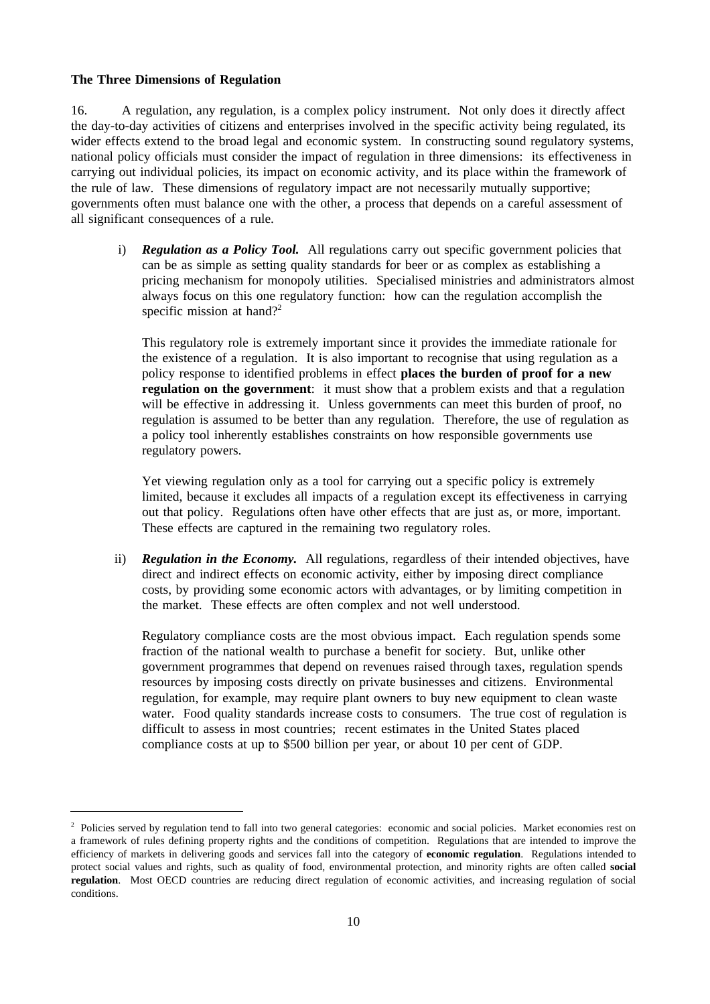#### **The Three Dimensions of Regulation**

16. A regulation, any regulation, is a complex policy instrument. Not only does it directly affect the day-to-day activities of citizens and enterprises involved in the specific activity being regulated, its wider effects extend to the broad legal and economic system. In constructing sound regulatory systems, national policy officials must consider the impact of regulation in three dimensions: its effectiveness in carrying out individual policies, its impact on economic activity, and its place within the framework of the rule of law. These dimensions of regulatory impact are not necessarily mutually supportive; governments often must balance one with the other, a process that depends on a careful assessment of all significant consequences of a rule.

i) **Regulation as a Policy Tool.** All regulations carry out specific government policies that can be as simple as setting quality standards for beer or as complex as establishing a pricing mechanism for monopoly utilities. Specialised ministries and administrators almost always focus on this one regulatory function: how can the regulation accomplish the specific mission at hand?<sup>2</sup>

This regulatory role is extremely important since it provides the immediate rationale for the existence of a regulation. It is also important to recognise that using regulation as a policy response to identified problems in effect **places the burden of proof for a new regulation on the government**: it must show that a problem exists and that a regulation will be effective in addressing it. Unless governments can meet this burden of proof, no regulation is assumed to be better than any regulation. Therefore, the use of regulation as a policy tool inherently establishes constraints on how responsible governments use regulatory powers.

Yet viewing regulation only as a tool for carrying out a specific policy is extremely limited, because it excludes all impacts of a regulation except its effectiveness in carrying out that policy. Regulations often have other effects that are just as, or more, important. These effects are captured in the remaining two regulatory roles.

ii) *Regulation in the Economy.* All regulations, regardless of their intended objectives, have direct and indirect effects on economic activity, either by imposing direct compliance costs, by providing some economic actors with advantages, or by limiting competition in the market. These effects are often complex and not well understood.

Regulatory compliance costs are the most obvious impact. Each regulation spends some fraction of the national wealth to purchase a benefit for society. But, unlike other government programmes that depend on revenues raised through taxes, regulation spends resources by imposing costs directly on private businesses and citizens. Environmental regulation, for example, may require plant owners to buy new equipment to clean waste water. Food quality standards increase costs to consumers. The true cost of regulation is difficult to assess in most countries; recent estimates in the United States placed compliance costs at up to \$500 billion per year, or about 10 per cent of GDP.

<sup>&</sup>lt;sup>2</sup> Policies served by regulation tend to fall into two general categories: economic and social policies. Market economies rest on a framework of rules defining property rights and the conditions of competition. Regulations that are intended to improve the efficiency of markets in delivering goods and services fall into the category of **economic regulation**. Regulations intended to protect social values and rights, such as quality of food, environmental protection, and minority rights are often called **social regulation**. Most OECD countries are reducing direct regulation of economic activities, and increasing regulation of social conditions.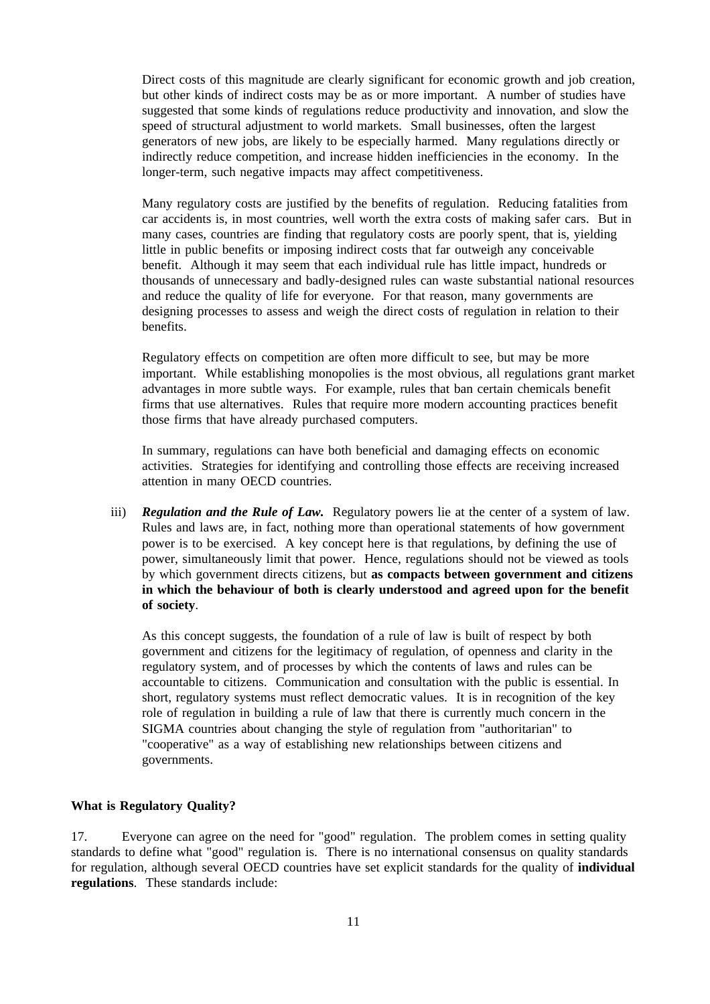Direct costs of this magnitude are clearly significant for economic growth and job creation, but other kinds of indirect costs may be as or more important. A number of studies have suggested that some kinds of regulations reduce productivity and innovation, and slow the speed of structural adjustment to world markets. Small businesses, often the largest generators of new jobs, are likely to be especially harmed. Many regulations directly or indirectly reduce competition, and increase hidden inefficiencies in the economy. In the longer-term, such negative impacts may affect competitiveness.

Many regulatory costs are justified by the benefits of regulation. Reducing fatalities from car accidents is, in most countries, well worth the extra costs of making safer cars. But in many cases, countries are finding that regulatory costs are poorly spent, that is, yielding little in public benefits or imposing indirect costs that far outweigh any conceivable benefit. Although it may seem that each individual rule has little impact, hundreds or thousands of unnecessary and badly-designed rules can waste substantial national resources and reduce the quality of life for everyone. For that reason, many governments are designing processes to assess and weigh the direct costs of regulation in relation to their benefits.

Regulatory effects on competition are often more difficult to see, but may be more important. While establishing monopolies is the most obvious, all regulations grant market advantages in more subtle ways. For example, rules that ban certain chemicals benefit firms that use alternatives. Rules that require more modern accounting practices benefit those firms that have already purchased computers.

In summary, regulations can have both beneficial and damaging effects on economic activities. Strategies for identifying and controlling those effects are receiving increased attention in many OECD countries.

iii) *Regulation and the Rule of Law.* Regulatory powers lie at the center of a system of law. Rules and laws are, in fact, nothing more than operational statements of how government power is to be exercised. A key concept here is that regulations, by defining the use of power, simultaneously limit that power. Hence, regulations should not be viewed as tools by which government directs citizens, but **as compacts between government and citizens in which the behaviour of both is clearly understood and agreed upon for the benefit of society**.

As this concept suggests, the foundation of a rule of law is built of respect by both government and citizens for the legitimacy of regulation, of openness and clarity in the regulatory system, and of processes by which the contents of laws and rules can be accountable to citizens. Communication and consultation with the public is essential. In short, regulatory systems must reflect democratic values. It is in recognition of the key role of regulation in building a rule of law that there is currently much concern in the SIGMA countries about changing the style of regulation from "authoritarian" to "cooperative" as a way of establishing new relationships between citizens and governments.

### **What is Regulatory Quality?**

17. Everyone can agree on the need for "good" regulation. The problem comes in setting quality standards to define what "good" regulation is. There is no international consensus on quality standards for regulation, although several OECD countries have set explicit standards for the quality of **individual regulations**. These standards include: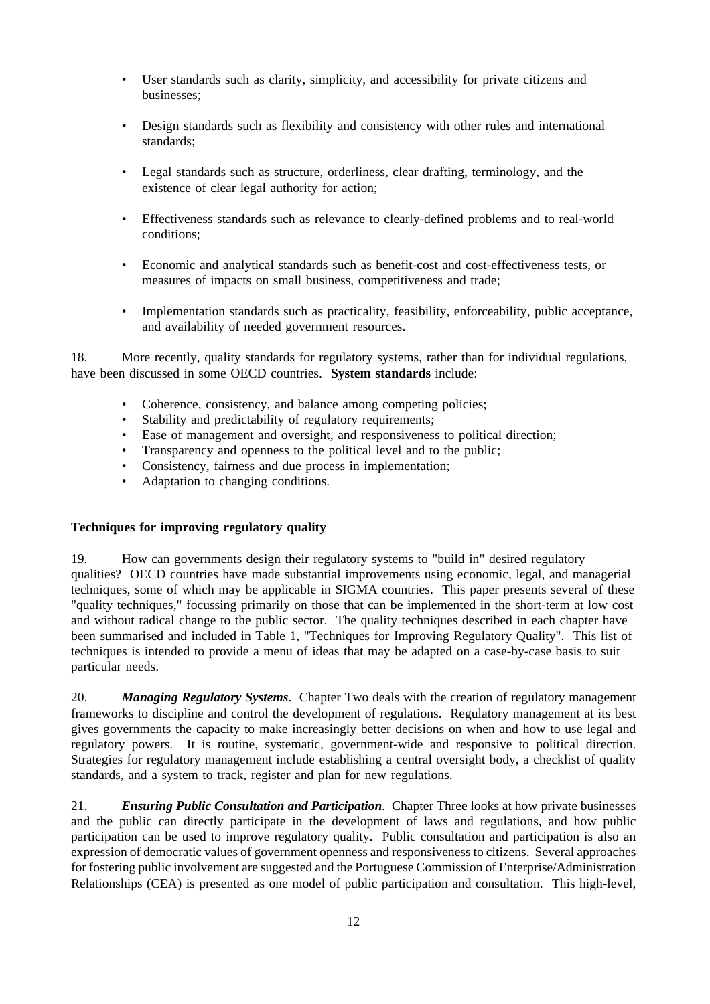- User standards such as clarity, simplicity, and accessibility for private citizens and businesses;
- Design standards such as flexibility and consistency with other rules and international standards;
- Legal standards such as structure, orderliness, clear drafting, terminology, and the existence of clear legal authority for action;
- Effectiveness standards such as relevance to clearly-defined problems and to real-world conditions;
- Economic and analytical standards such as benefit-cost and cost-effectiveness tests, or measures of impacts on small business, competitiveness and trade;
- Implementation standards such as practicality, feasibility, enforceability, public acceptance, and availability of needed government resources.

18. More recently, quality standards for regulatory systems, rather than for individual regulations, have been discussed in some OECD countries. **System standards** include:

- Coherence, consistency, and balance among competing policies;
- Stability and predictability of regulatory requirements;
- Ease of management and oversight, and responsiveness to political direction;
- Transparency and openness to the political level and to the public;
- Consistency, fairness and due process in implementation;
- Adaptation to changing conditions.

#### **Techniques for improving regulatory quality**

19. How can governments design their regulatory systems to "build in" desired regulatory qualities? OECD countries have made substantial improvements using economic, legal, and managerial techniques, some of which may be applicable in SIGMA countries. This paper presents several of these "quality techniques," focussing primarily on those that can be implemented in the short-term at low cost and without radical change to the public sector. The quality techniques described in each chapter have been summarised and included in Table 1, "Techniques for Improving Regulatory Quality". This list of techniques is intended to provide a menu of ideas that may be adapted on a case-by-case basis to suit particular needs.

20. *Managing Regulatory Systems*. Chapter Two deals with the creation of regulatory management frameworks to discipline and control the development of regulations. Regulatory management at its best gives governments the capacity to make increasingly better decisions on when and how to use legal and regulatory powers. It is routine, systematic, government-wide and responsive to political direction. Strategies for regulatory management include establishing a central oversight body, a checklist of quality standards, and a system to track, register and plan for new regulations.

21. *Ensuring Public Consultation and Participation*. Chapter Three looks at how private businesses and the public can directly participate in the development of laws and regulations, and how public participation can be used to improve regulatory quality. Public consultation and participation is also an expression of democratic values of government openness and responsiveness to citizens. Several approaches for fostering public involvement are suggested and the Portuguese Commission of Enterprise/Administration Relationships (CEA) is presented as one model of public participation and consultation. This high-level,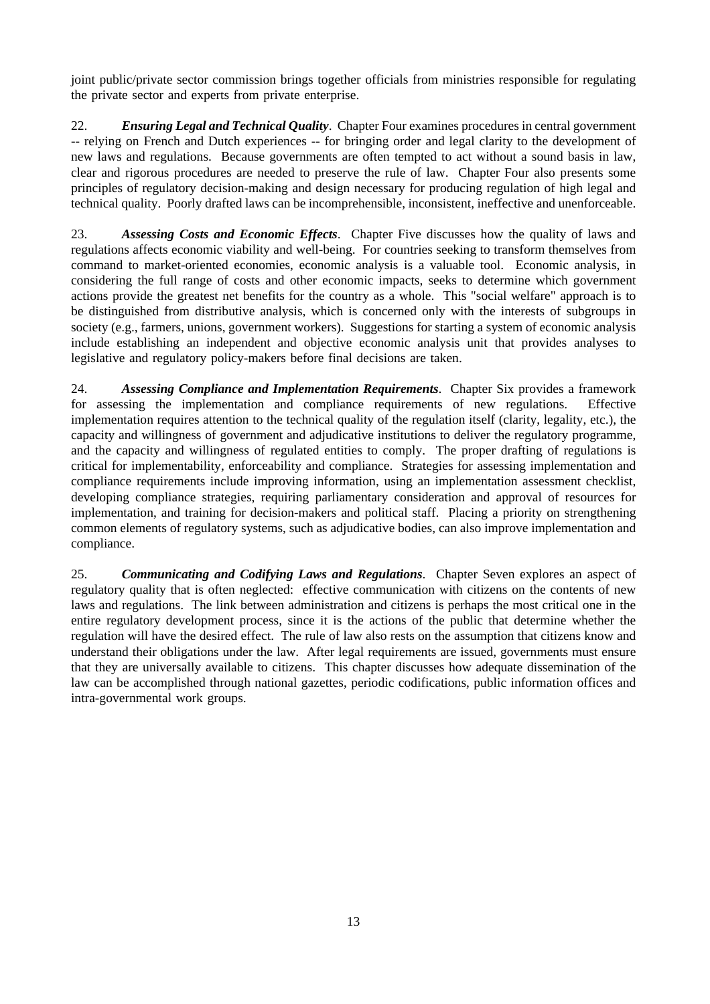joint public/private sector commission brings together officials from ministries responsible for regulating the private sector and experts from private enterprise.

22. *Ensuring Legal and Technical Quality*. Chapter Four examines procedures in central government -- relying on French and Dutch experiences -- for bringing order and legal clarity to the development of new laws and regulations. Because governments are often tempted to act without a sound basis in law, clear and rigorous procedures are needed to preserve the rule of law. Chapter Four also presents some principles of regulatory decision-making and design necessary for producing regulation of high legal and technical quality. Poorly drafted laws can be incomprehensible, inconsistent, ineffective and unenforceable.

23. *Assessing Costs and Economic Effects*. Chapter Five discusses how the quality of laws and regulations affects economic viability and well-being. For countries seeking to transform themselves from command to market-oriented economies, economic analysis is a valuable tool. Economic analysis, in considering the full range of costs and other economic impacts, seeks to determine which government actions provide the greatest net benefits for the country as a whole. This "social welfare" approach is to be distinguished from distributive analysis, which is concerned only with the interests of subgroups in society (e.g., farmers, unions, government workers). Suggestions for starting a system of economic analysis include establishing an independent and objective economic analysis unit that provides analyses to legislative and regulatory policy-makers before final decisions are taken.

24. *Assessing Compliance and Implementation Requirements*. Chapter Six provides a framework for assessing the implementation and compliance requirements of new regulations. Effective implementation requires attention to the technical quality of the regulation itself (clarity, legality, etc.), the capacity and willingness of government and adjudicative institutions to deliver the regulatory programme, and the capacity and willingness of regulated entities to comply. The proper drafting of regulations is critical for implementability, enforceability and compliance. Strategies for assessing implementation and compliance requirements include improving information, using an implementation assessment checklist, developing compliance strategies, requiring parliamentary consideration and approval of resources for implementation, and training for decision-makers and political staff. Placing a priority on strengthening common elements of regulatory systems, such as adjudicative bodies, can also improve implementation and compliance.

25. *Communicating and Codifying Laws and Regulations*. Chapter Seven explores an aspect of regulatory quality that is often neglected: effective communication with citizens on the contents of new laws and regulations. The link between administration and citizens is perhaps the most critical one in the entire regulatory development process, since it is the actions of the public that determine whether the regulation will have the desired effect. The rule of law also rests on the assumption that citizens know and understand their obligations under the law. After legal requirements are issued, governments must ensure that they are universally available to citizens. This chapter discusses how adequate dissemination of the law can be accomplished through national gazettes, periodic codifications, public information offices and intra-governmental work groups.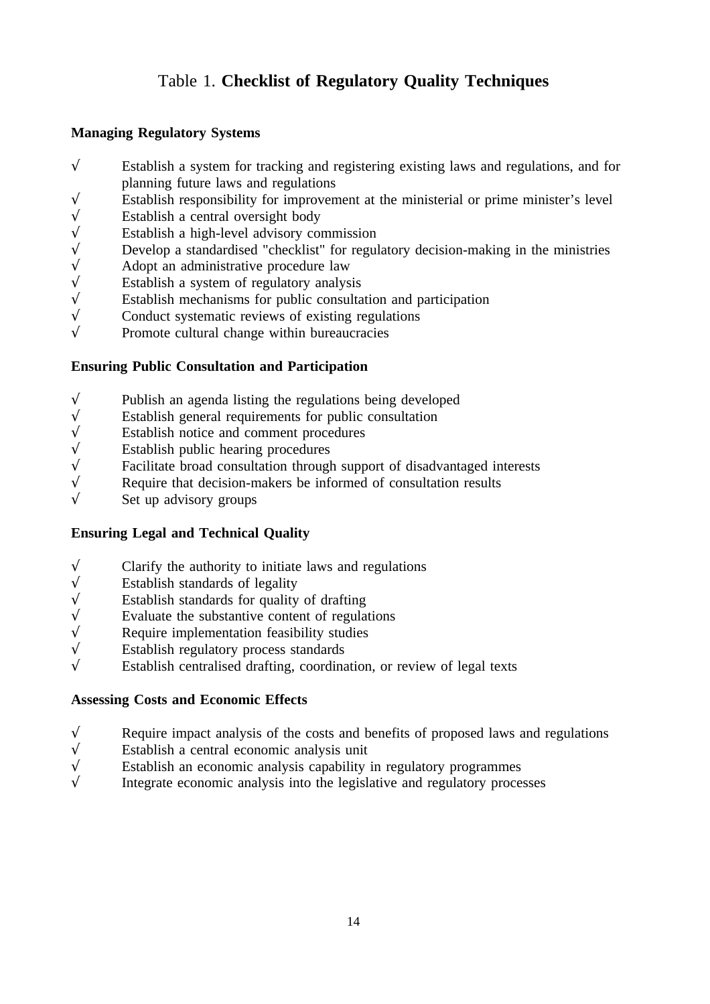# Table 1. **Checklist of Regulatory Quality Techniques**

## **Managing Regulatory Systems**

- $\sqrt{\ }$  Establish a system for tracking and registering existing laws and regulations, and for planning future laws and regulations
- $\sqrt{\frac{1}{\sqrt{1-\frac{1}{\sqrt{1-\frac{1}{\sqrt{1-\frac{1}{\sqrt{1-\frac{1}{\sqrt{1-\frac{1}{\sqrt{1-\frac{1}{\sqrt{1-\frac{1}{\sqrt{1-\frac{1}{\sqrt{1-\frac{1}{\sqrt{1-\frac{1}{\sqrt{1-\frac{1}{\sqrt{1-\frac{1}{\sqrt{1-\frac{1}{\sqrt{1-\frac{1}{\sqrt{1-\frac{1}{\sqrt{1-\frac{1}{\sqrt{1-\frac{1}{\sqrt{1-\frac{1}{\sqrt{1-\frac{1}{\sqrt{1-\frac{1}{\sqrt{1-\frac{1}{\sqrt{1-\frac{1}{\sqrt{1-\frac{1}{\sqrt{1-\frac$
- 
- Establish a high-level advisory commission
- √ Establish a central oversight body<br>  $\sqrt{\ }$  Establish a high-level advisory cor<br>
Develop a standardised "checklist"<br>
Adopt an administrative procedure<br>
Establish a system of regulatory and<br>
Establish mechanisms for publ Develop a standardised "checklist" for regulatory decision-making in the ministries
- Adopt an administrative procedure law
- Establish a system of regulatory analysis
- $\sqrt{\ }$  Establish mechanisms for public consultation and participation  $\sqrt{\ }$  Conduct systematic reviews of existing regulations
- Conduct systematic reviews of existing regulations
- $\sqrt{\ }$  Promote cultural change within bureaucracies

## **Ensuring Public Consultation and Participation**

- $\sqrt{\frac{1}{\sqrt{1-\frac{1}{\sqrt{1-\frac{1}{\sqrt{1-\frac{1}{\sqrt{1-\frac{1}{\sqrt{1-\frac{1}{\sqrt{1-\frac{1}{\sqrt{1-\frac{1}{\sqrt{1-\frac{1}{\sqrt{1-\frac{1}{\sqrt{1-\frac{1}{\sqrt{1-\frac{1}{\sqrt{1-\frac{1}{\sqrt{1-\frac{1}{\sqrt{1-\frac{1}{\sqrt{1-\frac{1}{\sqrt{1-\frac{1}{\sqrt{1-\frac{1}{\sqrt{1-\frac{1}{\sqrt{1-\frac{1}{\sqrt{1-\frac{1}{\sqrt{1-\frac{1}{\sqrt{1-\frac{1}{\sqrt{1-\frac{1}{\sqrt{1-\frac$
- $\sqrt{\ }$  Establish general requirements for public consultation  $\sqrt{\ }$
- $\sqrt{\frac{1}{1}}$  Establish notice and comment procedures
- $\sqrt{\ }$  Establish public hearing procedures  $\sqrt{\ }$  Facilitate broad consultation through
- $\sqrt{\ }$  Facilitate broad consultation through support of disadvantaged interests Require that decision-makers be informed of consultation results
- $\sqrt{\frac{1}{\sqrt{1-\lambda}}}$  Require that decision-makers be informed of consultation results
- Set up advisory groups

# **Ensuring Legal and Technical Quality**

- $\sqrt{\frac{1}{\sqrt{1}}\sqrt{\frac{1}{\sqrt{1}}}}$  Clarify the authority to initiate laws and regulations
- 
- Establish standards for quality of drafting
- $\begin{array}{ccc}\n\sqrt{\phantom{0}}\\
\end{array}$  Establish standards for quality<br>  $\begin{array}{ccc}\n\sqrt{\phantom{0}}\\
\end{array}$  Evaluate the substantive conte<br>  $\begin{array}{ccc}\n\sqrt{\phantom{0}}\\
\end{array}$  Establish regulatory process st Evaluate the substantive content of regulations
- Require implementation feasibility studies
- √ Establish regulatory process standards
- Establish centralised drafting, coordination, or review of legal texts

## **Assessing Costs and Economic Effects**

- $\sqrt{\ }$  Require impact analysis of the costs and benefits of proposed laws and regulations
- 
- $\sqrt{\frac{1}{\sqrt{1}}}$  Establish a central economic analysis unit <br>Establish an economic analysis capability <br>Integrate economic analysis into the legislary Establish an economic analysis capability in regulatory programmes
- Integrate economic analysis into the legislative and regulatory processes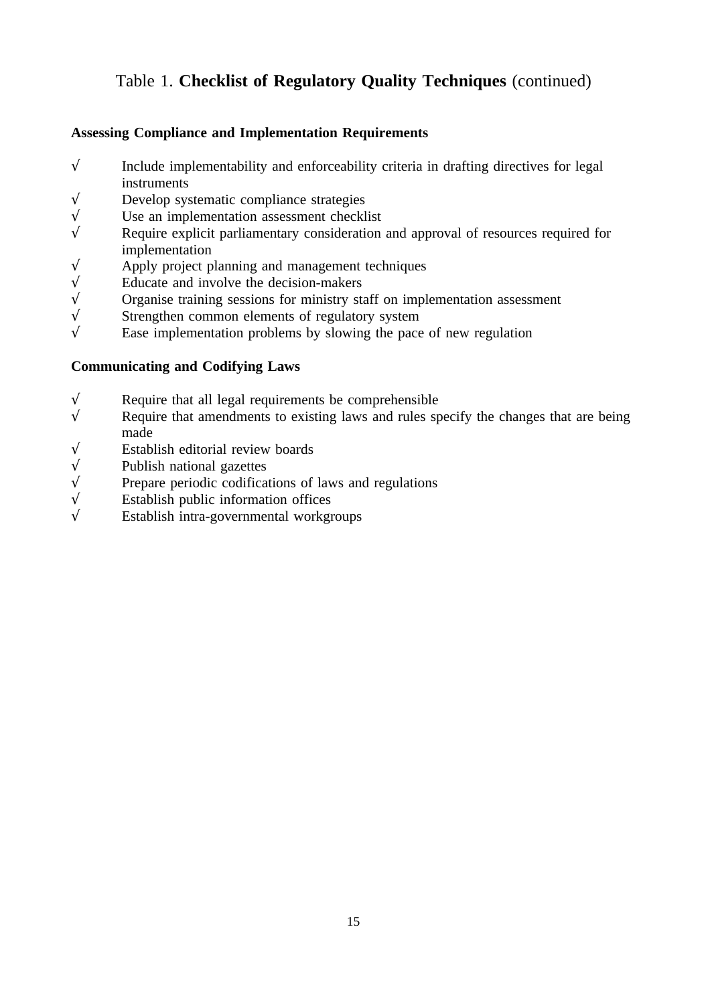# Table 1. **Checklist of Regulatory Quality Techniques** (continued)

# **Assessing Compliance and Implementation Requirements**

- $\sqrt{\ }$  Include implementability and enforceability criteria in drafting directives for legal instruments
- $\sqrt{\frac{1}{\sqrt{1-\lambda}}}$  Develop systematic compliance strategies
- $\sqrt{\frac{1}{\sqrt{1-\lambda}}}$  Use an implementation assessment checklist  $\sqrt{\frac{1}{\lambda}}$
- Require explicit parliamentary consideration and approval of resources required for implementation
- $\sqrt{\frac{1}{\sqrt{1-\lambda}}}$  Apply project planning and management techniques Educate and involve the decision-makers
- $\sqrt{\ }$  Educate and involve the decision-makers  $\sqrt{\ }$  Organise training sessions for ministry state
- $\sqrt{\ }$  Organise training sessions for ministry staff on implementation assessment  $\sqrt{\ }$  Strengthen common elements of regulatory system
- Strengthen common elements of regulatory system
- $\sqrt{\phantom{a}}$  Ease implementation problems by slowing the pace of new regulation

## **Communicating and Codifying Laws**

- $\sqrt{\ }$  Require that all legal requirements be comprehensible
- $\sqrt{\phantom{a}}$  Require that amendments to existing laws and rules specify the changes that are being made
- √ Establish editorial review boards
- 
- $\sqrt{\ }$  Publish national gazettes Prepare periodic codifica  $\sqrt{\ }$  Prepare periodic codifications of laws and regulations  $\sqrt{\ }$  Establish public information offices
- $\sqrt{\frac{1}{\sqrt{1-\frac{1}{\sqrt{1-\frac{1}{\sqrt{1-\frac{1}{\sqrt{1-\frac{1}{\sqrt{1-\frac{1}{\sqrt{1-\frac{1}{\sqrt{1-\frac{1}{\sqrt{1-\frac{1}{\sqrt{1-\frac{1}{\sqrt{1-\frac{1}{\sqrt{1-\frac{1}{\sqrt{1-\frac{1}{\sqrt{1-\frac{1}{\sqrt{1-\frac{1}{\sqrt{1-\frac{1}{\sqrt{1-\frac{1}{\sqrt{1-\frac{1}{\sqrt{1-\frac{1}{\sqrt{1-\frac{1}{\sqrt{1-\frac{1}{\sqrt{1-\frac{1}{\sqrt{1-\frac{1}{\sqrt{1-\frac{1}{\sqrt{1-\frac$
- √ Establish intra-governmental workgroups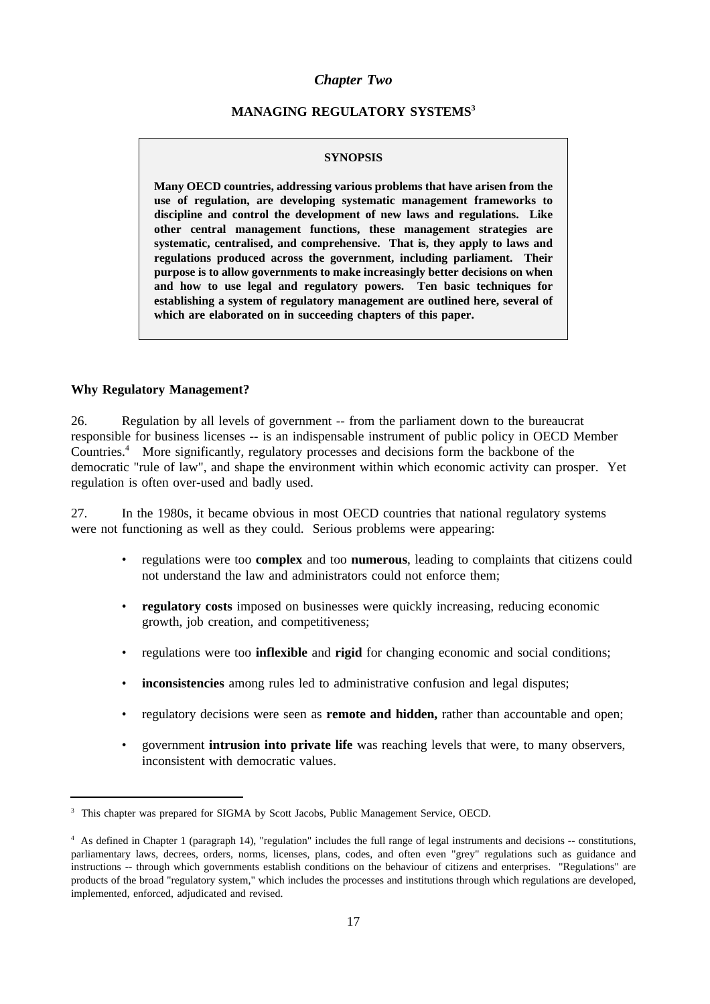### *Chapter Two*

### **MANAGING REGULATORY SYSTEMS3**

#### **SYNOPSIS**

**Many OECD countries, addressing various problems that have arisen from the use of regulation, are developing systematic management frameworks to discipline and control the development of new laws and regulations. Like other central management functions, these management strategies are systematic, centralised, and comprehensive. That is, they apply to laws and regulations produced across the government, including parliament. Their purpose is to allow governments to make increasingly better decisions on when and how to use legal and regulatory powers. Ten basic techniques for establishing a system of regulatory management are outlined here, several of which are elaborated on in succeeding chapters of this paper.**

#### **Why Regulatory Management?**

26. Regulation by all levels of government -- from the parliament down to the bureaucrat responsible for business licenses -- is an indispensable instrument of public policy in OECD Member Countries.4 More significantly, regulatory processes and decisions form the backbone of the democratic "rule of law", and shape the environment within which economic activity can prosper. Yet regulation is often over-used and badly used.

27. In the 1980s, it became obvious in most OECD countries that national regulatory systems were not functioning as well as they could. Serious problems were appearing:

- regulations were too **complex** and too **numerous**, leading to complaints that citizens could not understand the law and administrators could not enforce them;
- **regulatory costs** imposed on businesses were quickly increasing, reducing economic growth, job creation, and competitiveness;
- regulations were too **inflexible** and **rigid** for changing economic and social conditions;
- **inconsistencies** among rules led to administrative confusion and legal disputes;
- regulatory decisions were seen as **remote and hidden,** rather than accountable and open;
- government **intrusion into private life** was reaching levels that were, to many observers, inconsistent with democratic values.

<sup>3</sup> This chapter was prepared for SIGMA by Scott Jacobs, Public Management Service, OECD.

<sup>&</sup>lt;sup>4</sup> As defined in Chapter 1 (paragraph 14), "regulation" includes the full range of legal instruments and decisions -- constitutions, parliamentary laws, decrees, orders, norms, licenses, plans, codes, and often even "grey" regulations such as guidance and instructions -- through which governments establish conditions on the behaviour of citizens and enterprises. "Regulations" are products of the broad "regulatory system," which includes the processes and institutions through which regulations are developed, implemented, enforced, adjudicated and revised.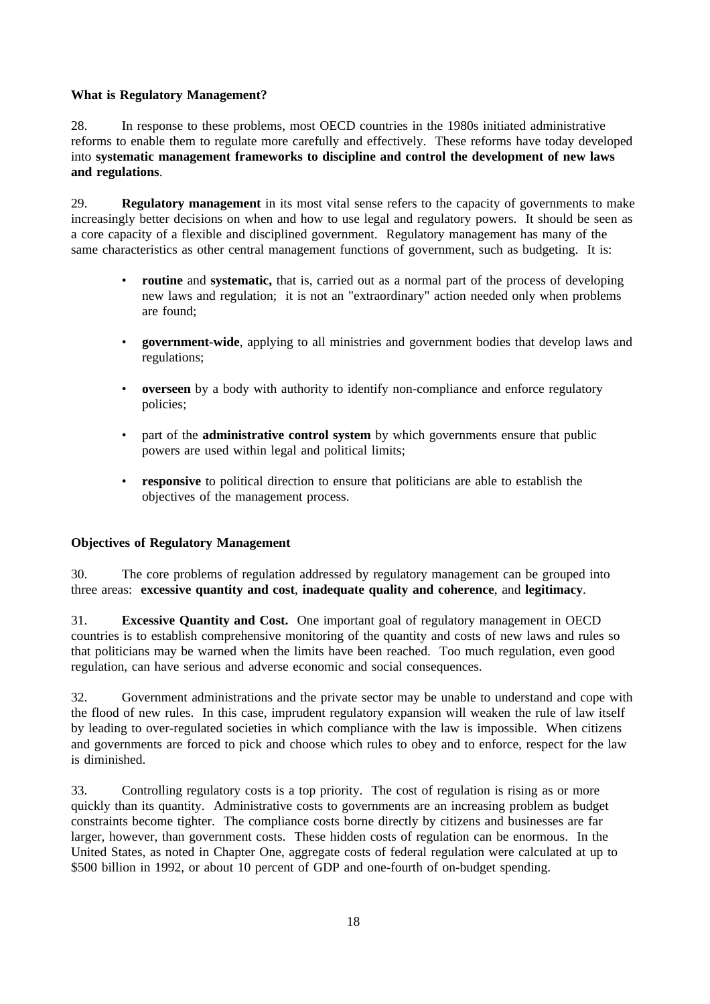### **What is Regulatory Management?**

28. In response to these problems, most OECD countries in the 1980s initiated administrative reforms to enable them to regulate more carefully and effectively. These reforms have today developed into **systematic management frameworks to discipline and control the development of new laws and regulations**.

29. **Regulatory management** in its most vital sense refers to the capacity of governments to make increasingly better decisions on when and how to use legal and regulatory powers. It should be seen as a core capacity of a flexible and disciplined government. Regulatory management has many of the same characteristics as other central management functions of government, such as budgeting. It is:

- **routine** and **systematic,** that is, carried out as a normal part of the process of developing new laws and regulation; it is not an "extraordinary" action needed only when problems are found;
- **government-wide**, applying to all ministries and government bodies that develop laws and regulations;
- **overseen** by a body with authority to identify non-compliance and enforce regulatory policies;
- part of the **administrative control system** by which governments ensure that public powers are used within legal and political limits;
- **responsive** to political direction to ensure that politicians are able to establish the objectives of the management process.

## **Objectives of Regulatory Management**

30. The core problems of regulation addressed by regulatory management can be grouped into three areas: **excessive quantity and cost**, **inadequate quality and coherence**, and **legitimacy**.

31. **Excessive Quantity and Cost.** One important goal of regulatory management in OECD countries is to establish comprehensive monitoring of the quantity and costs of new laws and rules so that politicians may be warned when the limits have been reached. Too much regulation, even good regulation, can have serious and adverse economic and social consequences.

32. Government administrations and the private sector may be unable to understand and cope with the flood of new rules. In this case, imprudent regulatory expansion will weaken the rule of law itself by leading to over-regulated societies in which compliance with the law is impossible. When citizens and governments are forced to pick and choose which rules to obey and to enforce, respect for the law is diminished.

33. Controlling regulatory costs is a top priority. The cost of regulation is rising as or more quickly than its quantity. Administrative costs to governments are an increasing problem as budget constraints become tighter. The compliance costs borne directly by citizens and businesses are far larger, however, than government costs. These hidden costs of regulation can be enormous. In the United States, as noted in Chapter One, aggregate costs of federal regulation were calculated at up to \$500 billion in 1992, or about 10 percent of GDP and one-fourth of on-budget spending.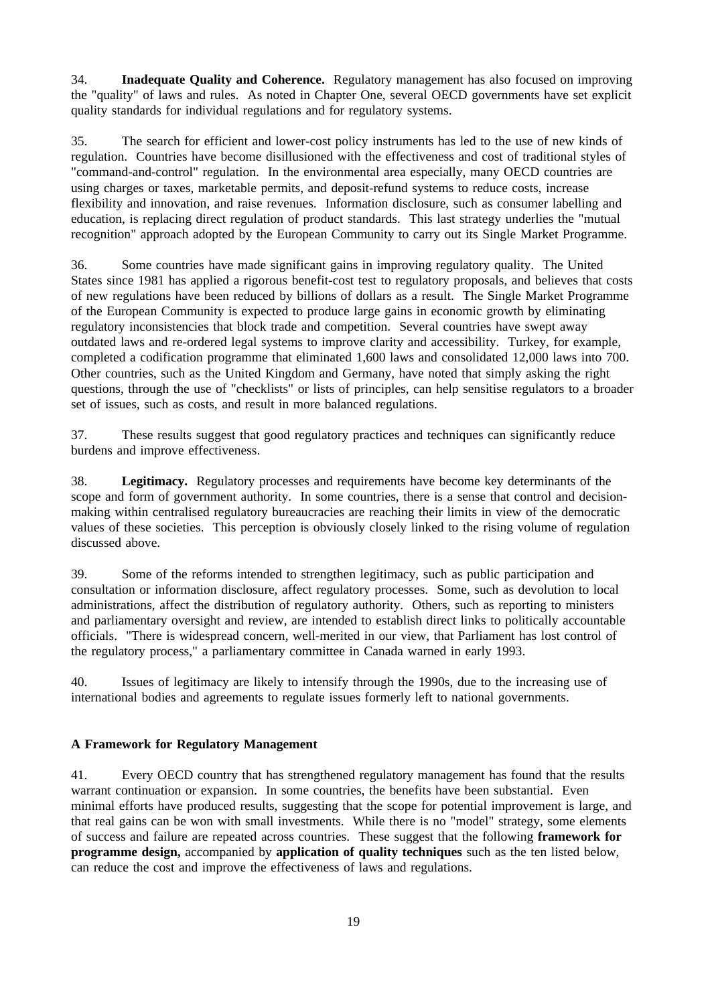34. **Inadequate Quality and Coherence.** Regulatory management has also focused on improving the "quality" of laws and rules. As noted in Chapter One, several OECD governments have set explicit quality standards for individual regulations and for regulatory systems.

35. The search for efficient and lower-cost policy instruments has led to the use of new kinds of regulation. Countries have become disillusioned with the effectiveness and cost of traditional styles of "command-and-control" regulation. In the environmental area especially, many OECD countries are using charges or taxes, marketable permits, and deposit-refund systems to reduce costs, increase flexibility and innovation, and raise revenues. Information disclosure, such as consumer labelling and education, is replacing direct regulation of product standards. This last strategy underlies the "mutual recognition" approach adopted by the European Community to carry out its Single Market Programme.

36. Some countries have made significant gains in improving regulatory quality. The United States since 1981 has applied a rigorous benefit-cost test to regulatory proposals, and believes that costs of new regulations have been reduced by billions of dollars as a result. The Single Market Programme of the European Community is expected to produce large gains in economic growth by eliminating regulatory inconsistencies that block trade and competition. Several countries have swept away outdated laws and re-ordered legal systems to improve clarity and accessibility. Turkey, for example, completed a codification programme that eliminated 1,600 laws and consolidated 12,000 laws into 700. Other countries, such as the United Kingdom and Germany, have noted that simply asking the right questions, through the use of "checklists" or lists of principles, can help sensitise regulators to a broader set of issues, such as costs, and result in more balanced regulations.

37. These results suggest that good regulatory practices and techniques can significantly reduce burdens and improve effectiveness.

38. **Legitimacy.** Regulatory processes and requirements have become key determinants of the scope and form of government authority. In some countries, there is a sense that control and decisionmaking within centralised regulatory bureaucracies are reaching their limits in view of the democratic values of these societies. This perception is obviously closely linked to the rising volume of regulation discussed above.

39. Some of the reforms intended to strengthen legitimacy, such as public participation and consultation or information disclosure, affect regulatory processes. Some, such as devolution to local administrations, affect the distribution of regulatory authority. Others, such as reporting to ministers and parliamentary oversight and review, are intended to establish direct links to politically accountable officials. "There is widespread concern, well-merited in our view, that Parliament has lost control of the regulatory process," a parliamentary committee in Canada warned in early 1993.

40. Issues of legitimacy are likely to intensify through the 1990s, due to the increasing use of international bodies and agreements to regulate issues formerly left to national governments.

### **A Framework for Regulatory Management**

41. Every OECD country that has strengthened regulatory management has found that the results warrant continuation or expansion. In some countries, the benefits have been substantial. Even minimal efforts have produced results, suggesting that the scope for potential improvement is large, and that real gains can be won with small investments. While there is no "model" strategy, some elements of success and failure are repeated across countries. These suggest that the following **framework for programme design,** accompanied by **application of quality techniques** such as the ten listed below, can reduce the cost and improve the effectiveness of laws and regulations.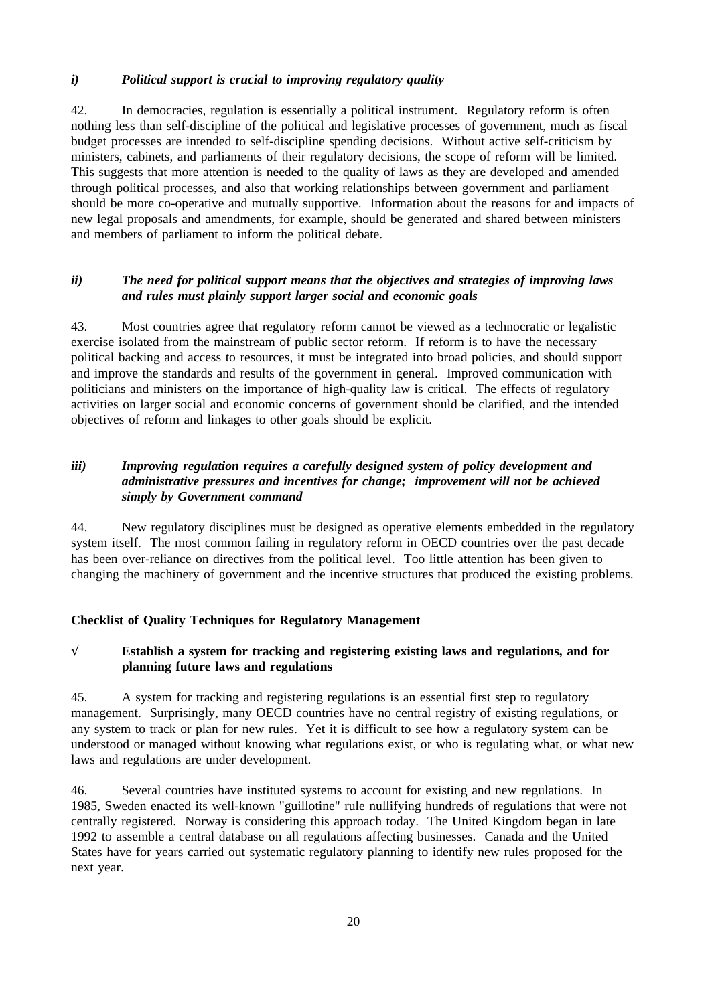### *i) Political support is crucial to improving regulatory quality*

42. In democracies, regulation is essentially a political instrument. Regulatory reform is often nothing less than self-discipline of the political and legislative processes of government, much as fiscal budget processes are intended to self-discipline spending decisions. Without active self-criticism by ministers, cabinets, and parliaments of their regulatory decisions, the scope of reform will be limited. This suggests that more attention is needed to the quality of laws as they are developed and amended through political processes, and also that working relationships between government and parliament should be more co-operative and mutually supportive. Information about the reasons for and impacts of new legal proposals and amendments, for example, should be generated and shared between ministers and members of parliament to inform the political debate.

## *ii) The need for political support means that the objectives and strategies of improving laws and rules must plainly support larger social and economic goals*

43. Most countries agree that regulatory reform cannot be viewed as a technocratic or legalistic exercise isolated from the mainstream of public sector reform. If reform is to have the necessary political backing and access to resources, it must be integrated into broad policies, and should support and improve the standards and results of the government in general. Improved communication with politicians and ministers on the importance of high-quality law is critical. The effects of regulatory activities on larger social and economic concerns of government should be clarified, and the intended objectives of reform and linkages to other goals should be explicit.

## *iii) Improving regulation requires a carefully designed system of policy development and administrative pressures and incentives for change; improvement will not be achieved simply by Government command*

44. New regulatory disciplines must be designed as operative elements embedded in the regulatory system itself. The most common failing in regulatory reform in OECD countries over the past decade has been over-reliance on directives from the political level. Too little attention has been given to changing the machinery of government and the incentive structures that produced the existing problems.

## **Checklist of Quality Techniques for Regulatory Management**

## √ **Establish a system for tracking and registering existing laws and regulations, and for planning future laws and regulations**

45. A system for tracking and registering regulations is an essential first step to regulatory management. Surprisingly, many OECD countries have no central registry of existing regulations, or any system to track or plan for new rules. Yet it is difficult to see how a regulatory system can be understood or managed without knowing what regulations exist, or who is regulating what, or what new laws and regulations are under development.

46. Several countries have instituted systems to account for existing and new regulations. In 1985, Sweden enacted its well-known "guillotine" rule nullifying hundreds of regulations that were not centrally registered. Norway is considering this approach today. The United Kingdom began in late 1992 to assemble a central database on all regulations affecting businesses. Canada and the United States have for years carried out systematic regulatory planning to identify new rules proposed for the next year.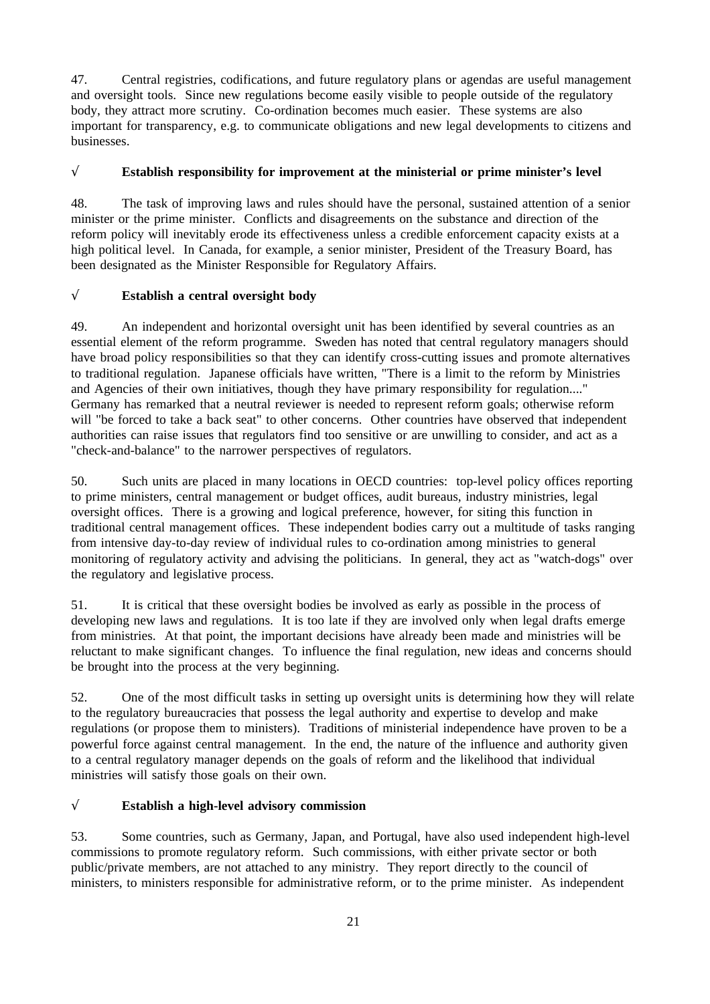47. Central registries, codifications, and future regulatory plans or agendas are useful management and oversight tools. Since new regulations become easily visible to people outside of the regulatory body, they attract more scrutiny. Co-ordination becomes much easier. These systems are also important for transparency, e.g. to communicate obligations and new legal developments to citizens and businesses.

## √ **Establish responsibility for improvement at the ministerial or prime minister's level**

48. The task of improving laws and rules should have the personal, sustained attention of a senior minister or the prime minister. Conflicts and disagreements on the substance and direction of the reform policy will inevitably erode its effectiveness unless a credible enforcement capacity exists at a high political level. In Canada, for example, a senior minister, President of the Treasury Board, has been designated as the Minister Responsible for Regulatory Affairs.

# √ **Establish a central oversight body**

49. An independent and horizontal oversight unit has been identified by several countries as an essential element of the reform programme. Sweden has noted that central regulatory managers should have broad policy responsibilities so that they can identify cross-cutting issues and promote alternatives to traditional regulation. Japanese officials have written, "There is a limit to the reform by Ministries and Agencies of their own initiatives, though they have primary responsibility for regulation...." Germany has remarked that a neutral reviewer is needed to represent reform goals; otherwise reform will "be forced to take a back seat" to other concerns. Other countries have observed that independent authorities can raise issues that regulators find too sensitive or are unwilling to consider, and act as a "check-and-balance" to the narrower perspectives of regulators.

50. Such units are placed in many locations in OECD countries: top-level policy offices reporting to prime ministers, central management or budget offices, audit bureaus, industry ministries, legal oversight offices. There is a growing and logical preference, however, for siting this function in traditional central management offices. These independent bodies carry out a multitude of tasks ranging from intensive day-to-day review of individual rules to co-ordination among ministries to general monitoring of regulatory activity and advising the politicians. In general, they act as "watch-dogs" over the regulatory and legislative process.

51. It is critical that these oversight bodies be involved as early as possible in the process of developing new laws and regulations. It is too late if they are involved only when legal drafts emerge from ministries. At that point, the important decisions have already been made and ministries will be reluctant to make significant changes. To influence the final regulation, new ideas and concerns should be brought into the process at the very beginning.

52. One of the most difficult tasks in setting up oversight units is determining how they will relate to the regulatory bureaucracies that possess the legal authority and expertise to develop and make regulations (or propose them to ministers). Traditions of ministerial independence have proven to be a powerful force against central management. In the end, the nature of the influence and authority given to a central regulatory manager depends on the goals of reform and the likelihood that individual ministries will satisfy those goals on their own.

## √ **Establish a high-level advisory commission**

53. Some countries, such as Germany, Japan, and Portugal, have also used independent high-level commissions to promote regulatory reform. Such commissions, with either private sector or both public/private members, are not attached to any ministry. They report directly to the council of ministers, to ministers responsible for administrative reform, or to the prime minister. As independent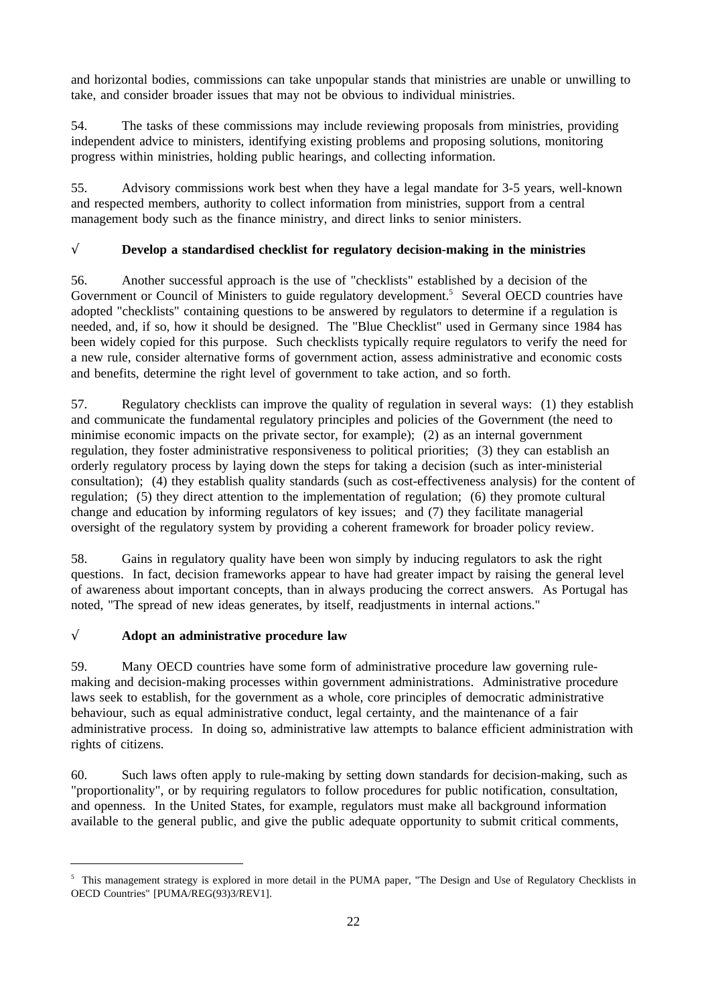and horizontal bodies, commissions can take unpopular stands that ministries are unable or unwilling to take, and consider broader issues that may not be obvious to individual ministries.

54. The tasks of these commissions may include reviewing proposals from ministries, providing independent advice to ministers, identifying existing problems and proposing solutions, monitoring progress within ministries, holding public hearings, and collecting information.

55. Advisory commissions work best when they have a legal mandate for 3-5 years, well-known and respected members, authority to collect information from ministries, support from a central management body such as the finance ministry, and direct links to senior ministers.

## √ **Develop a standardised checklist for regulatory decision-making in the ministries**

56. Another successful approach is the use of "checklists" established by a decision of the Government or Council of Ministers to guide regulatory development.<sup>5</sup> Several OECD countries have adopted "checklists" containing questions to be answered by regulators to determine if a regulation is needed, and, if so, how it should be designed. The "Blue Checklist" used in Germany since 1984 has been widely copied for this purpose. Such checklists typically require regulators to verify the need for a new rule, consider alternative forms of government action, assess administrative and economic costs and benefits, determine the right level of government to take action, and so forth.

57. Regulatory checklists can improve the quality of regulation in several ways: (1) they establish and communicate the fundamental regulatory principles and policies of the Government (the need to minimise economic impacts on the private sector, for example); (2) as an internal government regulation, they foster administrative responsiveness to political priorities; (3) they can establish an orderly regulatory process by laying down the steps for taking a decision (such as inter-ministerial consultation); (4) they establish quality standards (such as cost-effectiveness analysis) for the content of regulation; (5) they direct attention to the implementation of regulation; (6) they promote cultural change and education by informing regulators of key issues; and (7) they facilitate managerial oversight of the regulatory system by providing a coherent framework for broader policy review.

58. Gains in regulatory quality have been won simply by inducing regulators to ask the right questions. In fact, decision frameworks appear to have had greater impact by raising the general level of awareness about important concepts, than in always producing the correct answers. As Portugal has noted, "The spread of new ideas generates, by itself, readjustments in internal actions."

# √ **Adopt an administrative procedure law**

59. Many OECD countries have some form of administrative procedure law governing rulemaking and decision-making processes within government administrations. Administrative procedure laws seek to establish, for the government as a whole, core principles of democratic administrative behaviour, such as equal administrative conduct, legal certainty, and the maintenance of a fair administrative process. In doing so, administrative law attempts to balance efficient administration with rights of citizens.

60. Such laws often apply to rule-making by setting down standards for decision-making, such as "proportionality", or by requiring regulators to follow procedures for public notification, consultation, and openness. In the United States, for example, regulators must make all background information available to the general public, and give the public adequate opportunity to submit critical comments,

 $5$  This management strategy is explored in more detail in the PUMA paper, "The Design and Use of Regulatory Checklists in OECD Countries" [PUMA/REG(93)3/REV1].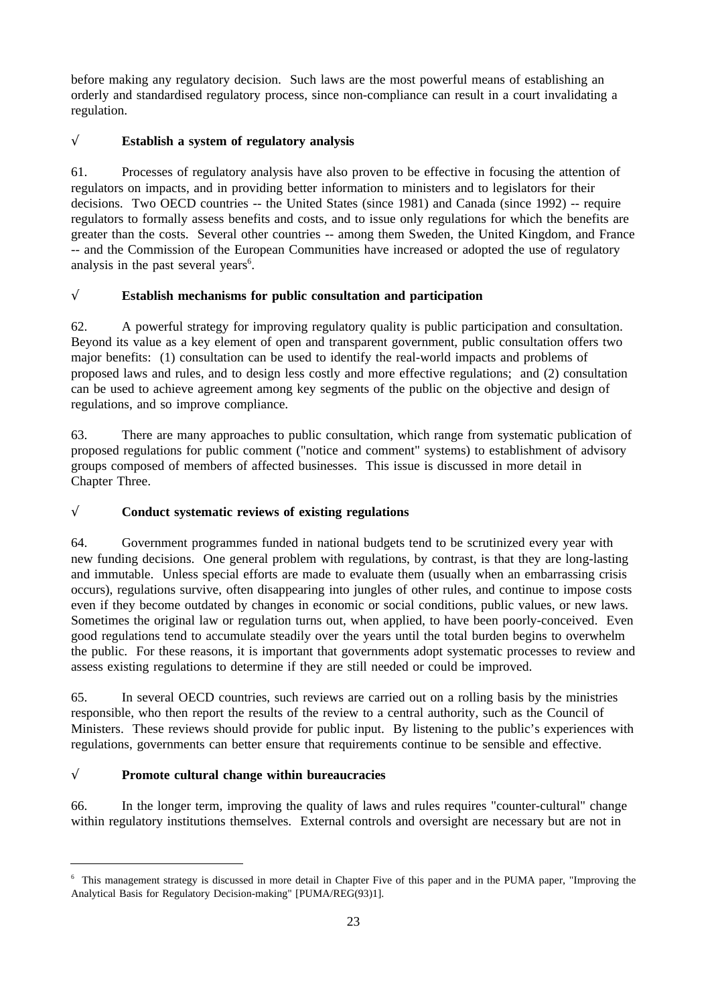before making any regulatory decision. Such laws are the most powerful means of establishing an orderly and standardised regulatory process, since non-compliance can result in a court invalidating a regulation.

# √ **Establish a system of regulatory analysis**

61. Processes of regulatory analysis have also proven to be effective in focusing the attention of regulators on impacts, and in providing better information to ministers and to legislators for their decisions. Two OECD countries -- the United States (since 1981) and Canada (since 1992) -- require regulators to formally assess benefits and costs, and to issue only regulations for which the benefits are greater than the costs. Several other countries -- among them Sweden, the United Kingdom, and France -- and the Commission of the European Communities have increased or adopted the use of regulatory analysis in the past several years<sup>6</sup>.

# √ **Establish mechanisms for public consultation and participation**

62. A powerful strategy for improving regulatory quality is public participation and consultation. Beyond its value as a key element of open and transparent government, public consultation offers two major benefits: (1) consultation can be used to identify the real-world impacts and problems of proposed laws and rules, and to design less costly and more effective regulations; and (2) consultation can be used to achieve agreement among key segments of the public on the objective and design of regulations, and so improve compliance.

63. There are many approaches to public consultation, which range from systematic publication of proposed regulations for public comment ("notice and comment" systems) to establishment of advisory groups composed of members of affected businesses. This issue is discussed in more detail in Chapter Three.

# √ **Conduct systematic reviews of existing regulations**

64. Government programmes funded in national budgets tend to be scrutinized every year with new funding decisions. One general problem with regulations, by contrast, is that they are long-lasting and immutable. Unless special efforts are made to evaluate them (usually when an embarrassing crisis occurs), regulations survive, often disappearing into jungles of other rules, and continue to impose costs even if they become outdated by changes in economic or social conditions, public values, or new laws. Sometimes the original law or regulation turns out, when applied, to have been poorly-conceived. Even good regulations tend to accumulate steadily over the years until the total burden begins to overwhelm the public. For these reasons, it is important that governments adopt systematic processes to review and assess existing regulations to determine if they are still needed or could be improved.

65. In several OECD countries, such reviews are carried out on a rolling basis by the ministries responsible, who then report the results of the review to a central authority, such as the Council of Ministers. These reviews should provide for public input. By listening to the public's experiences with regulations, governments can better ensure that requirements continue to be sensible and effective.

# √ **Promote cultural change within bureaucracies**

66. In the longer term, improving the quality of laws and rules requires "counter-cultural" change within regulatory institutions themselves. External controls and oversight are necessary but are not in

<sup>&</sup>lt;sup>6</sup> This management strategy is discussed in more detail in Chapter Five of this paper and in the PUMA paper, "Improving the Analytical Basis for Regulatory Decision-making" [PUMA/REG(93)1].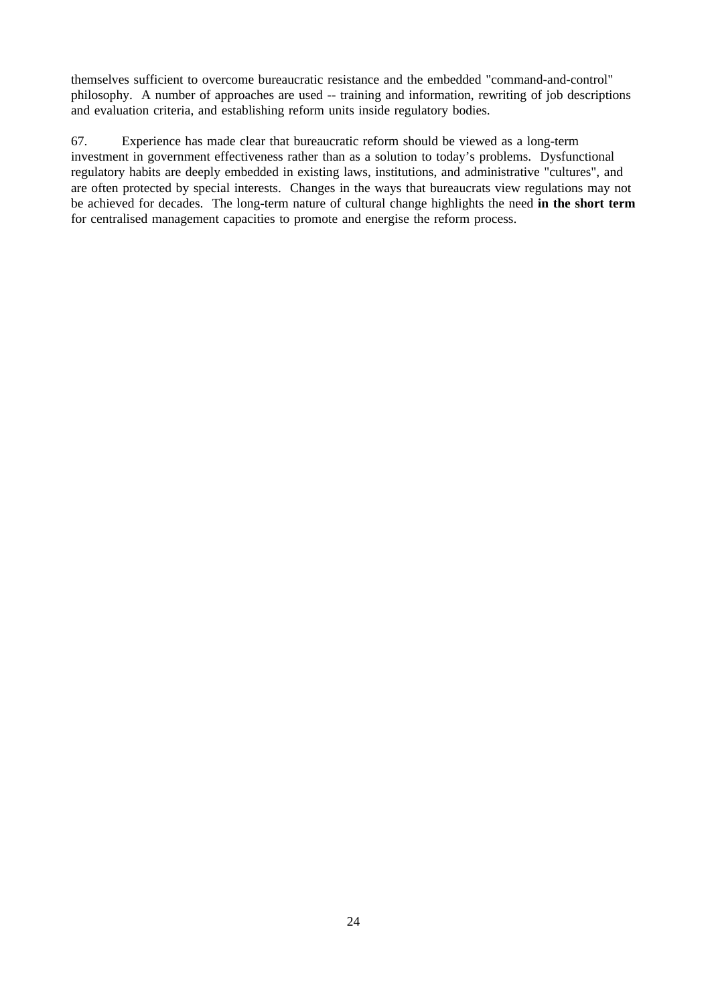themselves sufficient to overcome bureaucratic resistance and the embedded "command-and-control" philosophy. A number of approaches are used -- training and information, rewriting of job descriptions and evaluation criteria, and establishing reform units inside regulatory bodies.

67. Experience has made clear that bureaucratic reform should be viewed as a long-term investment in government effectiveness rather than as a solution to today's problems. Dysfunctional regulatory habits are deeply embedded in existing laws, institutions, and administrative "cultures", and are often protected by special interests. Changes in the ways that bureaucrats view regulations may not be achieved for decades. The long-term nature of cultural change highlights the need **in the short term** for centralised management capacities to promote and energise the reform process.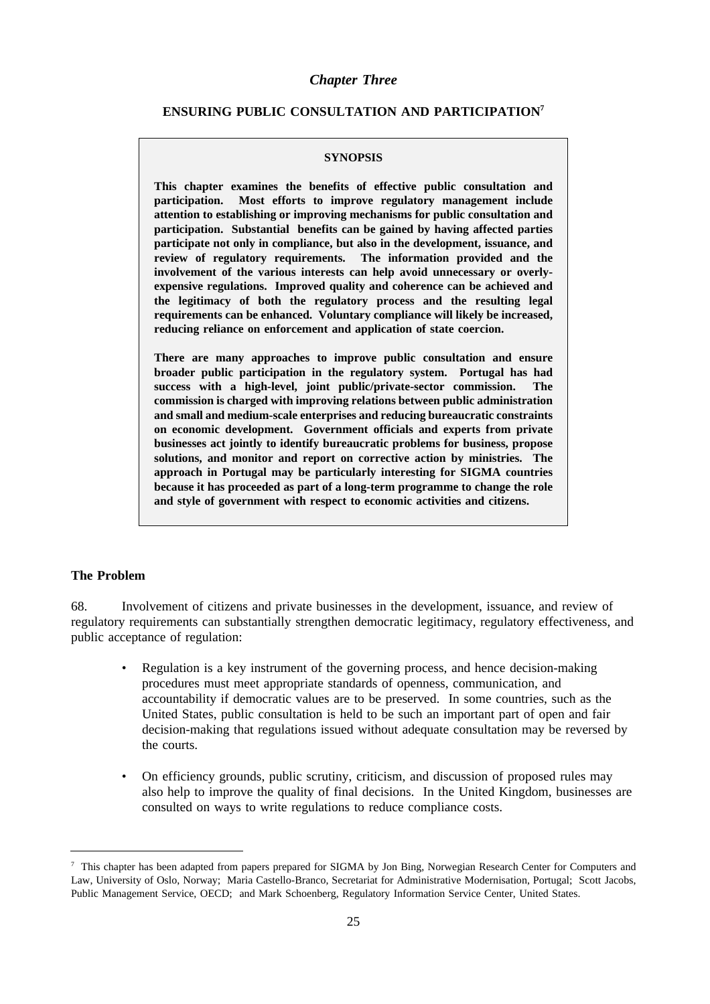#### *Chapter Three*

### **ENSURING PUBLIC CONSULTATION AND PARTICIPATION7**

#### **SYNOPSIS**

**This chapter examines the benefits of effective public consultation and participation. Most efforts to improve regulatory management include attention to establishing or improving mechanisms for public consultation and participation. Substantial benefits can be gained by having affected parties participate not only in compliance, but also in the development, issuance, and review of regulatory requirements. The information provided and the involvement of the various interests can help avoid unnecessary or overlyexpensive regulations. Improved quality and coherence can be achieved and the legitimacy of both the regulatory process and the resulting legal requirements can be enhanced. Voluntary compliance will likely be increased, reducing reliance on enforcement and application of state coercion.**

**There are many approaches to improve public consultation and ensure broader public participation in the regulatory system. Portugal has had success with a high-level, joint public/private-sector commission. The commission is charged with improving relations between public administration and small and medium-scale enterprises and reducing bureaucratic constraints on economic development. Government officials and experts from private businesses act jointly to identify bureaucratic problems for business, propose solutions, and monitor and report on corrective action by ministries. The approach in Portugal may be particularly interesting for SIGMA countries because it has proceeded as part of a long-term programme to change the role and style of government with respect to economic activities and citizens.**

#### **The Problem**

68. Involvement of citizens and private businesses in the development, issuance, and review of regulatory requirements can substantially strengthen democratic legitimacy, regulatory effectiveness, and public acceptance of regulation:

- Regulation is a key instrument of the governing process, and hence decision-making procedures must meet appropriate standards of openness, communication, and accountability if democratic values are to be preserved. In some countries, such as the United States, public consultation is held to be such an important part of open and fair decision-making that regulations issued without adequate consultation may be reversed by the courts.
- On efficiency grounds, public scrutiny, criticism, and discussion of proposed rules may also help to improve the quality of final decisions. In the United Kingdom, businesses are consulted on ways to write regulations to reduce compliance costs.

 $7$  This chapter has been adapted from papers prepared for SIGMA by Jon Bing, Norwegian Research Center for Computers and Law, University of Oslo, Norway; Maria Castello-Branco, Secretariat for Administrative Modernisation, Portugal; Scott Jacobs, Public Management Service, OECD; and Mark Schoenberg, Regulatory Information Service Center, United States.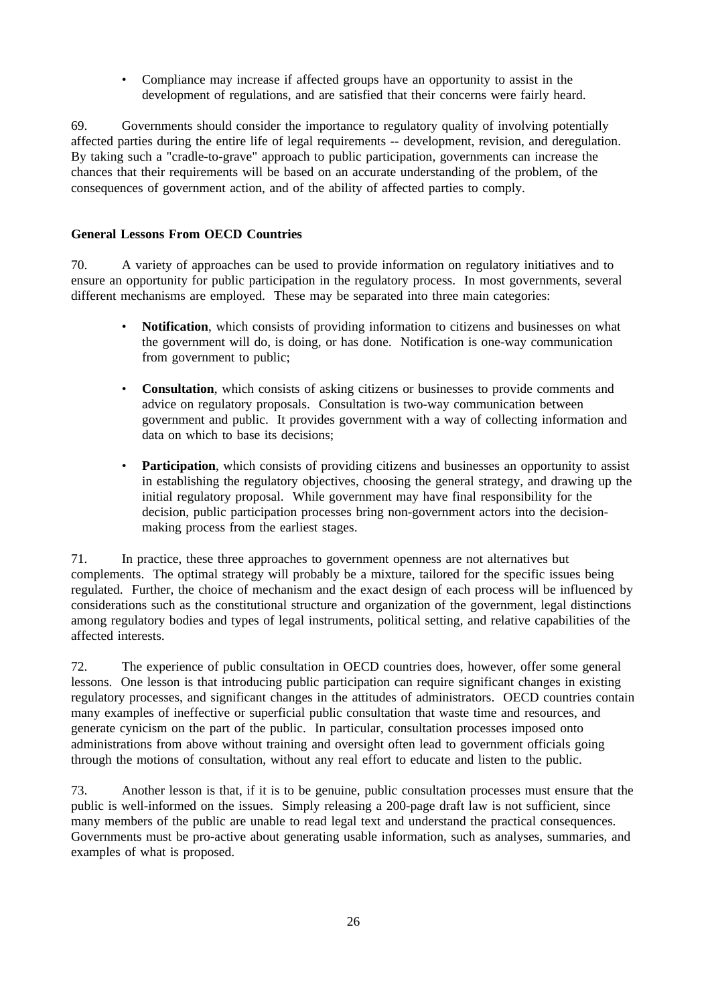• Compliance may increase if affected groups have an opportunity to assist in the development of regulations, and are satisfied that their concerns were fairly heard.

69. Governments should consider the importance to regulatory quality of involving potentially affected parties during the entire life of legal requirements -- development, revision, and deregulation. By taking such a "cradle-to-grave" approach to public participation, governments can increase the chances that their requirements will be based on an accurate understanding of the problem, of the consequences of government action, and of the ability of affected parties to comply.

### **General Lessons From OECD Countries**

70. A variety of approaches can be used to provide information on regulatory initiatives and to ensure an opportunity for public participation in the regulatory process. In most governments, several different mechanisms are employed. These may be separated into three main categories:

- **Notification**, which consists of providing information to citizens and businesses on what the government will do, is doing, or has done. Notification is one-way communication from government to public;
- **Consultation**, which consists of asking citizens or businesses to provide comments and advice on regulatory proposals. Consultation is two-way communication between government and public. It provides government with a way of collecting information and data on which to base its decisions;
- Participation, which consists of providing citizens and businesses an opportunity to assist in establishing the regulatory objectives, choosing the general strategy, and drawing up the initial regulatory proposal. While government may have final responsibility for the decision, public participation processes bring non-government actors into the decisionmaking process from the earliest stages.

71. In practice, these three approaches to government openness are not alternatives but complements. The optimal strategy will probably be a mixture, tailored for the specific issues being regulated. Further, the choice of mechanism and the exact design of each process will be influenced by considerations such as the constitutional structure and organization of the government, legal distinctions among regulatory bodies and types of legal instruments, political setting, and relative capabilities of the affected interests.

72. The experience of public consultation in OECD countries does, however, offer some general lessons. One lesson is that introducing public participation can require significant changes in existing regulatory processes, and significant changes in the attitudes of administrators. OECD countries contain many examples of ineffective or superficial public consultation that waste time and resources, and generate cynicism on the part of the public. In particular, consultation processes imposed onto administrations from above without training and oversight often lead to government officials going through the motions of consultation, without any real effort to educate and listen to the public.

73. Another lesson is that, if it is to be genuine, public consultation processes must ensure that the public is well-informed on the issues. Simply releasing a 200-page draft law is not sufficient, since many members of the public are unable to read legal text and understand the practical consequences. Governments must be pro-active about generating usable information, such as analyses, summaries, and examples of what is proposed.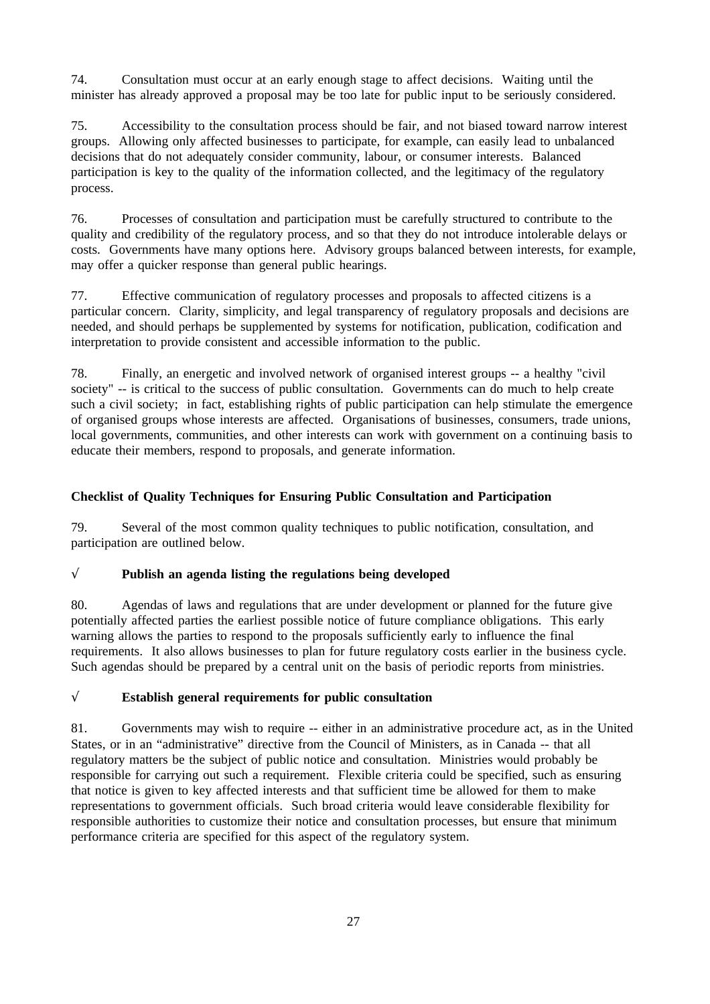74. Consultation must occur at an early enough stage to affect decisions. Waiting until the minister has already approved a proposal may be too late for public input to be seriously considered.

75. Accessibility to the consultation process should be fair, and not biased toward narrow interest groups. Allowing only affected businesses to participate, for example, can easily lead to unbalanced decisions that do not adequately consider community, labour, or consumer interests. Balanced participation is key to the quality of the information collected, and the legitimacy of the regulatory process.

76. Processes of consultation and participation must be carefully structured to contribute to the quality and credibility of the regulatory process, and so that they do not introduce intolerable delays or costs. Governments have many options here. Advisory groups balanced between interests, for example, may offer a quicker response than general public hearings.

77. Effective communication of regulatory processes and proposals to affected citizens is a particular concern. Clarity, simplicity, and legal transparency of regulatory proposals and decisions are needed, and should perhaps be supplemented by systems for notification, publication, codification and interpretation to provide consistent and accessible information to the public.

78. Finally, an energetic and involved network of organised interest groups -- a healthy "civil society" -- is critical to the success of public consultation. Governments can do much to help create such a civil society; in fact, establishing rights of public participation can help stimulate the emergence of organised groups whose interests are affected. Organisations of businesses, consumers, trade unions, local governments, communities, and other interests can work with government on a continuing basis to educate their members, respond to proposals, and generate information.

### **Checklist of Quality Techniques for Ensuring Public Consultation and Participation**

79. Several of the most common quality techniques to public notification, consultation, and participation are outlined below.

## √ **Publish an agenda listing the regulations being developed**

80. Agendas of laws and regulations that are under development or planned for the future give potentially affected parties the earliest possible notice of future compliance obligations. This early warning allows the parties to respond to the proposals sufficiently early to influence the final requirements. It also allows businesses to plan for future regulatory costs earlier in the business cycle. Such agendas should be prepared by a central unit on the basis of periodic reports from ministries.

## √ **Establish general requirements for public consultation**

81. Governments may wish to require -- either in an administrative procedure act, as in the United States, or in an "administrative" directive from the Council of Ministers, as in Canada -- that all regulatory matters be the subject of public notice and consultation. Ministries would probably be responsible for carrying out such a requirement. Flexible criteria could be specified, such as ensuring that notice is given to key affected interests and that sufficient time be allowed for them to make representations to government officials. Such broad criteria would leave considerable flexibility for responsible authorities to customize their notice and consultation processes, but ensure that minimum performance criteria are specified for this aspect of the regulatory system.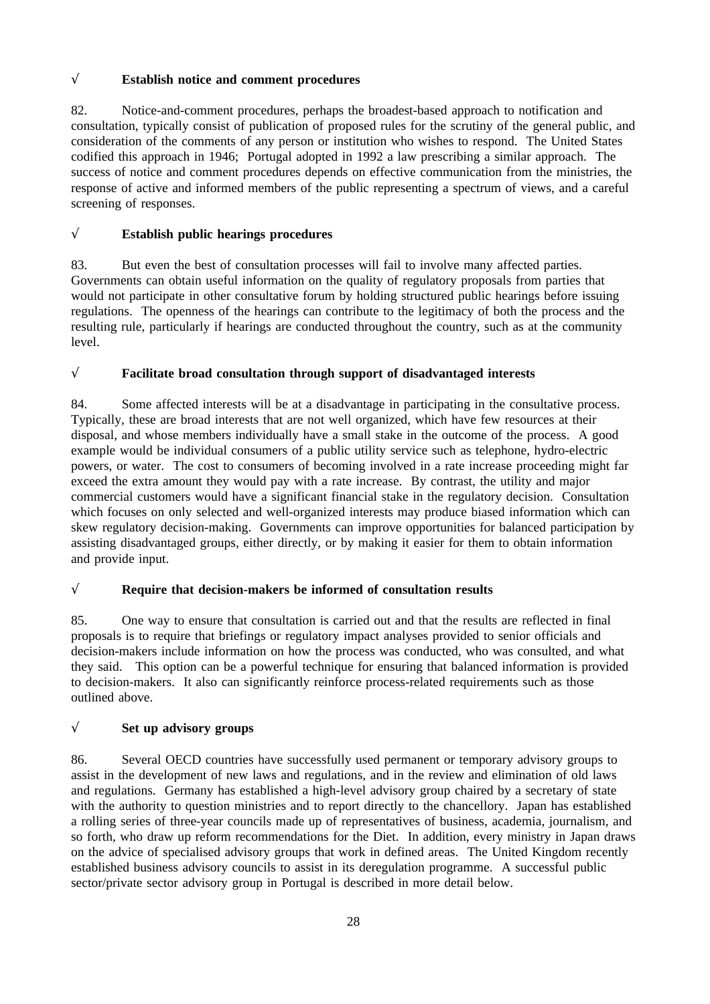## √ **Establish notice and comment procedures**

82. Notice-and-comment procedures, perhaps the broadest-based approach to notification and consultation, typically consist of publication of proposed rules for the scrutiny of the general public, and consideration of the comments of any person or institution who wishes to respond. The United States codified this approach in 1946; Portugal adopted in 1992 a law prescribing a similar approach. The success of notice and comment procedures depends on effective communication from the ministries, the response of active and informed members of the public representing a spectrum of views, and a careful screening of responses.

# √ **Establish public hearings procedures**

83. But even the best of consultation processes will fail to involve many affected parties. Governments can obtain useful information on the quality of regulatory proposals from parties that would not participate in other consultative forum by holding structured public hearings before issuing regulations. The openness of the hearings can contribute to the legitimacy of both the process and the resulting rule, particularly if hearings are conducted throughout the country, such as at the community level.

# √ **Facilitate broad consultation through support of disadvantaged interests**

84. Some affected interests will be at a disadvantage in participating in the consultative process. Typically, these are broad interests that are not well organized, which have few resources at their disposal, and whose members individually have a small stake in the outcome of the process. A good example would be individual consumers of a public utility service such as telephone, hydro-electric powers, or water. The cost to consumers of becoming involved in a rate increase proceeding might far exceed the extra amount they would pay with a rate increase. By contrast, the utility and major commercial customers would have a significant financial stake in the regulatory decision. Consultation which focuses on only selected and well-organized interests may produce biased information which can skew regulatory decision-making. Governments can improve opportunities for balanced participation by assisting disadvantaged groups, either directly, or by making it easier for them to obtain information and provide input.

# √ **Require that decision-makers be informed of consultation results**

85. One way to ensure that consultation is carried out and that the results are reflected in final proposals is to require that briefings or regulatory impact analyses provided to senior officials and decision-makers include information on how the process was conducted, who was consulted, and what they said. This option can be a powerful technique for ensuring that balanced information is provided to decision-makers. It also can significantly reinforce process-related requirements such as those outlined above.

## √ **Set up advisory groups**

86. Several OECD countries have successfully used permanent or temporary advisory groups to assist in the development of new laws and regulations, and in the review and elimination of old laws and regulations. Germany has established a high-level advisory group chaired by a secretary of state with the authority to question ministries and to report directly to the chancellory. Japan has established a rolling series of three-year councils made up of representatives of business, academia, journalism, and so forth, who draw up reform recommendations for the Diet. In addition, every ministry in Japan draws on the advice of specialised advisory groups that work in defined areas. The United Kingdom recently established business advisory councils to assist in its deregulation programme. A successful public sector/private sector advisory group in Portugal is described in more detail below.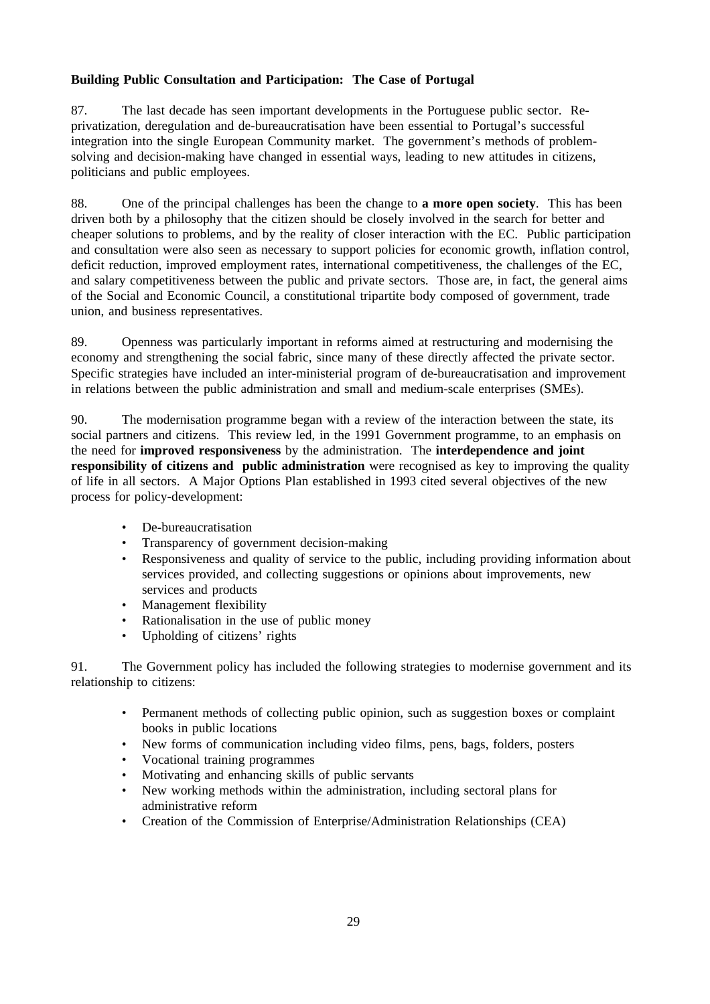## **Building Public Consultation and Participation: The Case of Portugal**

87. The last decade has seen important developments in the Portuguese public sector. Reprivatization, deregulation and de-bureaucratisation have been essential to Portugal's successful integration into the single European Community market. The government's methods of problemsolving and decision-making have changed in essential ways, leading to new attitudes in citizens, politicians and public employees.

88. One of the principal challenges has been the change to **a more open society**. This has been driven both by a philosophy that the citizen should be closely involved in the search for better and cheaper solutions to problems, and by the reality of closer interaction with the EC. Public participation and consultation were also seen as necessary to support policies for economic growth, inflation control, deficit reduction, improved employment rates, international competitiveness, the challenges of the EC, and salary competitiveness between the public and private sectors. Those are, in fact, the general aims of the Social and Economic Council, a constitutional tripartite body composed of government, trade union, and business representatives.

89. Openness was particularly important in reforms aimed at restructuring and modernising the economy and strengthening the social fabric, since many of these directly affected the private sector. Specific strategies have included an inter-ministerial program of de-bureaucratisation and improvement in relations between the public administration and small and medium-scale enterprises (SMEs).

90. The modernisation programme began with a review of the interaction between the state, its social partners and citizens. This review led, in the 1991 Government programme, to an emphasis on the need for **improved responsiveness** by the administration. The **interdependence and joint responsibility of citizens and public administration** were recognised as key to improving the quality of life in all sectors. A Major Options Plan established in 1993 cited several objectives of the new process for policy-development:

- De-bureaucratisation
- Transparency of government decision-making
- Responsiveness and quality of service to the public, including providing information about services provided, and collecting suggestions or opinions about improvements, new services and products
- Management flexibility
- Rationalisation in the use of public money
- Upholding of citizens' rights

91. The Government policy has included the following strategies to modernise government and its relationship to citizens:

- Permanent methods of collecting public opinion, such as suggestion boxes or complaint books in public locations
- New forms of communication including video films, pens, bags, folders, posters
- Vocational training programmes
- Motivating and enhancing skills of public servants
- New working methods within the administration, including sectoral plans for administrative reform
- Creation of the Commission of Enterprise/Administration Relationships (CEA)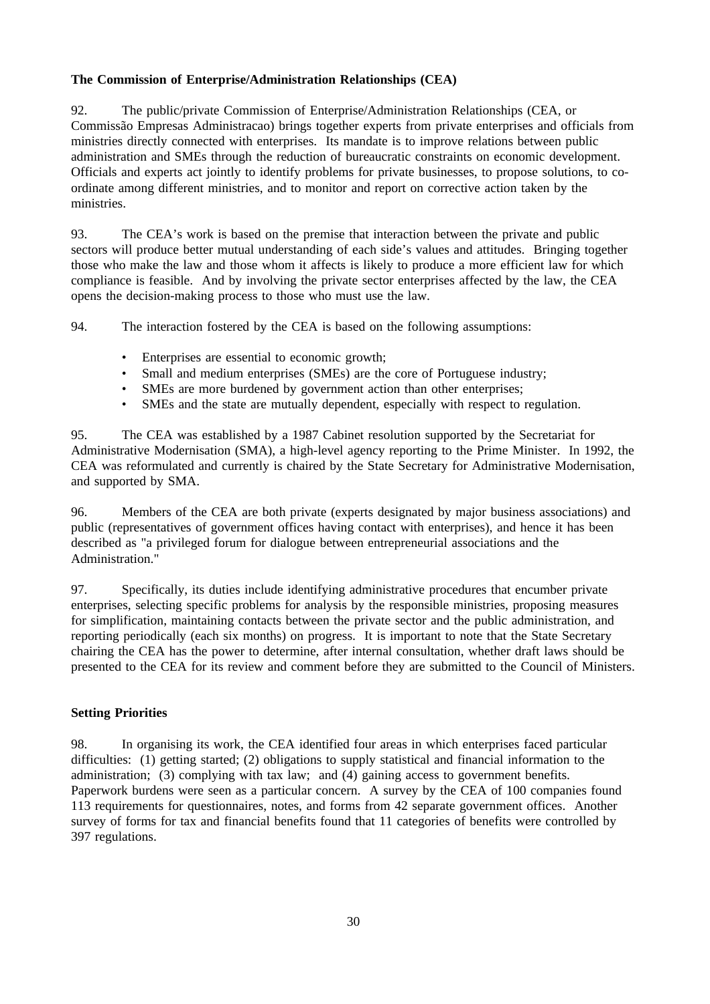## **The Commission of Enterprise/Administration Relationships (CEA)**

92. The public/private Commission of Enterprise/Administration Relationships (CEA, or Commissão Empresas Administracao) brings together experts from private enterprises and officials from ministries directly connected with enterprises. Its mandate is to improve relations between public administration and SMEs through the reduction of bureaucratic constraints on economic development. Officials and experts act jointly to identify problems for private businesses, to propose solutions, to coordinate among different ministries, and to monitor and report on corrective action taken by the ministries.

93. The CEA's work is based on the premise that interaction between the private and public sectors will produce better mutual understanding of each side's values and attitudes. Bringing together those who make the law and those whom it affects is likely to produce a more efficient law for which compliance is feasible. And by involving the private sector enterprises affected by the law, the CEA opens the decision-making process to those who must use the law.

94. The interaction fostered by the CEA is based on the following assumptions:

- Enterprises are essential to economic growth;
- Small and medium enterprises (SMEs) are the core of Portuguese industry:
- SMEs are more burdened by government action than other enterprises;
- SMEs and the state are mutually dependent, especially with respect to regulation.

95. The CEA was established by a 1987 Cabinet resolution supported by the Secretariat for Administrative Modernisation (SMA), a high-level agency reporting to the Prime Minister. In 1992, the CEA was reformulated and currently is chaired by the State Secretary for Administrative Modernisation, and supported by SMA.

96. Members of the CEA are both private (experts designated by major business associations) and public (representatives of government offices having contact with enterprises), and hence it has been described as "a privileged forum for dialogue between entrepreneurial associations and the Administration."

97. Specifically, its duties include identifying administrative procedures that encumber private enterprises, selecting specific problems for analysis by the responsible ministries, proposing measures for simplification, maintaining contacts between the private sector and the public administration, and reporting periodically (each six months) on progress. It is important to note that the State Secretary chairing the CEA has the power to determine, after internal consultation, whether draft laws should be presented to the CEA for its review and comment before they are submitted to the Council of Ministers.

### **Setting Priorities**

98. In organising its work, the CEA identified four areas in which enterprises faced particular difficulties: (1) getting started; (2) obligations to supply statistical and financial information to the administration; (3) complying with tax law; and (4) gaining access to government benefits. Paperwork burdens were seen as a particular concern. A survey by the CEA of 100 companies found 113 requirements for questionnaires, notes, and forms from 42 separate government offices. Another survey of forms for tax and financial benefits found that 11 categories of benefits were controlled by 397 regulations.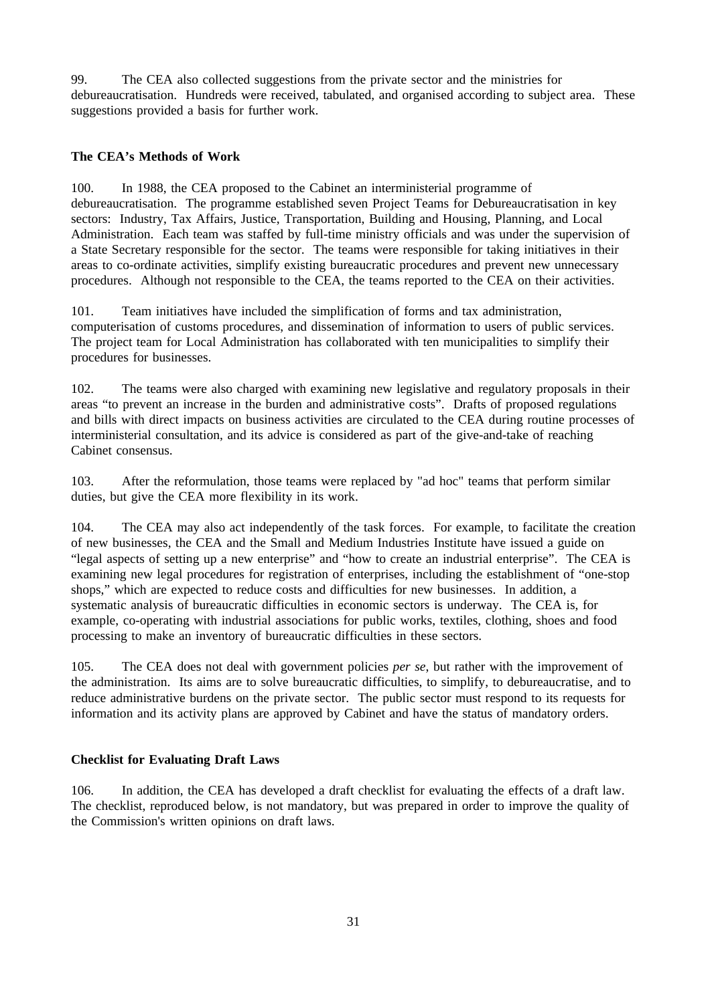99. The CEA also collected suggestions from the private sector and the ministries for debureaucratisation. Hundreds were received, tabulated, and organised according to subject area. These suggestions provided a basis for further work.

### **The CEA's Methods of Work**

100. In 1988, the CEA proposed to the Cabinet an interministerial programme of debureaucratisation. The programme established seven Project Teams for Debureaucratisation in key sectors: Industry, Tax Affairs, Justice, Transportation, Building and Housing, Planning, and Local Administration. Each team was staffed by full-time ministry officials and was under the supervision of a State Secretary responsible for the sector. The teams were responsible for taking initiatives in their areas to co-ordinate activities, simplify existing bureaucratic procedures and prevent new unnecessary procedures. Although not responsible to the CEA, the teams reported to the CEA on their activities.

101. Team initiatives have included the simplification of forms and tax administration, computerisation of customs procedures, and dissemination of information to users of public services. The project team for Local Administration has collaborated with ten municipalities to simplify their procedures for businesses.

102. The teams were also charged with examining new legislative and regulatory proposals in their areas "to prevent an increase in the burden and administrative costs". Drafts of proposed regulations and bills with direct impacts on business activities are circulated to the CEA during routine processes of interministerial consultation, and its advice is considered as part of the give-and-take of reaching Cabinet consensus.

103. After the reformulation, those teams were replaced by "ad hoc" teams that perform similar duties, but give the CEA more flexibility in its work.

104. The CEA may also act independently of the task forces. For example, to facilitate the creation of new businesses, the CEA and the Small and Medium Industries Institute have issued a guide on "legal aspects of setting up a new enterprise" and "how to create an industrial enterprise". The CEA is examining new legal procedures for registration of enterprises, including the establishment of "one-stop shops," which are expected to reduce costs and difficulties for new businesses. In addition, a systematic analysis of bureaucratic difficulties in economic sectors is underway. The CEA is, for example, co-operating with industrial associations for public works, textiles, clothing, shoes and food processing to make an inventory of bureaucratic difficulties in these sectors.

105. The CEA does not deal with government policies *per se*, but rather with the improvement of the administration. Its aims are to solve bureaucratic difficulties, to simplify, to debureaucratise, and to reduce administrative burdens on the private sector. The public sector must respond to its requests for information and its activity plans are approved by Cabinet and have the status of mandatory orders.

### **Checklist for Evaluating Draft Laws**

106. In addition, the CEA has developed a draft checklist for evaluating the effects of a draft law. The checklist, reproduced below, is not mandatory, but was prepared in order to improve the quality of the Commission's written opinions on draft laws.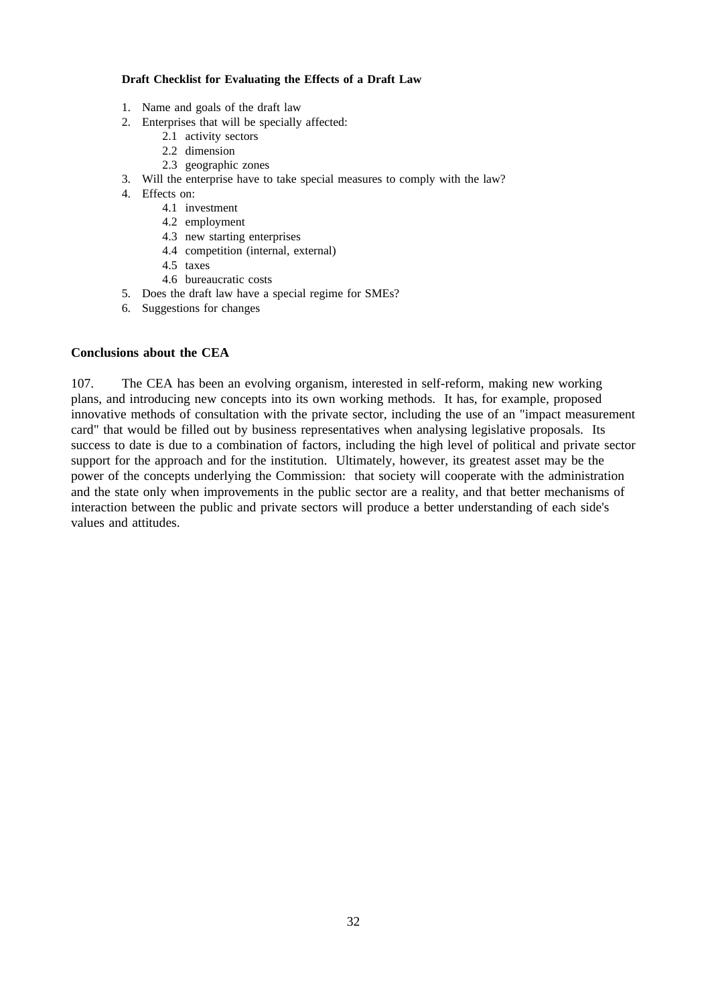#### **Draft Checklist for Evaluating the Effects of a Draft Law**

- 1. Name and goals of the draft law
- 2. Enterprises that will be specially affected:
	- 2.1 activity sectors
	- 2.2 dimension
	- 2.3 geographic zones
- 3. Will the enterprise have to take special measures to comply with the law?
- 4. Effects on:
	- 4.1 investment
	- 4.2 employment
	- 4.3 new starting enterprises
	- 4.4 competition (internal, external)
	- 4.5 taxes
	- 4.6 bureaucratic costs
- 5. Does the draft law have a special regime for SMEs?
- 6. Suggestions for changes

### **Conclusions about the CEA**

107. The CEA has been an evolving organism, interested in self-reform, making new working plans, and introducing new concepts into its own working methods. It has, for example, proposed innovative methods of consultation with the private sector, including the use of an "impact measurement card" that would be filled out by business representatives when analysing legislative proposals. Its success to date is due to a combination of factors, including the high level of political and private sector support for the approach and for the institution. Ultimately, however, its greatest asset may be the power of the concepts underlying the Commission: that society will cooperate with the administration and the state only when improvements in the public sector are a reality, and that better mechanisms of interaction between the public and private sectors will produce a better understanding of each side's values and attitudes.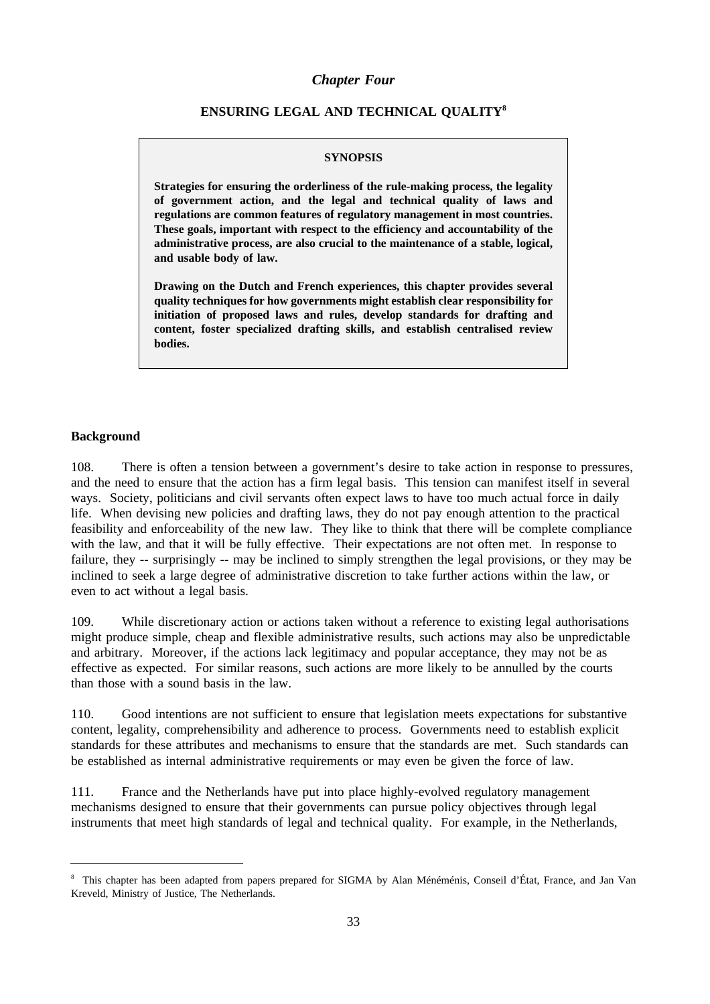#### *Chapter Four*

### **ENSURING LEGAL AND TECHNICAL QUALITY8**

#### **SYNOPSIS**

**Strategies for ensuring the orderliness of the rule-making process, the legality of government action, and the legal and technical quality of laws and regulations are common features of regulatory management in most countries. These goals, important with respect to the efficiency and accountability of the administrative process, are also crucial to the maintenance of a stable, logical, and usable body of law.**

**Drawing on the Dutch and French experiences, this chapter provides several quality techniques for how governments might establish clear responsibility for initiation of proposed laws and rules, develop standards for drafting and content, foster specialized drafting skills, and establish centralised review bodies.**

#### **Background**

108. There is often a tension between a government's desire to take action in response to pressures, and the need to ensure that the action has a firm legal basis. This tension can manifest itself in several ways. Society, politicians and civil servants often expect laws to have too much actual force in daily life. When devising new policies and drafting laws, they do not pay enough attention to the practical feasibility and enforceability of the new law. They like to think that there will be complete compliance with the law, and that it will be fully effective. Their expectations are not often met. In response to failure, they -- surprisingly -- may be inclined to simply strengthen the legal provisions, or they may be inclined to seek a large degree of administrative discretion to take further actions within the law, or even to act without a legal basis.

109. While discretionary action or actions taken without a reference to existing legal authorisations might produce simple, cheap and flexible administrative results, such actions may also be unpredictable and arbitrary. Moreover, if the actions lack legitimacy and popular acceptance, they may not be as effective as expected. For similar reasons, such actions are more likely to be annulled by the courts than those with a sound basis in the law.

110. Good intentions are not sufficient to ensure that legislation meets expectations for substantive content, legality, comprehensibility and adherence to process. Governments need to establish explicit standards for these attributes and mechanisms to ensure that the standards are met. Such standards can be established as internal administrative requirements or may even be given the force of law.

111. France and the Netherlands have put into place highly-evolved regulatory management mechanisms designed to ensure that their governments can pursue policy objectives through legal instruments that meet high standards of legal and technical quality. For example, in the Netherlands,

<sup>&</sup>lt;sup>8</sup> This chapter has been adapted from papers prepared for SIGMA by Alan Ménéménis, Conseil d'État, France, and Jan Van Kreveld, Ministry of Justice, The Netherlands.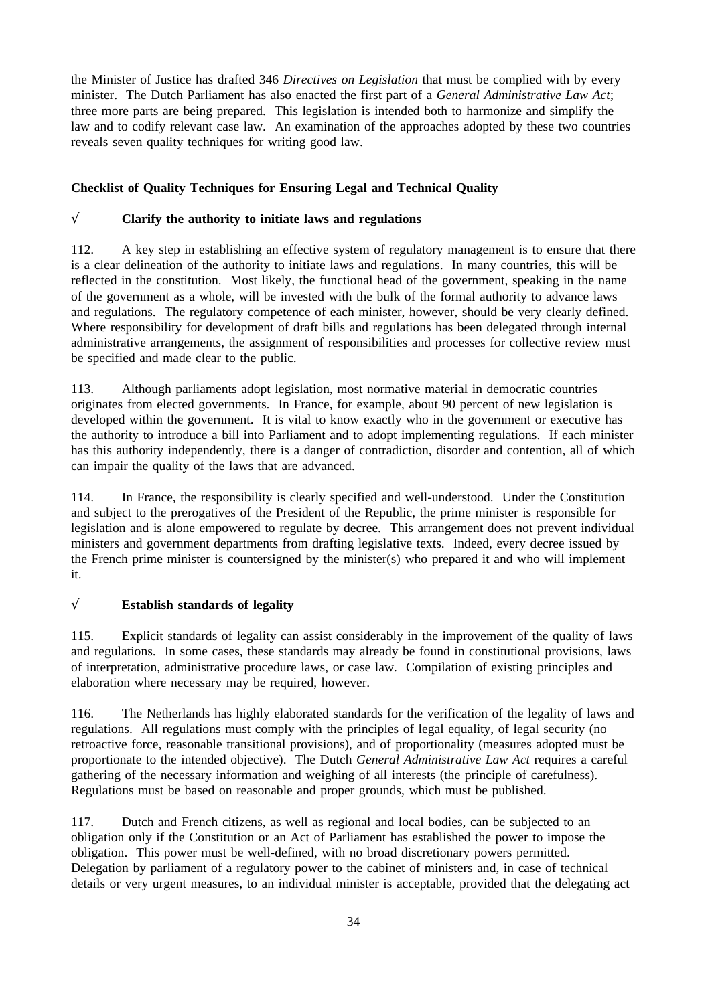the Minister of Justice has drafted 346 *Directives on Legislation* that must be complied with by every minister. The Dutch Parliament has also enacted the first part of a *General Administrative Law Act*; three more parts are being prepared. This legislation is intended both to harmonize and simplify the law and to codify relevant case law. An examination of the approaches adopted by these two countries reveals seven quality techniques for writing good law.

## **Checklist of Quality Techniques for Ensuring Legal and Technical Quality**

### √ **Clarify the authority to initiate laws and regulations**

112. A key step in establishing an effective system of regulatory management is to ensure that there is a clear delineation of the authority to initiate laws and regulations. In many countries, this will be reflected in the constitution. Most likely, the functional head of the government, speaking in the name of the government as a whole, will be invested with the bulk of the formal authority to advance laws and regulations. The regulatory competence of each minister, however, should be very clearly defined. Where responsibility for development of draft bills and regulations has been delegated through internal administrative arrangements, the assignment of responsibilities and processes for collective review must be specified and made clear to the public.

113. Although parliaments adopt legislation, most normative material in democratic countries originates from elected governments. In France, for example, about 90 percent of new legislation is developed within the government. It is vital to know exactly who in the government or executive has the authority to introduce a bill into Parliament and to adopt implementing regulations. If each minister has this authority independently, there is a danger of contradiction, disorder and contention, all of which can impair the quality of the laws that are advanced.

114. In France, the responsibility is clearly specified and well-understood. Under the Constitution and subject to the prerogatives of the President of the Republic, the prime minister is responsible for legislation and is alone empowered to regulate by decree. This arrangement does not prevent individual ministers and government departments from drafting legislative texts. Indeed, every decree issued by the French prime minister is countersigned by the minister(s) who prepared it and who will implement it.

# √ **Establish standards of legality**

115. Explicit standards of legality can assist considerably in the improvement of the quality of laws and regulations. In some cases, these standards may already be found in constitutional provisions, laws of interpretation, administrative procedure laws, or case law. Compilation of existing principles and elaboration where necessary may be required, however.

116. The Netherlands has highly elaborated standards for the verification of the legality of laws and regulations. All regulations must comply with the principles of legal equality, of legal security (no retroactive force, reasonable transitional provisions), and of proportionality (measures adopted must be proportionate to the intended objective). The Dutch *General Administrative Law Act* requires a careful gathering of the necessary information and weighing of all interests (the principle of carefulness). Regulations must be based on reasonable and proper grounds, which must be published.

117. Dutch and French citizens, as well as regional and local bodies, can be subjected to an obligation only if the Constitution or an Act of Parliament has established the power to impose the obligation. This power must be well-defined, with no broad discretionary powers permitted. Delegation by parliament of a regulatory power to the cabinet of ministers and, in case of technical details or very urgent measures, to an individual minister is acceptable, provided that the delegating act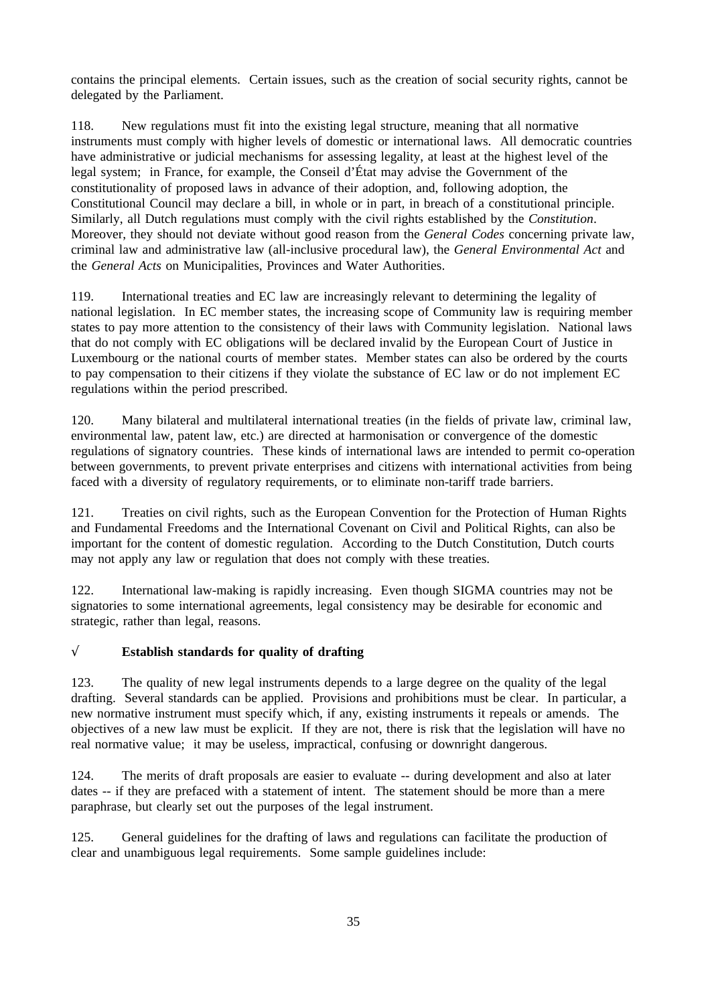contains the principal elements. Certain issues, such as the creation of social security rights, cannot be delegated by the Parliament.

118. New regulations must fit into the existing legal structure, meaning that all normative instruments must comply with higher levels of domestic or international laws. All democratic countries have administrative or judicial mechanisms for assessing legality, at least at the highest level of the legal system; in France, for example, the Conseil d'État may advise the Government of the constitutionality of proposed laws in advance of their adoption, and, following adoption, the Constitutional Council may declare a bill, in whole or in part, in breach of a constitutional principle. Similarly, all Dutch regulations must comply with the civil rights established by the *Constitution*. Moreover, they should not deviate without good reason from the *General Codes* concerning private law, criminal law and administrative law (all-inclusive procedural law), the *General Environmental Act* and the *General Acts* on Municipalities, Provinces and Water Authorities.

119. International treaties and EC law are increasingly relevant to determining the legality of national legislation. In EC member states, the increasing scope of Community law is requiring member states to pay more attention to the consistency of their laws with Community legislation. National laws that do not comply with EC obligations will be declared invalid by the European Court of Justice in Luxembourg or the national courts of member states. Member states can also be ordered by the courts to pay compensation to their citizens if they violate the substance of EC law or do not implement EC regulations within the period prescribed.

120. Many bilateral and multilateral international treaties (in the fields of private law, criminal law, environmental law, patent law, etc.) are directed at harmonisation or convergence of the domestic regulations of signatory countries. These kinds of international laws are intended to permit co-operation between governments, to prevent private enterprises and citizens with international activities from being faced with a diversity of regulatory requirements, or to eliminate non-tariff trade barriers.

121. Treaties on civil rights, such as the European Convention for the Protection of Human Rights and Fundamental Freedoms and the International Covenant on Civil and Political Rights, can also be important for the content of domestic regulation. According to the Dutch Constitution, Dutch courts may not apply any law or regulation that does not comply with these treaties.

122. International law-making is rapidly increasing. Even though SIGMA countries may not be signatories to some international agreements, legal consistency may be desirable for economic and strategic, rather than legal, reasons.

## √ **Establish standards for quality of drafting**

123. The quality of new legal instruments depends to a large degree on the quality of the legal drafting. Several standards can be applied. Provisions and prohibitions must be clear. In particular, a new normative instrument must specify which, if any, existing instruments it repeals or amends. The objectives of a new law must be explicit. If they are not, there is risk that the legislation will have no real normative value; it may be useless, impractical, confusing or downright dangerous.

124. The merits of draft proposals are easier to evaluate -- during development and also at later dates -- if they are prefaced with a statement of intent. The statement should be more than a mere paraphrase, but clearly set out the purposes of the legal instrument.

125. General guidelines for the drafting of laws and regulations can facilitate the production of clear and unambiguous legal requirements. Some sample guidelines include: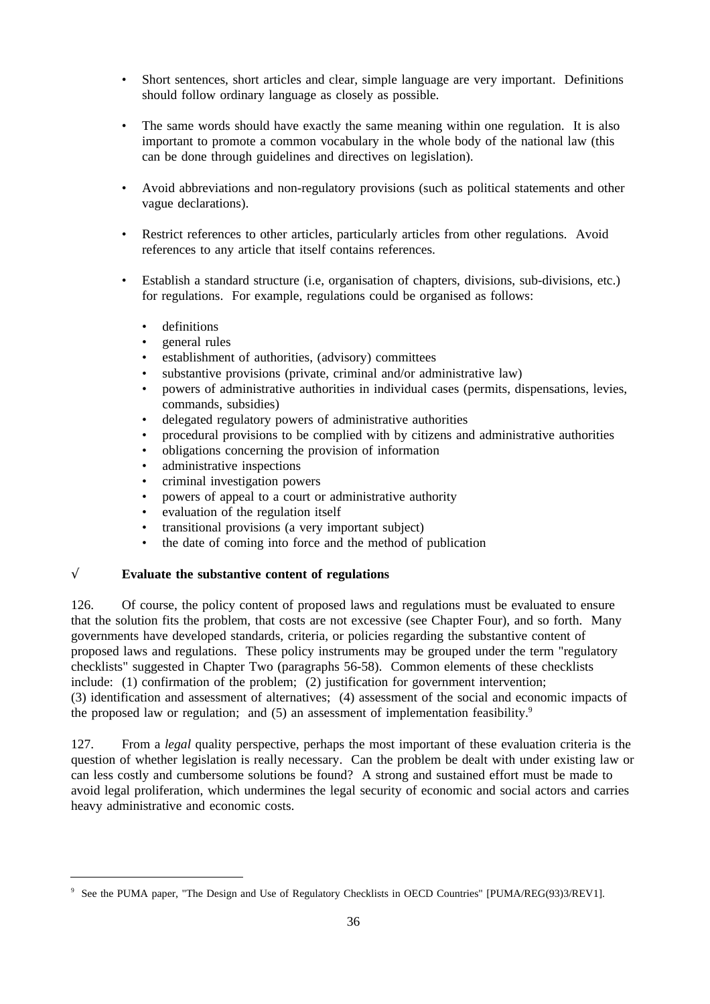- Short sentences, short articles and clear, simple language are very important. Definitions should follow ordinary language as closely as possible.
- The same words should have exactly the same meaning within one regulation. It is also important to promote a common vocabulary in the whole body of the national law (this can be done through guidelines and directives on legislation).
- Avoid abbreviations and non-regulatory provisions (such as political statements and other vague declarations).
- Restrict references to other articles, particularly articles from other regulations. Avoid references to any article that itself contains references.
- Establish a standard structure (i.e, organisation of chapters, divisions, sub-divisions, etc.) for regulations. For example, regulations could be organised as follows:
	- definitions
	- general rules
	- establishment of authorities, (advisory) committees
	- substantive provisions (private, criminal and/or administrative law)
	- powers of administrative authorities in individual cases (permits, dispensations, levies, commands, subsidies)
	- delegated regulatory powers of administrative authorities
	- procedural provisions to be complied with by citizens and administrative authorities
	- obligations concerning the provision of information
	- administrative inspections
	- criminal investigation powers
	- powers of appeal to a court or administrative authority
	- evaluation of the regulation itself
	- transitional provisions (a very important subject)
	- the date of coming into force and the method of publication

# √ **Evaluate the substantive content of regulations**

126. Of course, the policy content of proposed laws and regulations must be evaluated to ensure that the solution fits the problem, that costs are not excessive (see Chapter Four), and so forth. Many governments have developed standards, criteria, or policies regarding the substantive content of proposed laws and regulations. These policy instruments may be grouped under the term "regulatory checklists" suggested in Chapter Two (paragraphs 56-58). Common elements of these checklists include: (1) confirmation of the problem; (2) justification for government intervention; (3) identification and assessment of alternatives; (4) assessment of the social and economic impacts of the proposed law or regulation; and  $(5)$  an assessment of implementation feasibility.<sup>9</sup>

127. From a *legal* quality perspective, perhaps the most important of these evaluation criteria is the question of whether legislation is really necessary. Can the problem be dealt with under existing law or can less costly and cumbersome solutions be found? A strong and sustained effort must be made to avoid legal proliferation, which undermines the legal security of economic and social actors and carries heavy administrative and economic costs.

<sup>9</sup> See the PUMA paper, "The Design and Use of Regulatory Checklists in OECD Countries" [PUMA/REG(93)3/REV1].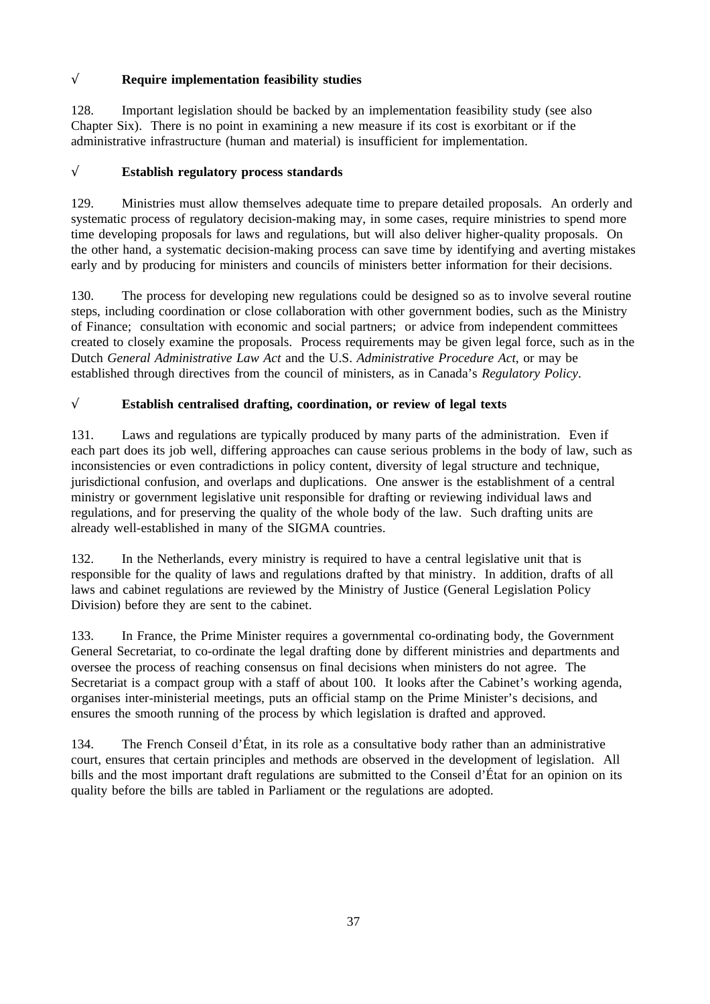# √ **Require implementation feasibility studies**

128. Important legislation should be backed by an implementation feasibility study (see also Chapter Six). There is no point in examining a new measure if its cost is exorbitant or if the administrative infrastructure (human and material) is insufficient for implementation.

## √ **Establish regulatory process standards**

129. Ministries must allow themselves adequate time to prepare detailed proposals. An orderly and systematic process of regulatory decision-making may, in some cases, require ministries to spend more time developing proposals for laws and regulations, but will also deliver higher-quality proposals. On the other hand, a systematic decision-making process can save time by identifying and averting mistakes early and by producing for ministers and councils of ministers better information for their decisions.

130. The process for developing new regulations could be designed so as to involve several routine steps, including coordination or close collaboration with other government bodies, such as the Ministry of Finance; consultation with economic and social partners; or advice from independent committees created to closely examine the proposals. Process requirements may be given legal force, such as in the Dutch *General Administrative Law Act* and the U.S. *Administrative Procedure Act*, or may be established through directives from the council of ministers, as in Canada's *Regulatory Policy*.

# √ **Establish centralised drafting, coordination, or review of legal texts**

131. Laws and regulations are typically produced by many parts of the administration. Even if each part does its job well, differing approaches can cause serious problems in the body of law, such as inconsistencies or even contradictions in policy content, diversity of legal structure and technique, jurisdictional confusion, and overlaps and duplications. One answer is the establishment of a central ministry or government legislative unit responsible for drafting or reviewing individual laws and regulations, and for preserving the quality of the whole body of the law. Such drafting units are already well-established in many of the SIGMA countries.

In the Netherlands, every ministry is required to have a central legislative unit that is responsible for the quality of laws and regulations drafted by that ministry. In addition, drafts of all laws and cabinet regulations are reviewed by the Ministry of Justice (General Legislation Policy Division) before they are sent to the cabinet.

133. In France, the Prime Minister requires a governmental co-ordinating body, the Government General Secretariat, to co-ordinate the legal drafting done by different ministries and departments and oversee the process of reaching consensus on final decisions when ministers do not agree. The Secretariat is a compact group with a staff of about 100. It looks after the Cabinet's working agenda, organises inter-ministerial meetings, puts an official stamp on the Prime Minister's decisions, and ensures the smooth running of the process by which legislation is drafted and approved.

134. The French Conseil d'État, in its role as a consultative body rather than an administrative court, ensures that certain principles and methods are observed in the development of legislation. All bills and the most important draft regulations are submitted to the Conseil d'État for an opinion on its quality before the bills are tabled in Parliament or the regulations are adopted.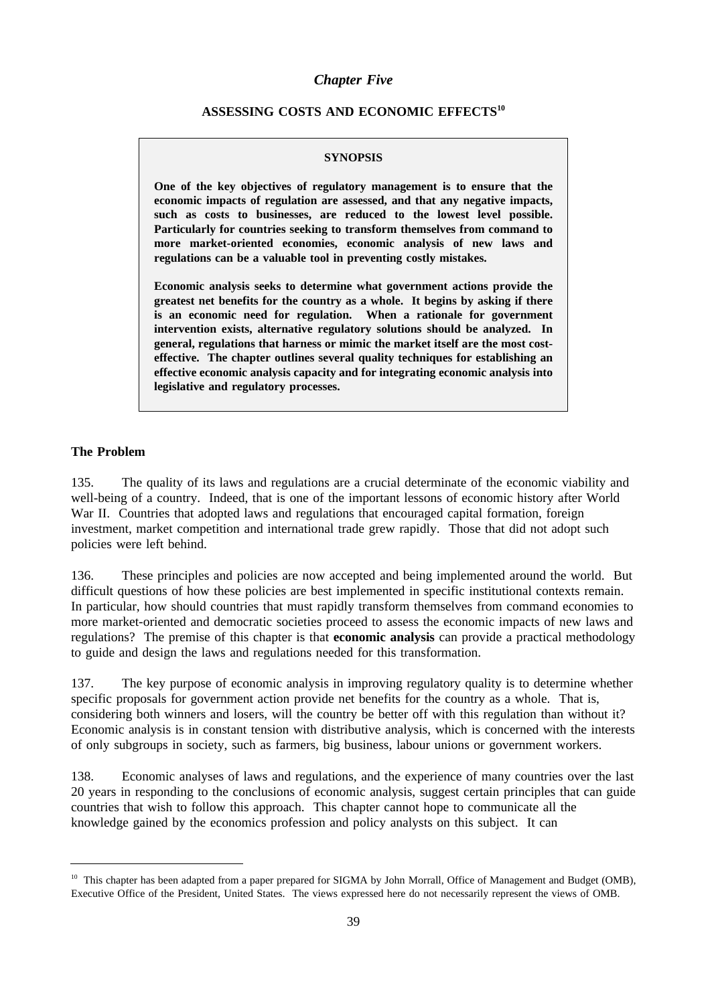### *Chapter Five*

### **ASSESSING COSTS AND ECONOMIC EFFECTS10**

#### **SYNOPSIS**

**One of the key objectives of regulatory management is to ensure that the economic impacts of regulation are assessed, and that any negative impacts, such as costs to businesses, are reduced to the lowest level possible. Particularly for countries seeking to transform themselves from command to more market-oriented economies, economic analysis of new laws and regulations can be a valuable tool in preventing costly mistakes.**

**Economic analysis seeks to determine what government actions provide the greatest net benefits for the country as a whole. It begins by asking if there is an economic need for regulation. When a rationale for government intervention exists, alternative regulatory solutions should be analyzed. In general, regulations that harness or mimic the market itself are the most costeffective. The chapter outlines several quality techniques for establishing an effective economic analysis capacity and for integrating economic analysis into legislative and regulatory processes.**

#### **The Problem**

135. The quality of its laws and regulations are a crucial determinate of the economic viability and well-being of a country. Indeed, that is one of the important lessons of economic history after World War II. Countries that adopted laws and regulations that encouraged capital formation, foreign investment, market competition and international trade grew rapidly. Those that did not adopt such policies were left behind.

136. These principles and policies are now accepted and being implemented around the world. But difficult questions of how these policies are best implemented in specific institutional contexts remain. In particular, how should countries that must rapidly transform themselves from command economies to more market-oriented and democratic societies proceed to assess the economic impacts of new laws and regulations? The premise of this chapter is that **economic analysis** can provide a practical methodology to guide and design the laws and regulations needed for this transformation.

137. The key purpose of economic analysis in improving regulatory quality is to determine whether specific proposals for government action provide net benefits for the country as a whole. That is, considering both winners and losers, will the country be better off with this regulation than without it? Economic analysis is in constant tension with distributive analysis, which is concerned with the interests of only subgroups in society, such as farmers, big business, labour unions or government workers.

138. Economic analyses of laws and regulations, and the experience of many countries over the last 20 years in responding to the conclusions of economic analysis, suggest certain principles that can guide countries that wish to follow this approach. This chapter cannot hope to communicate all the knowledge gained by the economics profession and policy analysts on this subject. It can

<sup>&</sup>lt;sup>10</sup> This chapter has been adapted from a paper prepared for SIGMA by John Morrall, Office of Management and Budget (OMB), Executive Office of the President, United States. The views expressed here do not necessarily represent the views of OMB.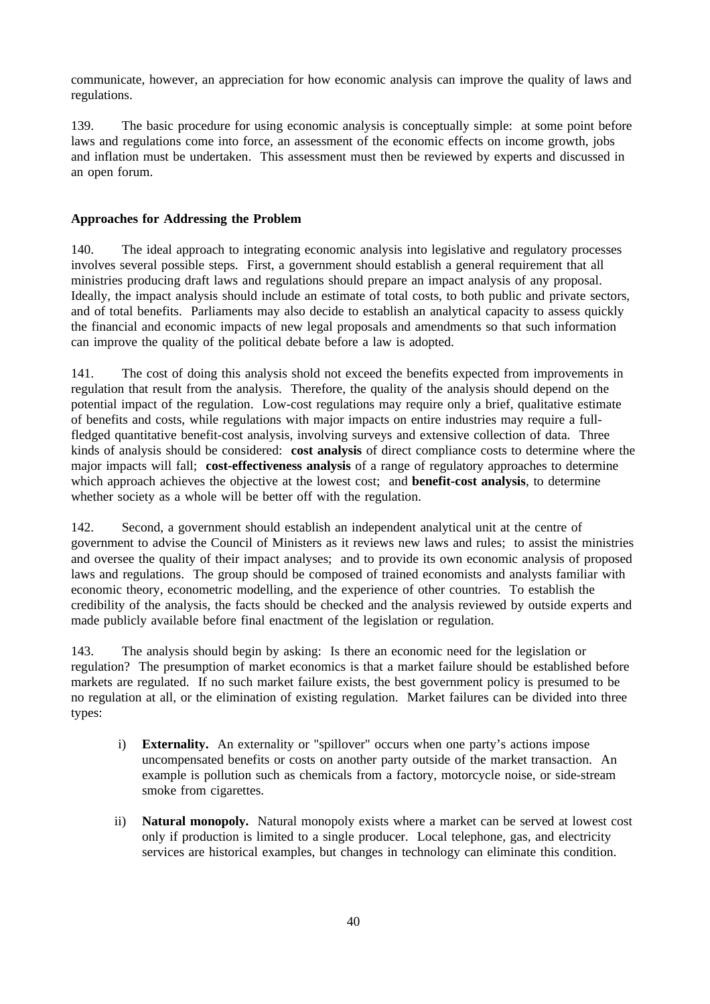communicate, however, an appreciation for how economic analysis can improve the quality of laws and regulations.

139. The basic procedure for using economic analysis is conceptually simple: at some point before laws and regulations come into force, an assessment of the economic effects on income growth, jobs and inflation must be undertaken. This assessment must then be reviewed by experts and discussed in an open forum.

### **Approaches for Addressing the Problem**

140. The ideal approach to integrating economic analysis into legislative and regulatory processes involves several possible steps. First, a government should establish a general requirement that all ministries producing draft laws and regulations should prepare an impact analysis of any proposal. Ideally, the impact analysis should include an estimate of total costs, to both public and private sectors, and of total benefits. Parliaments may also decide to establish an analytical capacity to assess quickly the financial and economic impacts of new legal proposals and amendments so that such information can improve the quality of the political debate before a law is adopted.

141. The cost of doing this analysis shold not exceed the benefits expected from improvements in regulation that result from the analysis. Therefore, the quality of the analysis should depend on the potential impact of the regulation. Low-cost regulations may require only a brief, qualitative estimate of benefits and costs, while regulations with major impacts on entire industries may require a fullfledged quantitative benefit-cost analysis, involving surveys and extensive collection of data. Three kinds of analysis should be considered: **cost analysis** of direct compliance costs to determine where the major impacts will fall; **cost-effectiveness analysis** of a range of regulatory approaches to determine which approach achieves the objective at the lowest cost; and **benefit-cost analysis**, to determine whether society as a whole will be better off with the regulation.

142. Second, a government should establish an independent analytical unit at the centre of government to advise the Council of Ministers as it reviews new laws and rules; to assist the ministries and oversee the quality of their impact analyses; and to provide its own economic analysis of proposed laws and regulations. The group should be composed of trained economists and analysts familiar with economic theory, econometric modelling, and the experience of other countries. To establish the credibility of the analysis, the facts should be checked and the analysis reviewed by outside experts and made publicly available before final enactment of the legislation or regulation.

143. The analysis should begin by asking: Is there an economic need for the legislation or regulation? The presumption of market economics is that a market failure should be established before markets are regulated. If no such market failure exists, the best government policy is presumed to be no regulation at all, or the elimination of existing regulation. Market failures can be divided into three types:

- i) **Externality.** An externality or "spillover" occurs when one party's actions impose uncompensated benefits or costs on another party outside of the market transaction. An example is pollution such as chemicals from a factory, motorcycle noise, or side-stream smoke from cigarettes.
- ii) **Natural monopoly.** Natural monopoly exists where a market can be served at lowest cost only if production is limited to a single producer. Local telephone, gas, and electricity services are historical examples, but changes in technology can eliminate this condition.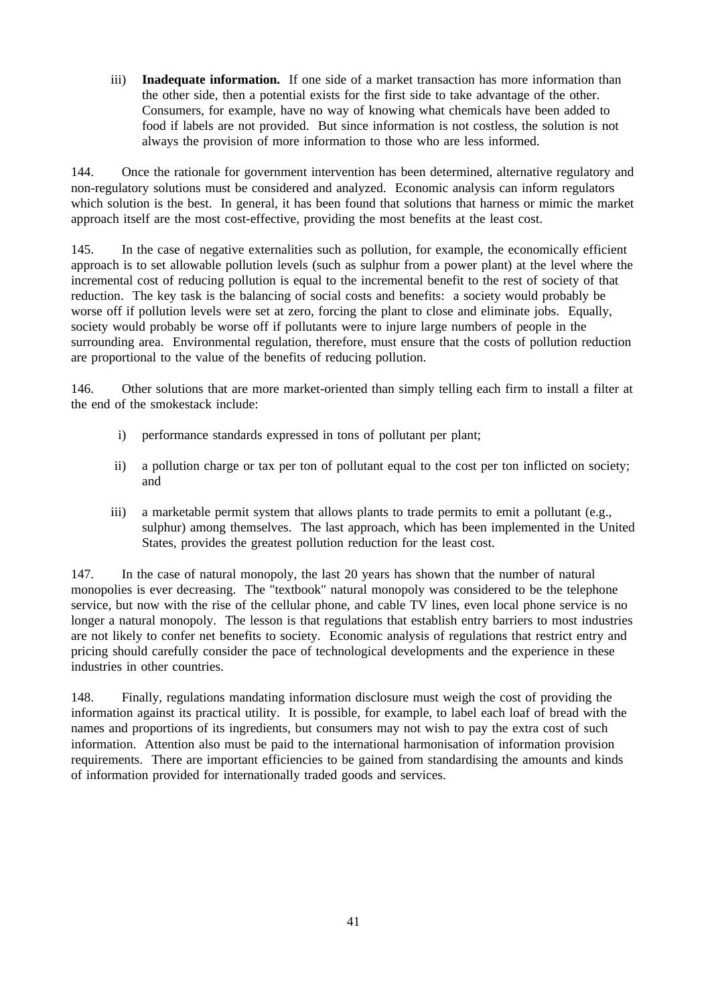iii) **Inadequate information.** If one side of a market transaction has more information than the other side, then a potential exists for the first side to take advantage of the other. Consumers, for example, have no way of knowing what chemicals have been added to food if labels are not provided. But since information is not costless, the solution is not always the provision of more information to those who are less informed.

144. Once the rationale for government intervention has been determined, alternative regulatory and non-regulatory solutions must be considered and analyzed. Economic analysis can inform regulators which solution is the best. In general, it has been found that solutions that harness or mimic the market approach itself are the most cost-effective, providing the most benefits at the least cost.

145. In the case of negative externalities such as pollution, for example, the economically efficient approach is to set allowable pollution levels (such as sulphur from a power plant) at the level where the incremental cost of reducing pollution is equal to the incremental benefit to the rest of society of that reduction. The key task is the balancing of social costs and benefits: a society would probably be worse off if pollution levels were set at zero, forcing the plant to close and eliminate jobs. Equally, society would probably be worse off if pollutants were to injure large numbers of people in the surrounding area. Environmental regulation, therefore, must ensure that the costs of pollution reduction are proportional to the value of the benefits of reducing pollution.

146. Other solutions that are more market-oriented than simply telling each firm to install a filter at the end of the smokestack include:

- i) performance standards expressed in tons of pollutant per plant;
- ii) a pollution charge or tax per ton of pollutant equal to the cost per ton inflicted on society; and
- iii) a marketable permit system that allows plants to trade permits to emit a pollutant (e.g., sulphur) among themselves. The last approach, which has been implemented in the United States, provides the greatest pollution reduction for the least cost.

147. In the case of natural monopoly, the last 20 years has shown that the number of natural monopolies is ever decreasing. The "textbook" natural monopoly was considered to be the telephone service, but now with the rise of the cellular phone, and cable TV lines, even local phone service is no longer a natural monopoly. The lesson is that regulations that establish entry barriers to most industries are not likely to confer net benefits to society. Economic analysis of regulations that restrict entry and pricing should carefully consider the pace of technological developments and the experience in these industries in other countries.

148. Finally, regulations mandating information disclosure must weigh the cost of providing the information against its practical utility. It is possible, for example, to label each loaf of bread with the names and proportions of its ingredients, but consumers may not wish to pay the extra cost of such information. Attention also must be paid to the international harmonisation of information provision requirements. There are important efficiencies to be gained from standardising the amounts and kinds of information provided for internationally traded goods and services.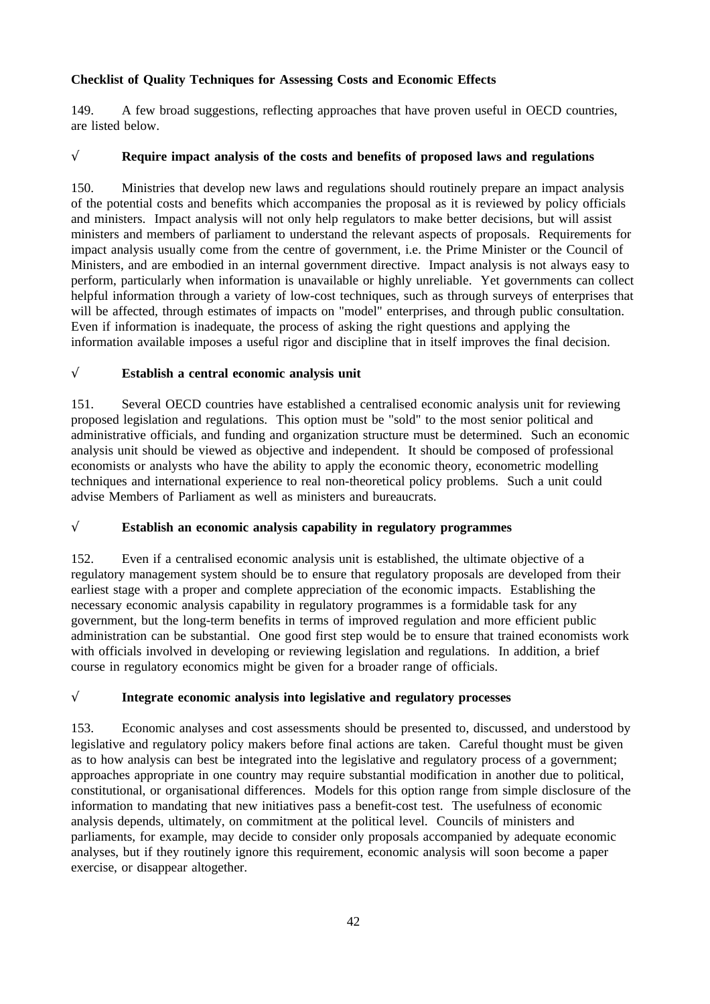## **Checklist of Quality Techniques for Assessing Costs and Economic Effects**

149. A few broad suggestions, reflecting approaches that have proven useful in OECD countries, are listed below.

## √ **Require impact analysis of the costs and benefits of proposed laws and regulations**

150. Ministries that develop new laws and regulations should routinely prepare an impact analysis of the potential costs and benefits which accompanies the proposal as it is reviewed by policy officials and ministers. Impact analysis will not only help regulators to make better decisions, but will assist ministers and members of parliament to understand the relevant aspects of proposals. Requirements for impact analysis usually come from the centre of government, i.e. the Prime Minister or the Council of Ministers, and are embodied in an internal government directive. Impact analysis is not always easy to perform, particularly when information is unavailable or highly unreliable. Yet governments can collect helpful information through a variety of low-cost techniques, such as through surveys of enterprises that will be affected, through estimates of impacts on "model" enterprises, and through public consultation. Even if information is inadequate, the process of asking the right questions and applying the information available imposes a useful rigor and discipline that in itself improves the final decision.

## √ **Establish a central economic analysis unit**

151. Several OECD countries have established a centralised economic analysis unit for reviewing proposed legislation and regulations. This option must be "sold" to the most senior political and administrative officials, and funding and organization structure must be determined. Such an economic analysis unit should be viewed as objective and independent. It should be composed of professional economists or analysts who have the ability to apply the economic theory, econometric modelling techniques and international experience to real non-theoretical policy problems. Such a unit could advise Members of Parliament as well as ministers and bureaucrats.

## √ **Establish an economic analysis capability in regulatory programmes**

152. Even if a centralised economic analysis unit is established, the ultimate objective of a regulatory management system should be to ensure that regulatory proposals are developed from their earliest stage with a proper and complete appreciation of the economic impacts. Establishing the necessary economic analysis capability in regulatory programmes is a formidable task for any government, but the long-term benefits in terms of improved regulation and more efficient public administration can be substantial. One good first step would be to ensure that trained economists work with officials involved in developing or reviewing legislation and regulations. In addition, a brief course in regulatory economics might be given for a broader range of officials.

## √ **Integrate economic analysis into legislative and regulatory processes**

153. Economic analyses and cost assessments should be presented to, discussed, and understood by legislative and regulatory policy makers before final actions are taken. Careful thought must be given as to how analysis can best be integrated into the legislative and regulatory process of a government; approaches appropriate in one country may require substantial modification in another due to political, constitutional, or organisational differences. Models for this option range from simple disclosure of the information to mandating that new initiatives pass a benefit-cost test. The usefulness of economic analysis depends, ultimately, on commitment at the political level. Councils of ministers and parliaments, for example, may decide to consider only proposals accompanied by adequate economic analyses, but if they routinely ignore this requirement, economic analysis will soon become a paper exercise, or disappear altogether.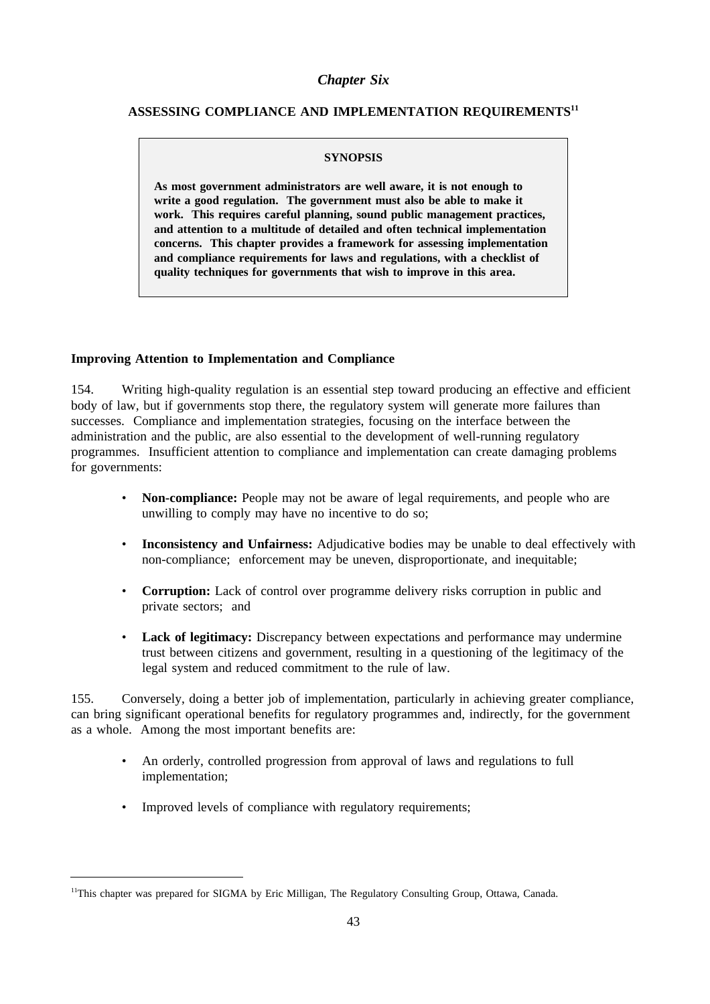### *Chapter Six*

## **ASSESSING COMPLIANCE AND IMPLEMENTATION REQUIREMENTS11**

#### **SYNOPSIS**

**As most government administrators are well aware, it is not enough to write a good regulation. The government must also be able to make it work. This requires careful planning, sound public management practices, and attention to a multitude of detailed and often technical implementation concerns. This chapter provides a framework for assessing implementation and compliance requirements for laws and regulations, with a checklist of quality techniques for governments that wish to improve in this area.**

#### **Improving Attention to Implementation and Compliance**

154. Writing high-quality regulation is an essential step toward producing an effective and efficient body of law, but if governments stop there, the regulatory system will generate more failures than successes. Compliance and implementation strategies, focusing on the interface between the administration and the public, are also essential to the development of well-running regulatory programmes. Insufficient attention to compliance and implementation can create damaging problems for governments:

- **Non-compliance:** People may not be aware of legal requirements, and people who are unwilling to comply may have no incentive to do so;
- **Inconsistency and Unfairness:** Adjudicative bodies may be unable to deal effectively with non-compliance; enforcement may be uneven, disproportionate, and inequitable;
- **Corruption:** Lack of control over programme delivery risks corruption in public and private sectors; and
- **Lack of legitimacy:** Discrepancy between expectations and performance may undermine trust between citizens and government, resulting in a questioning of the legitimacy of the legal system and reduced commitment to the rule of law.

155. Conversely, doing a better job of implementation, particularly in achieving greater compliance, can bring significant operational benefits for regulatory programmes and, indirectly, for the government as a whole. Among the most important benefits are:

- An orderly, controlled progression from approval of laws and regulations to full implementation;
- Improved levels of compliance with regulatory requirements;

<sup>&</sup>lt;sup>11</sup>This chapter was prepared for SIGMA by Eric Milligan, The Regulatory Consulting Group, Ottawa, Canada.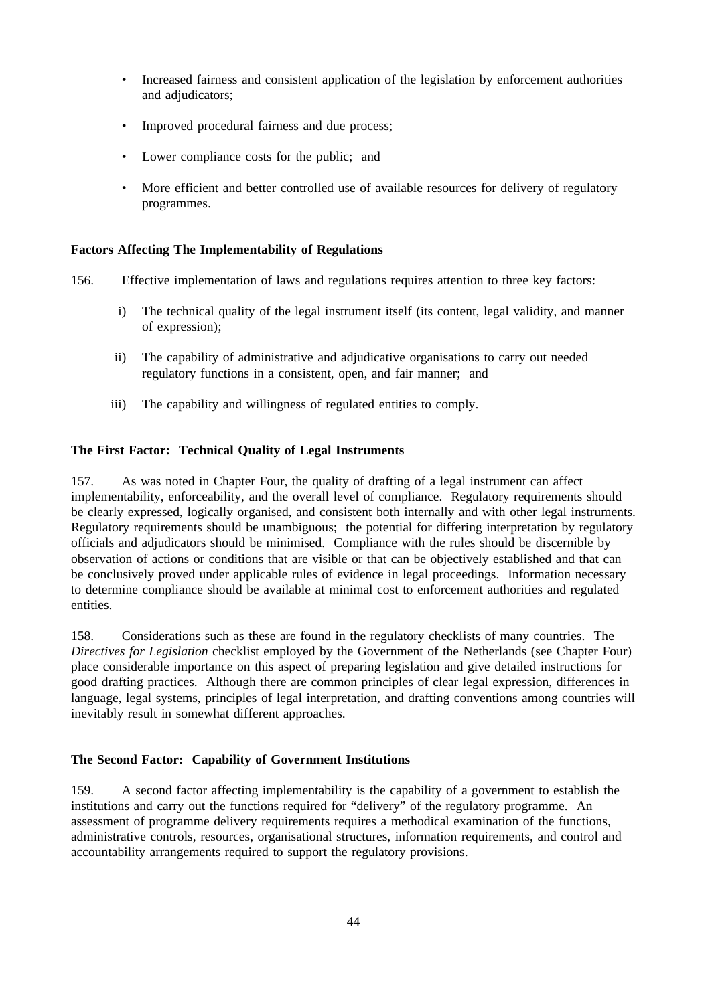- Increased fairness and consistent application of the legislation by enforcement authorities and adjudicators;
- Improved procedural fairness and due process;
- Lower compliance costs for the public; and
- More efficient and better controlled use of available resources for delivery of regulatory programmes.

### **Factors Affecting The Implementability of Regulations**

- 156. Effective implementation of laws and regulations requires attention to three key factors:
	- i) The technical quality of the legal instrument itself (its content, legal validity, and manner of expression);
	- ii) The capability of administrative and adjudicative organisations to carry out needed regulatory functions in a consistent, open, and fair manner; and
	- iii) The capability and willingness of regulated entities to comply.

### **The First Factor: Technical Quality of Legal Instruments**

157. As was noted in Chapter Four, the quality of drafting of a legal instrument can affect implementability, enforceability, and the overall level of compliance. Regulatory requirements should be clearly expressed, logically organised, and consistent both internally and with other legal instruments. Regulatory requirements should be unambiguous; the potential for differing interpretation by regulatory officials and adjudicators should be minimised. Compliance with the rules should be discernible by observation of actions or conditions that are visible or that can be objectively established and that can be conclusively proved under applicable rules of evidence in legal proceedings. Information necessary to determine compliance should be available at minimal cost to enforcement authorities and regulated entities.

158. Considerations such as these are found in the regulatory checklists of many countries. The *Directives for Legislation* checklist employed by the Government of the Netherlands (see Chapter Four) place considerable importance on this aspect of preparing legislation and give detailed instructions for good drafting practices. Although there are common principles of clear legal expression, differences in language, legal systems, principles of legal interpretation, and drafting conventions among countries will inevitably result in somewhat different approaches.

### **The Second Factor: Capability of Government Institutions**

159. A second factor affecting implementability is the capability of a government to establish the institutions and carry out the functions required for "delivery" of the regulatory programme. An assessment of programme delivery requirements requires a methodical examination of the functions, administrative controls, resources, organisational structures, information requirements, and control and accountability arrangements required to support the regulatory provisions.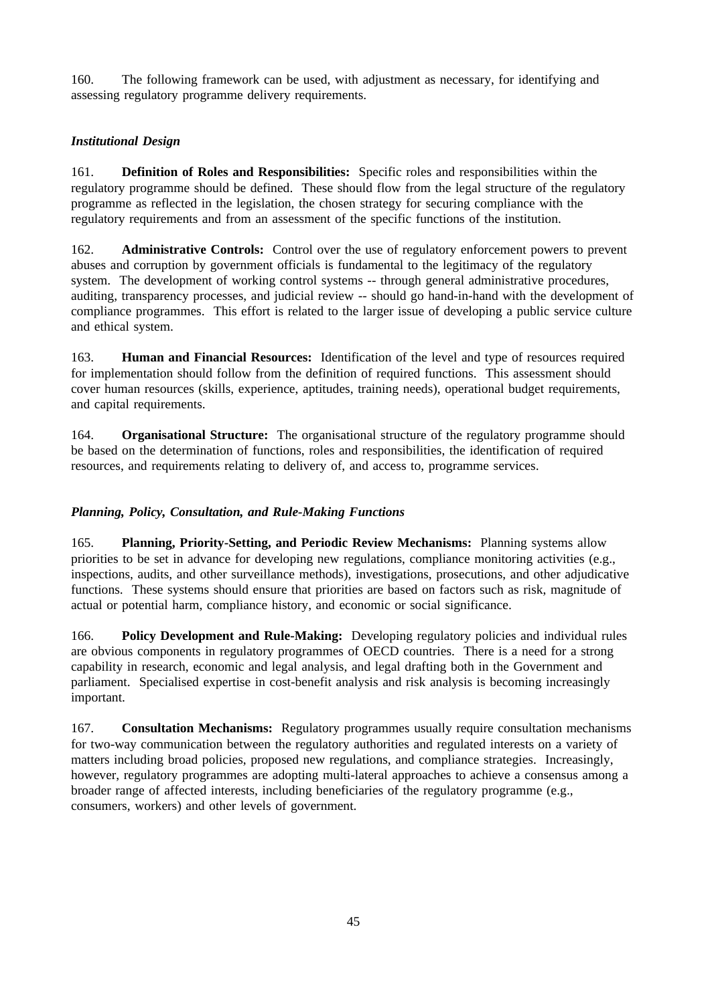160. The following framework can be used, with adjustment as necessary, for identifying and assessing regulatory programme delivery requirements.

### *Institutional Design*

161. **Definition of Roles and Responsibilities:** Specific roles and responsibilities within the regulatory programme should be defined. These should flow from the legal structure of the regulatory programme as reflected in the legislation, the chosen strategy for securing compliance with the regulatory requirements and from an assessment of the specific functions of the institution.

162. **Administrative Controls:** Control over the use of regulatory enforcement powers to prevent abuses and corruption by government officials is fundamental to the legitimacy of the regulatory system. The development of working control systems -- through general administrative procedures, auditing, transparency processes, and judicial review -- should go hand-in-hand with the development of compliance programmes. This effort is related to the larger issue of developing a public service culture and ethical system.

163. **Human and Financial Resources:** Identification of the level and type of resources required for implementation should follow from the definition of required functions. This assessment should cover human resources (skills, experience, aptitudes, training needs), operational budget requirements, and capital requirements.

164. **Organisational Structure:** The organisational structure of the regulatory programme should be based on the determination of functions, roles and responsibilities, the identification of required resources, and requirements relating to delivery of, and access to, programme services.

## *Planning, Policy, Consultation, and Rule-Making Functions*

165. **Planning, Priority-Setting, and Periodic Review Mechanisms:** Planning systems allow priorities to be set in advance for developing new regulations, compliance monitoring activities (e.g., inspections, audits, and other surveillance methods), investigations, prosecutions, and other adjudicative functions. These systems should ensure that priorities are based on factors such as risk, magnitude of actual or potential harm, compliance history, and economic or social significance.

166. **Policy Development and Rule-Making:** Developing regulatory policies and individual rules are obvious components in regulatory programmes of OECD countries. There is a need for a strong capability in research, economic and legal analysis, and legal drafting both in the Government and parliament. Specialised expertise in cost-benefit analysis and risk analysis is becoming increasingly important.

167. **Consultation Mechanisms:** Regulatory programmes usually require consultation mechanisms for two-way communication between the regulatory authorities and regulated interests on a variety of matters including broad policies, proposed new regulations, and compliance strategies. Increasingly, however, regulatory programmes are adopting multi-lateral approaches to achieve a consensus among a broader range of affected interests, including beneficiaries of the regulatory programme (e.g., consumers, workers) and other levels of government.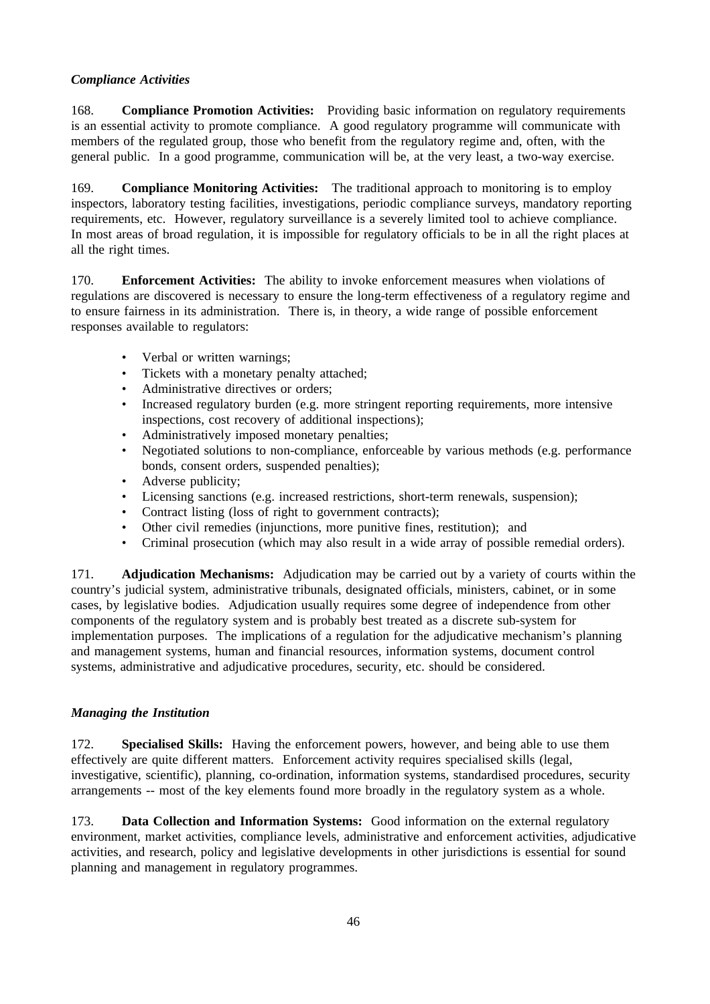### *Compliance Activities*

168. **Compliance Promotion Activities:** Providing basic information on regulatory requirements is an essential activity to promote compliance. A good regulatory programme will communicate with members of the regulated group, those who benefit from the regulatory regime and, often, with the general public. In a good programme, communication will be, at the very least, a two-way exercise.

169. **Compliance Monitoring Activities:** The traditional approach to monitoring is to employ inspectors, laboratory testing facilities, investigations, periodic compliance surveys, mandatory reporting requirements, etc. However, regulatory surveillance is a severely limited tool to achieve compliance. In most areas of broad regulation, it is impossible for regulatory officials to be in all the right places at all the right times.

170. **Enforcement Activities:** The ability to invoke enforcement measures when violations of regulations are discovered is necessary to ensure the long-term effectiveness of a regulatory regime and to ensure fairness in its administration. There is, in theory, a wide range of possible enforcement responses available to regulators:

- Verbal or written warnings;
- Tickets with a monetary penalty attached;
- Administrative directives or orders;
- Increased regulatory burden (e.g. more stringent reporting requirements, more intensive inspections, cost recovery of additional inspections);
- Administratively imposed monetary penalties;
- Negotiated solutions to non-compliance, enforceable by various methods (e.g. performance bonds, consent orders, suspended penalties);
- Adverse publicity;
- Licensing sanctions (e.g. increased restrictions, short-term renewals, suspension);
- Contract listing (loss of right to government contracts);
- Other civil remedies (injunctions, more punitive fines, restitution); and
- Criminal prosecution (which may also result in a wide array of possible remedial orders).

171. **Adjudication Mechanisms:** Adjudication may be carried out by a variety of courts within the country's judicial system, administrative tribunals, designated officials, ministers, cabinet, or in some cases, by legislative bodies. Adjudication usually requires some degree of independence from other components of the regulatory system and is probably best treated as a discrete sub-system for implementation purposes. The implications of a regulation for the adjudicative mechanism's planning and management systems, human and financial resources, information systems, document control systems, administrative and adjudicative procedures, security, etc. should be considered.

### *Managing the Institution*

172. **Specialised Skills:** Having the enforcement powers, however, and being able to use them effectively are quite different matters. Enforcement activity requires specialised skills (legal, investigative, scientific), planning, co-ordination, information systems, standardised procedures, security arrangements -- most of the key elements found more broadly in the regulatory system as a whole.

173. **Data Collection and Information Systems:** Good information on the external regulatory environment, market activities, compliance levels, administrative and enforcement activities, adjudicative activities, and research, policy and legislative developments in other jurisdictions is essential for sound planning and management in regulatory programmes.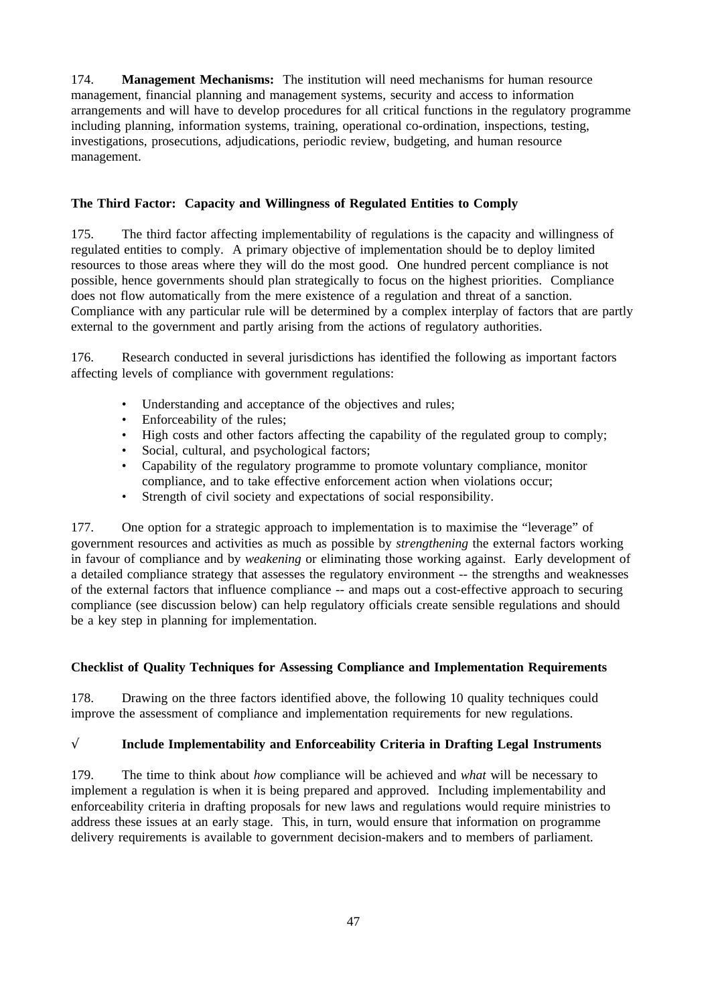174. **Management Mechanisms:** The institution will need mechanisms for human resource management, financial planning and management systems, security and access to information arrangements and will have to develop procedures for all critical functions in the regulatory programme including planning, information systems, training, operational co-ordination, inspections, testing, investigations, prosecutions, adjudications, periodic review, budgeting, and human resource management.

## **The Third Factor: Capacity and Willingness of Regulated Entities to Comply**

175. The third factor affecting implementability of regulations is the capacity and willingness of regulated entities to comply. A primary objective of implementation should be to deploy limited resources to those areas where they will do the most good. One hundred percent compliance is not possible, hence governments should plan strategically to focus on the highest priorities. Compliance does not flow automatically from the mere existence of a regulation and threat of a sanction. Compliance with any particular rule will be determined by a complex interplay of factors that are partly external to the government and partly arising from the actions of regulatory authorities.

176. Research conducted in several jurisdictions has identified the following as important factors affecting levels of compliance with government regulations:

- Understanding and acceptance of the objectives and rules;
- Enforceability of the rules;
- High costs and other factors affecting the capability of the regulated group to comply;
- Social, cultural, and psychological factors;
- Capability of the regulatory programme to promote voluntary compliance, monitor compliance, and to take effective enforcement action when violations occur;
- Strength of civil society and expectations of social responsibility.

177. One option for a strategic approach to implementation is to maximise the "leverage" of government resources and activities as much as possible by *strengthening* the external factors working in favour of compliance and by *weakening* or eliminating those working against. Early development of a detailed compliance strategy that assesses the regulatory environment -- the strengths and weaknesses of the external factors that influence compliance -- and maps out a cost-effective approach to securing compliance (see discussion below) can help regulatory officials create sensible regulations and should be a key step in planning for implementation.

### **Checklist of Quality Techniques for Assessing Compliance and Implementation Requirements**

178. Drawing on the three factors identified above, the following 10 quality techniques could improve the assessment of compliance and implementation requirements for new regulations.

### √ **Include Implementability and Enforceability Criteria in Drafting Legal Instruments**

179. The time to think about *how* compliance will be achieved and *what* will be necessary to implement a regulation is when it is being prepared and approved. Including implementability and enforceability criteria in drafting proposals for new laws and regulations would require ministries to address these issues at an early stage. This, in turn, would ensure that information on programme delivery requirements is available to government decision-makers and to members of parliament.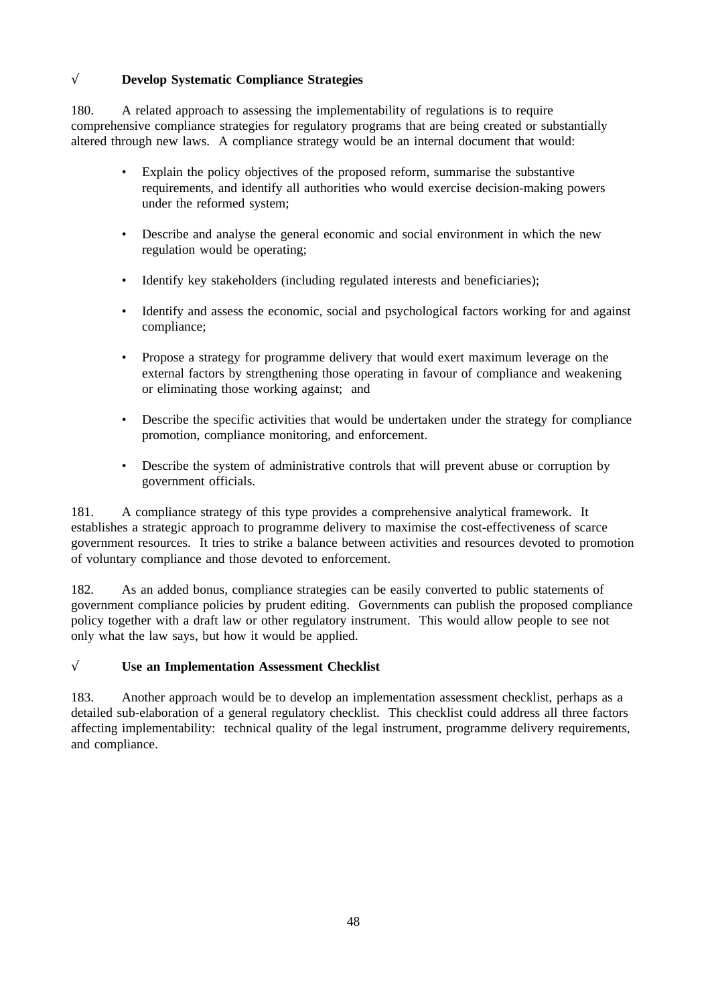# √ **Develop Systematic Compliance Strategies**

180. A related approach to assessing the implementability of regulations is to require comprehensive compliance strategies for regulatory programs that are being created or substantially altered through new laws. A compliance strategy would be an internal document that would:

- Explain the policy objectives of the proposed reform, summarise the substantive requirements, and identify all authorities who would exercise decision-making powers under the reformed system;
- Describe and analyse the general economic and social environment in which the new regulation would be operating;
- Identify key stakeholders (including regulated interests and beneficiaries);
- Identify and assess the economic, social and psychological factors working for and against compliance;
- Propose a strategy for programme delivery that would exert maximum leverage on the external factors by strengthening those operating in favour of compliance and weakening or eliminating those working against; and
- Describe the specific activities that would be undertaken under the strategy for compliance promotion, compliance monitoring, and enforcement.
- Describe the system of administrative controls that will prevent abuse or corruption by government officials.

181. A compliance strategy of this type provides a comprehensive analytical framework. It establishes a strategic approach to programme delivery to maximise the cost-effectiveness of scarce government resources. It tries to strike a balance between activities and resources devoted to promotion of voluntary compliance and those devoted to enforcement.

182. As an added bonus, compliance strategies can be easily converted to public statements of government compliance policies by prudent editing. Governments can publish the proposed compliance policy together with a draft law or other regulatory instrument. This would allow people to see not only what the law says, but how it would be applied.

## √ **Use an Implementation Assessment Checklist**

183. Another approach would be to develop an implementation assessment checklist, perhaps as a detailed sub-elaboration of a general regulatory checklist. This checklist could address all three factors affecting implementability: technical quality of the legal instrument, programme delivery requirements, and compliance.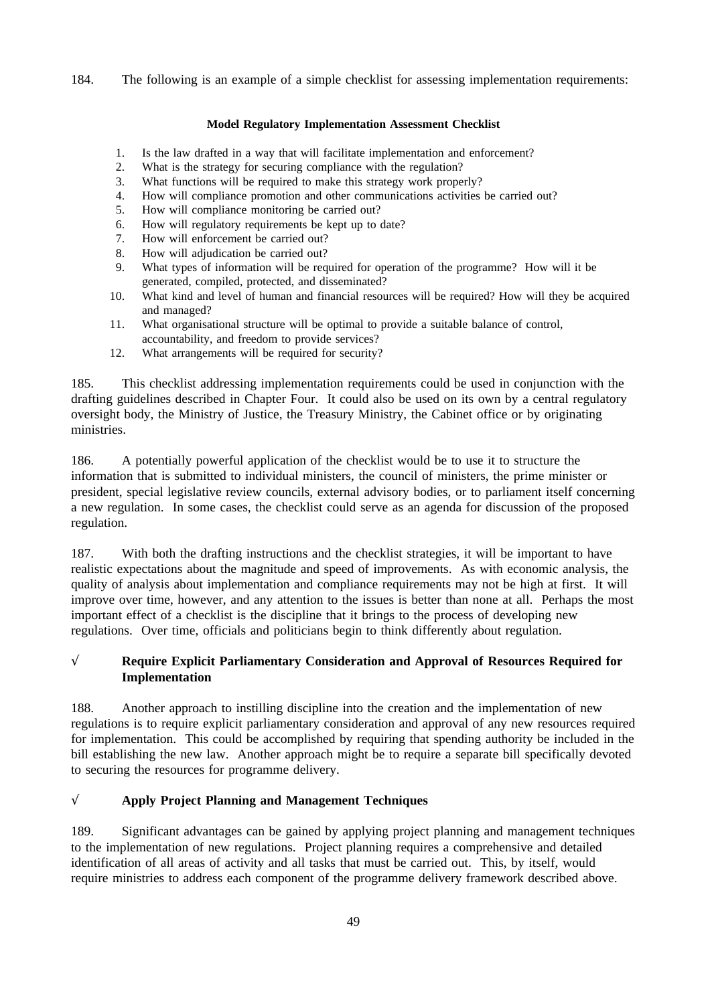184. The following is an example of a simple checklist for assessing implementation requirements:

### **Model Regulatory Implementation Assessment Checklist**

- 1. Is the law drafted in a way that will facilitate implementation and enforcement?
- 2. What is the strategy for securing compliance with the regulation?
- 3. What functions will be required to make this strategy work properly?
- 4. How will compliance promotion and other communications activities be carried out?
- 5. How will compliance monitoring be carried out?
- 6. How will regulatory requirements be kept up to date?
- 7. How will enforcement be carried out?
- 8. How will adjudication be carried out?
- 9. What types of information will be required for operation of the programme? How will it be generated, compiled, protected, and disseminated?
- 10. What kind and level of human and financial resources will be required? How will they be acquired and managed?
- 11. What organisational structure will be optimal to provide a suitable balance of control, accountability, and freedom to provide services?
- 12. What arrangements will be required for security?

185. This checklist addressing implementation requirements could be used in conjunction with the drafting guidelines described in Chapter Four. It could also be used on its own by a central regulatory oversight body, the Ministry of Justice, the Treasury Ministry, the Cabinet office or by originating ministries.

186. A potentially powerful application of the checklist would be to use it to structure the information that is submitted to individual ministers, the council of ministers, the prime minister or president, special legislative review councils, external advisory bodies, or to parliament itself concerning a new regulation. In some cases, the checklist could serve as an agenda for discussion of the proposed regulation.

187. With both the drafting instructions and the checklist strategies, it will be important to have realistic expectations about the magnitude and speed of improvements. As with economic analysis, the quality of analysis about implementation and compliance requirements may not be high at first. It will improve over time, however, and any attention to the issues is better than none at all. Perhaps the most important effect of a checklist is the discipline that it brings to the process of developing new regulations. Over time, officials and politicians begin to think differently about regulation.

# √ **Require Explicit Parliamentary Consideration and Approval of Resources Required for Implementation**

188. Another approach to instilling discipline into the creation and the implementation of new regulations is to require explicit parliamentary consideration and approval of any new resources required for implementation. This could be accomplished by requiring that spending authority be included in the bill establishing the new law. Another approach might be to require a separate bill specifically devoted to securing the resources for programme delivery.

# √ **Apply Project Planning and Management Techniques**

189. Significant advantages can be gained by applying project planning and management techniques to the implementation of new regulations. Project planning requires a comprehensive and detailed identification of all areas of activity and all tasks that must be carried out. This, by itself, would require ministries to address each component of the programme delivery framework described above.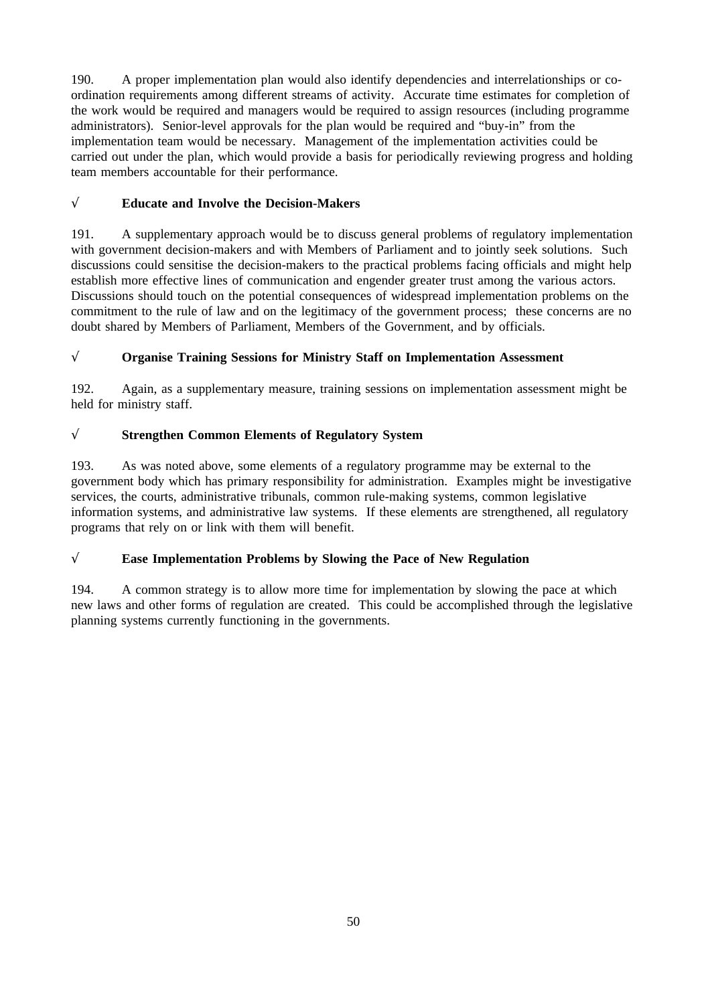190. A proper implementation plan would also identify dependencies and interrelationships or coordination requirements among different streams of activity. Accurate time estimates for completion of the work would be required and managers would be required to assign resources (including programme administrators). Senior-level approvals for the plan would be required and "buy-in" from the implementation team would be necessary. Management of the implementation activities could be carried out under the plan, which would provide a basis for periodically reviewing progress and holding team members accountable for their performance.

# √ **Educate and Involve the Decision-Makers**

191. A supplementary approach would be to discuss general problems of regulatory implementation with government decision-makers and with Members of Parliament and to jointly seek solutions. Such discussions could sensitise the decision-makers to the practical problems facing officials and might help establish more effective lines of communication and engender greater trust among the various actors. Discussions should touch on the potential consequences of widespread implementation problems on the commitment to the rule of law and on the legitimacy of the government process; these concerns are no doubt shared by Members of Parliament, Members of the Government, and by officials.

## √ **Organise Training Sessions for Ministry Staff on Implementation Assessment**

192. Again, as a supplementary measure, training sessions on implementation assessment might be held for ministry staff.

## √ **Strengthen Common Elements of Regulatory System**

193. As was noted above, some elements of a regulatory programme may be external to the government body which has primary responsibility for administration. Examples might be investigative services, the courts, administrative tribunals, common rule-making systems, common legislative information systems, and administrative law systems. If these elements are strengthened, all regulatory programs that rely on or link with them will benefit.

# √ **Ease Implementation Problems by Slowing the Pace of New Regulation**

194. A common strategy is to allow more time for implementation by slowing the pace at which new laws and other forms of regulation are created. This could be accomplished through the legislative planning systems currently functioning in the governments.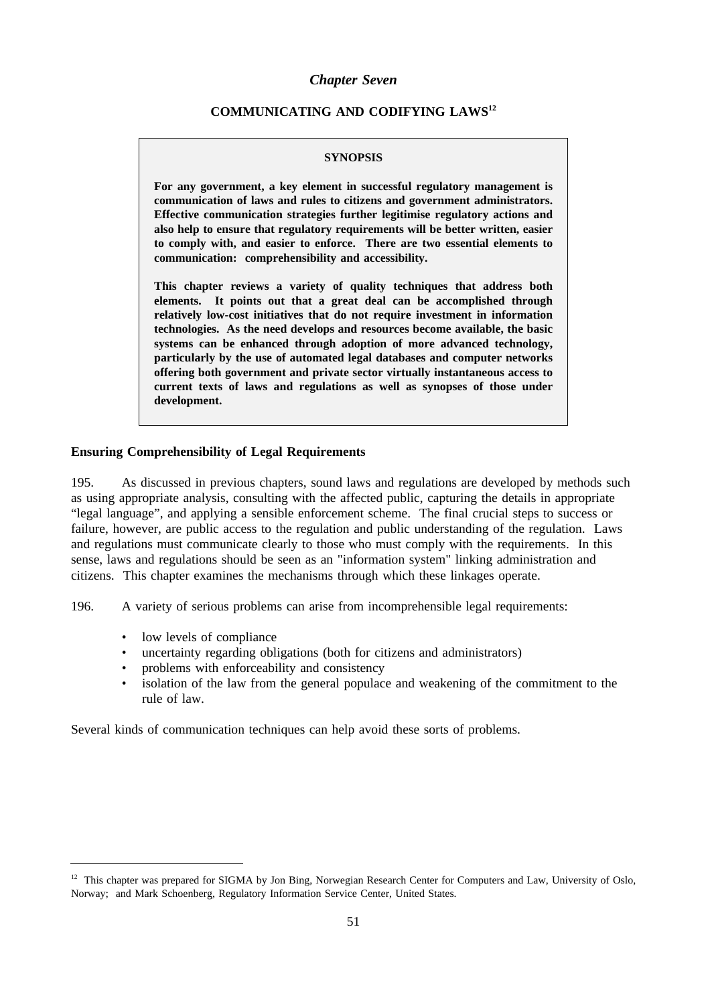#### *Chapter Seven*

#### **COMMUNICATING AND CODIFYING LAWS12**

#### **SYNOPSIS**

**For any government, a key element in successful regulatory management is communication of laws and rules to citizens and government administrators. Effective communication strategies further legitimise regulatory actions and also help to ensure that regulatory requirements will be better written, easier to comply with, and easier to enforce. There are two essential elements to communication: comprehensibility and accessibility.**

**This chapter reviews a variety of quality techniques that address both elements. It points out that a great deal can be accomplished through relatively low-cost initiatives that do not require investment in information technologies. As the need develops and resources become available, the basic systems can be enhanced through adoption of more advanced technology, particularly by the use of automated legal databases and computer networks offering both government and private sector virtually instantaneous access to current texts of laws and regulations as well as synopses of those under development.**

#### **Ensuring Comprehensibility of Legal Requirements**

195. As discussed in previous chapters, sound laws and regulations are developed by methods such as using appropriate analysis, consulting with the affected public, capturing the details in appropriate "legal language", and applying a sensible enforcement scheme. The final crucial steps to success or failure, however, are public access to the regulation and public understanding of the regulation. Laws and regulations must communicate clearly to those who must comply with the requirements. In this sense, laws and regulations should be seen as an "information system" linking administration and citizens. This chapter examines the mechanisms through which these linkages operate.

196. A variety of serious problems can arise from incomprehensible legal requirements:

- low levels of compliance
- uncertainty regarding obligations (both for citizens and administrators)
- problems with enforceability and consistency
- isolation of the law from the general populace and weakening of the commitment to the rule of law.

Several kinds of communication techniques can help avoid these sorts of problems.

<sup>&</sup>lt;sup>12</sup> This chapter was prepared for SIGMA by Jon Bing, Norwegian Research Center for Computers and Law, University of Oslo, Norway; and Mark Schoenberg, Regulatory Information Service Center, United States.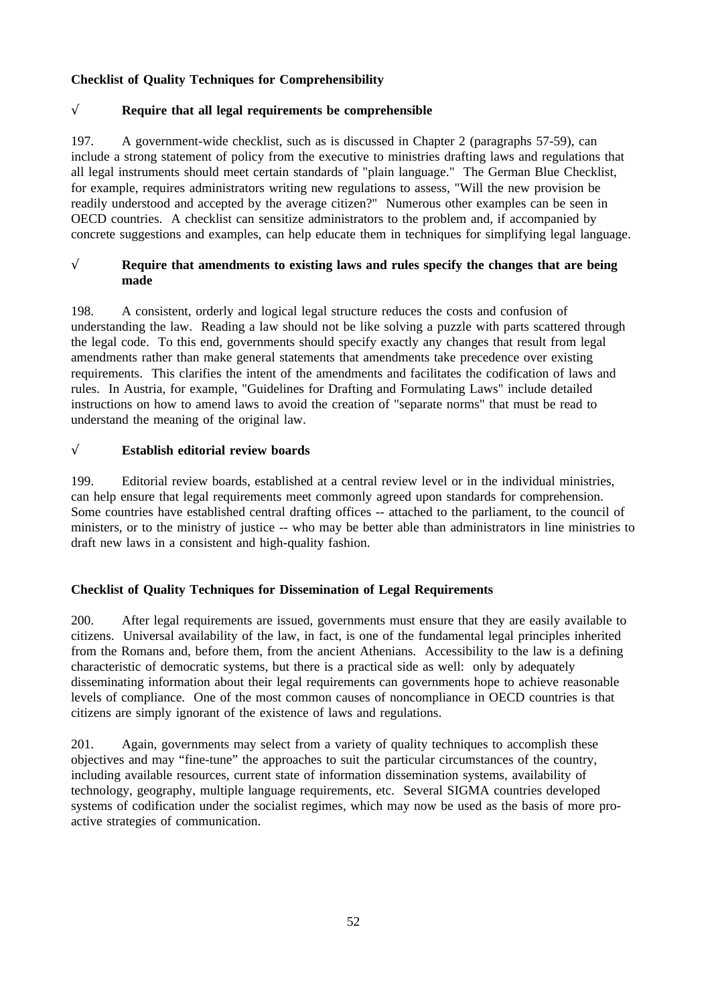## **Checklist of Quality Techniques for Comprehensibility**

## √ **Require that all legal requirements be comprehensible**

197. A government-wide checklist, such as is discussed in Chapter 2 (paragraphs 57-59), can include a strong statement of policy from the executive to ministries drafting laws and regulations that all legal instruments should meet certain standards of "plain language." The German Blue Checklist, for example, requires administrators writing new regulations to assess, "Will the new provision be readily understood and accepted by the average citizen?" Numerous other examples can be seen in OECD countries. A checklist can sensitize administrators to the problem and, if accompanied by concrete suggestions and examples, can help educate them in techniques for simplifying legal language.

## √ **Require that amendments to existing laws and rules specify the changes that are being made**

198. A consistent, orderly and logical legal structure reduces the costs and confusion of understanding the law. Reading a law should not be like solving a puzzle with parts scattered through the legal code. To this end, governments should specify exactly any changes that result from legal amendments rather than make general statements that amendments take precedence over existing requirements. This clarifies the intent of the amendments and facilitates the codification of laws and rules. In Austria, for example, "Guidelines for Drafting and Formulating Laws" include detailed instructions on how to amend laws to avoid the creation of "separate norms" that must be read to understand the meaning of the original law.

## √ **Establish editorial review boards**

199. Editorial review boards, established at a central review level or in the individual ministries, can help ensure that legal requirements meet commonly agreed upon standards for comprehension. Some countries have established central drafting offices -- attached to the parliament, to the council of ministers, or to the ministry of justice -- who may be better able than administrators in line ministries to draft new laws in a consistent and high-quality fashion.

## **Checklist of Quality Techniques for Dissemination of Legal Requirements**

200. After legal requirements are issued, governments must ensure that they are easily available to citizens. Universal availability of the law, in fact, is one of the fundamental legal principles inherited from the Romans and, before them, from the ancient Athenians. Accessibility to the law is a defining characteristic of democratic systems, but there is a practical side as well: only by adequately disseminating information about their legal requirements can governments hope to achieve reasonable levels of compliance. One of the most common causes of noncompliance in OECD countries is that citizens are simply ignorant of the existence of laws and regulations.

201. Again, governments may select from a variety of quality techniques to accomplish these objectives and may "fine-tune" the approaches to suit the particular circumstances of the country, including available resources, current state of information dissemination systems, availability of technology, geography, multiple language requirements, etc. Several SIGMA countries developed systems of codification under the socialist regimes, which may now be used as the basis of more proactive strategies of communication.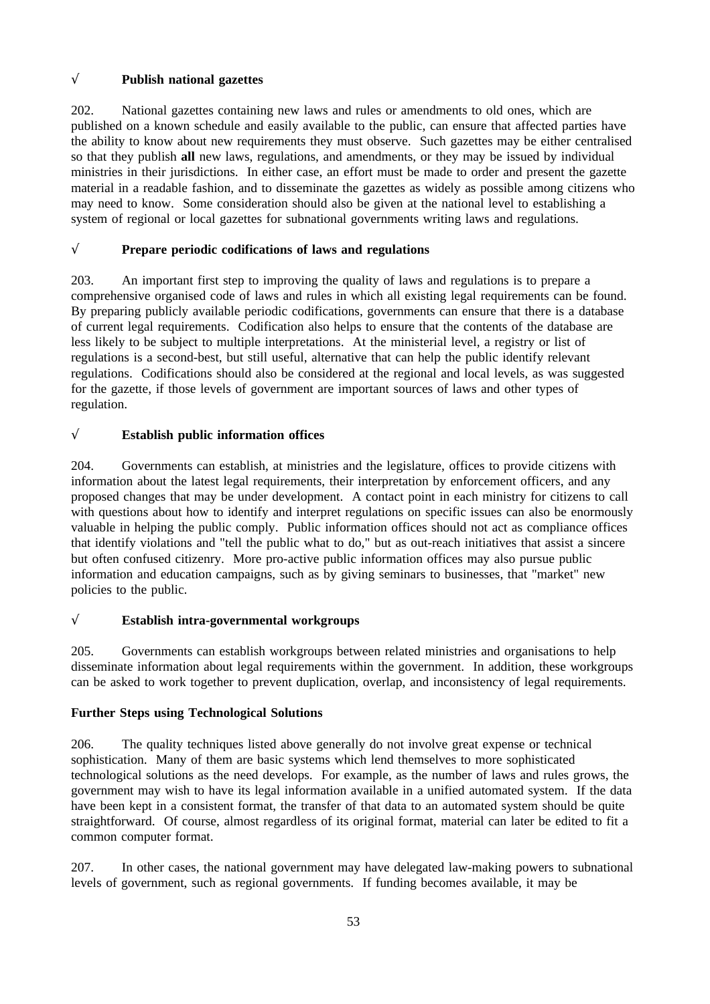## √ **Publish national gazettes**

202. National gazettes containing new laws and rules or amendments to old ones, which are published on a known schedule and easily available to the public, can ensure that affected parties have the ability to know about new requirements they must observe. Such gazettes may be either centralised so that they publish **all** new laws, regulations, and amendments, or they may be issued by individual ministries in their jurisdictions. In either case, an effort must be made to order and present the gazette material in a readable fashion, and to disseminate the gazettes as widely as possible among citizens who may need to know. Some consideration should also be given at the national level to establishing a system of regional or local gazettes for subnational governments writing laws and regulations.

## √ **Prepare periodic codifications of laws and regulations**

203. An important first step to improving the quality of laws and regulations is to prepare a comprehensive organised code of laws and rules in which all existing legal requirements can be found. By preparing publicly available periodic codifications, governments can ensure that there is a database of current legal requirements. Codification also helps to ensure that the contents of the database are less likely to be subject to multiple interpretations. At the ministerial level, a registry or list of regulations is a second-best, but still useful, alternative that can help the public identify relevant regulations. Codifications should also be considered at the regional and local levels, as was suggested for the gazette, if those levels of government are important sources of laws and other types of regulation.

## √ **Establish public information offices**

204. Governments can establish, at ministries and the legislature, offices to provide citizens with information about the latest legal requirements, their interpretation by enforcement officers, and any proposed changes that may be under development. A contact point in each ministry for citizens to call with questions about how to identify and interpret regulations on specific issues can also be enormously valuable in helping the public comply. Public information offices should not act as compliance offices that identify violations and "tell the public what to do," but as out-reach initiatives that assist a sincere but often confused citizenry. More pro-active public information offices may also pursue public information and education campaigns, such as by giving seminars to businesses, that "market" new policies to the public.

## √ **Establish intra-governmental workgroups**

205. Governments can establish workgroups between related ministries and organisations to help disseminate information about legal requirements within the government. In addition, these workgroups can be asked to work together to prevent duplication, overlap, and inconsistency of legal requirements.

## **Further Steps using Technological Solutions**

206. The quality techniques listed above generally do not involve great expense or technical sophistication. Many of them are basic systems which lend themselves to more sophisticated technological solutions as the need develops. For example, as the number of laws and rules grows, the government may wish to have its legal information available in a unified automated system. If the data have been kept in a consistent format, the transfer of that data to an automated system should be quite straightforward. Of course, almost regardless of its original format, material can later be edited to fit a common computer format.

207. In other cases, the national government may have delegated law-making powers to subnational levels of government, such as regional governments. If funding becomes available, it may be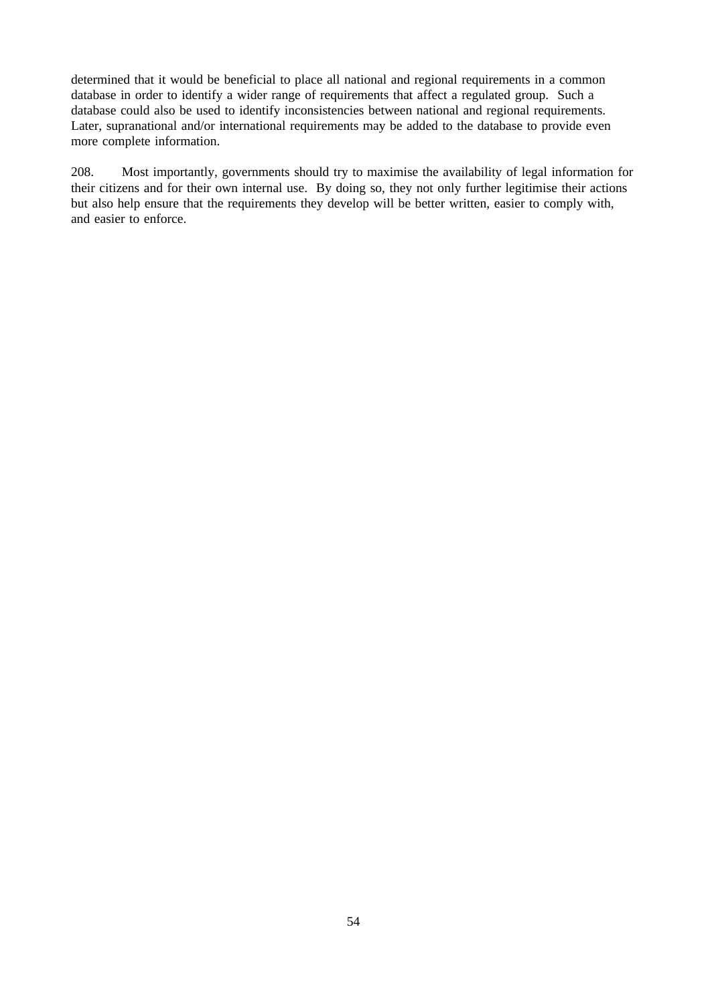determined that it would be beneficial to place all national and regional requirements in a common database in order to identify a wider range of requirements that affect a regulated group. Such a database could also be used to identify inconsistencies between national and regional requirements. Later, supranational and/or international requirements may be added to the database to provide even more complete information.

208. Most importantly, governments should try to maximise the availability of legal information for their citizens and for their own internal use. By doing so, they not only further legitimise their actions but also help ensure that the requirements they develop will be better written, easier to comply with, and easier to enforce.